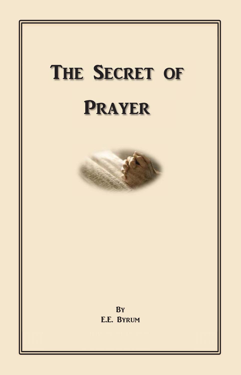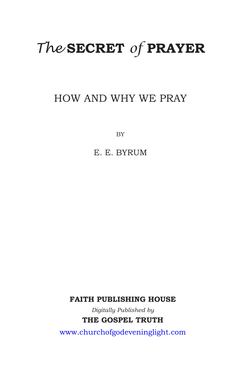# *The* **SECRET** *of* **PRAYER**

# HOW AND WHY WE PRAY

**BY** 

E. E. BYRUM

**FAITH PUBLISHING HOUSE** 

Digitally Published by **THE GOSPEL TRUTH** 

www.churchofgodeveninglight.com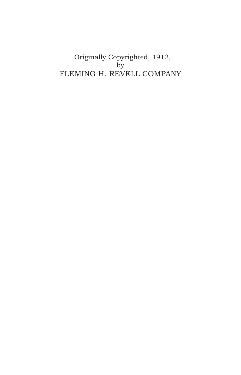Originally Copyrighted, 1912, by FLEMING H. REVELL COMPANY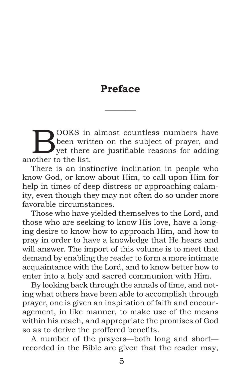# **Preface**

———

BOOKS in almost countless numbers have<br>been written on the subject of prayer, and<br>yet there are justifiable reasons for adding<br>ather to the list been written on the subject of prayer, and vet there are justifiable reasons for adding another to the list.

There is an instinctive inclination in people who know God, or know about Him, to call upon Him for help in times of deep distress or approaching calamity, even though they may not often do so under more favorable circumstances.

Those who have yielded themselves to the Lord, and those who are seeking to know His love, have a longing desire to know how to approach Him, and how to pray in order to have a knowledge that He hears and will answer. The import of this volume is to meet that demand by enabling the reader to form a more intimate acquaintance with the Lord, and to know better how to enter into a holy and sacred communion with Him.

By looking back through the annals of time, and noting what others have been able to accomplish through prayer, one is given an inspiration of faith and encouragement, in like manner, to make use of the means within his reach, and appropriate the promises of God so as to derive the proffered benefits.

A number of the prayers—both long and short recorded in the Bible are given that the reader may,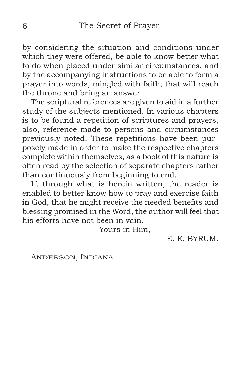by considering the situation and conditions under which they were offered, be able to know better what to do when placed under similar circumstances, and by the accompanying instructions to be able to form a prayer into words, mingled with faith, that will reach the throne and bring an answer.

The scriptural references are given to aid in a further study of the subjects mentioned. In various chapters is to be found a repetition of scriptures and prayers, also, reference made to persons and circumstances previously noted. These repetitions have been purposely made in order to make the respective chapters complete within themselves, as a book of this nature is often read by the selection of separate chapters rather than continuously from beginning to end.

If, through what is herein written, the reader is enabled to better know how to pray and exercise faith in God, that he might receive the needed benefits and blessing promised in the Word, the author will feel that his efforts have not been in vain.

Yours in Him,

E. E. BYRUM.

ANDERSON, INDIANA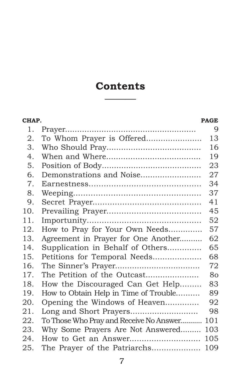# **Contents** ———

| CHAP. |                                         | <b>PAGE</b> |
|-------|-----------------------------------------|-------------|
| 1.    | $Praver$                                | 9           |
| 2.    | To Whom Prayer is Offered               | 13          |
| 3.    |                                         | 16          |
| 4.    |                                         | 19          |
| 5.    |                                         | 23          |
| 6.    | Demonstrations and Noise                | 27          |
| 7.    |                                         | 34          |
| 8.    |                                         | 37          |
| 9.    |                                         | 41          |
| 10.   |                                         | 45          |
| 11.   |                                         | 52          |
| 12.   | How to Pray for Your Own Needs          | 57          |
| 13.   | Agreement in Prayer for One Another     | 62          |
| 14.   | Supplication in Behalf of Others        | 65          |
| 15.   | Petitions for Temporal Needs            | 68          |
| 16.   |                                         | 72          |
| 17.   | The Petition of the Outcast             | 80          |
| 18.   | How the Discouraged Can Get Help        | 83          |
| 19.   | How to Obtain Help in Time of Trouble   | 89          |
| 20.   | Opening the Windows of Heaven           | 92          |
| 21.   |                                         | 98          |
| 22.   | To Those Who Pray and Receive No Answer | 101         |
| 23.   | Why Some Prayers Are Not Answered       | 103         |
| 24.   | How to Get an Answer                    | 105         |
| 25.   | The Prayer of the Patriarchs            | 109         |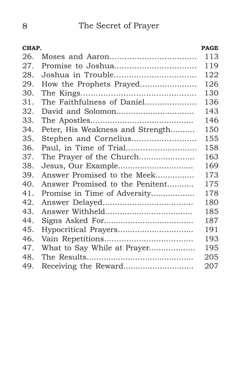| CHAP. |                                  | <b>PAGE</b> |
|-------|----------------------------------|-------------|
| 26.   |                                  | 113         |
| 27.   |                                  | 119         |
| 28.   |                                  | 122         |
| 29.   | How the Prophets Prayed          | 126         |
| 30.   |                                  | 130         |
| 31.   | The Faithfulness of Daniel       | 136         |
| 32.   |                                  | 143         |
| 33.   |                                  | 146         |
| 34.   | Peter, His Weakness and Strength | 150         |
| 35.   | Stephen and Cornelius            | 155         |
| 36.   |                                  | 158         |
| 37.   | The Prayer of the Church         | 163         |
| 38.   | Jesus, Our Example               | 169         |
| 39.   | Answer Promised to the Meek      | 173         |
| 40.   | Answer Promised to the Penitent  | 175         |
| 41.   | Promise in Time of Adversity     | 178         |
| 42.   |                                  | 180         |
| 43.   |                                  | 185         |
| 44.   |                                  | 187         |
| 45.   | Hypocritical Prayers             | 191         |
| 46.   |                                  | 193         |
| 47.   | What to Say While at Prayer      | 195         |
| 48.   |                                  | 205         |
| 49.   | Receiving the Reward             | 207         |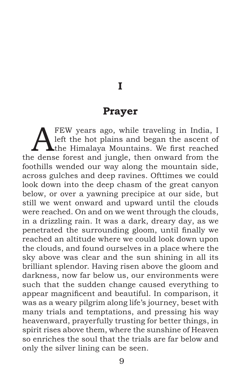**I**

#### **Prayer**

<span id="page-8-0"></span>FEW years ago, while traveling in India, I left the hot plains and began the ascent of the Himalaya Mountains. We first reached left the hot plains and began the ascent of the dense forest and jungle, then onward from the foothills wended our way along the mountain side, across gulches and deep ravines. Ofttimes we could look down into the deep chasm of the great canyon below, or over a yawning precipice at our side, but still we went onward and upward until the clouds were reached. On and on we went through the clouds, in a drizzling rain. It was a dark, dreary day, as we penetrated the surrounding gloom, until finally we reached an altitude where we could look down upon the clouds, and found ourselves in a place where the sky above was clear and the sun shining in all its brilliant splendor. Having risen above the gloom and darkness, now far below us, our environments were such that the sudden change caused everything to appear magnificent and beautiful. In comparison, it was as a weary pilgrim along life's journey, beset with many trials and temptations, and pressing his way heavenward, prayerfully trusting for better things, in spirit rises above them, where the sunshine of Heaven so enriches the soul that the trials are far below and only the silver lining can be seen.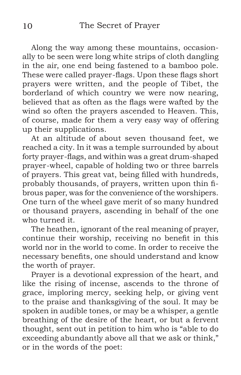Along the way among these mountains, occasionally to be seen were long white strips of cloth dangling in the air, one end being fastened to a bamboo pole. These were called prayer-flags. Upon these flags short prayers were written, and the people of Tibet, the borderland of which country we were now nearing, believed that as often as the flags were wafted by the wind so often the prayers ascended to Heaven. This, of course, made for them a very easy way of offering up their supplications.

At an altitude of about seven thousand feet, we reached a city. In it was a temple surrounded by about forty prayer-flags, and within was a great drum-shaped prayer-wheel, capable of holding two or three barrels of prayers. This great vat, being filled with hundreds, probably thousands, of prayers, written upon thin fibrous paper, was for the convenience of the worshipers. One turn of the wheel gave merit of so many hundred or thousand prayers, ascending in behalf of the one who turned it.

The heathen, ignorant of the real meaning of prayer, continue their worship, receiving no benefit in this world nor in the world to come. In order to receive the necessary benefits, one should understand and know the worth of prayer.

Prayer is a devotional expression of the heart, and like the rising of incense, ascends to the throne of grace, imploring mercy, seeking help, or giving vent to the praise and thanksgiving of the soul. It may be spoken in audible tones, or may be a whisper, a gentle breathing of the desire of the heart, or but a fervent thought, sent out in petition to him who is "able to do exceeding abundantly above all that we ask or think," or in the words of the poet: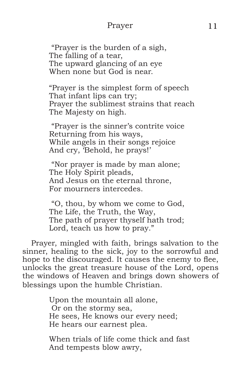#### Prayer 11

 "Prayer is the burden of a sigh, The falling of a tear, The upward glancing of an eye When none but God is near.

"Prayer is the simplest form of speech That infant lips can try; Prayer the sublimest strains that reach The Majesty on high.

 "Prayer is the sinner's contrite voice Returning from his ways, While angels in their songs rejoice And cry, 'Behold, he prays!'

 "Nor prayer is made by man alone; The Holy Spirit pleads, And Jesus on the eternal throne, For mourners intercedes.

 "O, thou, by whom we come to God, The Life, the Truth, the Way, The path of prayer thyself hath trod; Lord, teach us how to pray."

Prayer, mingled with faith, brings salvation to the sinner, healing to the sick, joy to the sorrowful and hope to the discouraged. It causes the enemy to flee, unlocks the great treasure house of the Lord, opens the windows of Heaven and brings down showers of blessings upon the humble Christian.

> Upon the mountain all alone, Or on the stormy sea, He sees, He knows our every need; He hears our earnest plea.

When trials of life come thick and fast And tempests blow awry,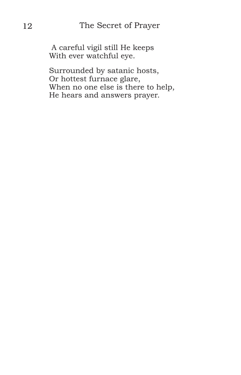A careful vigil still He keeps With ever watchful eye.

Surrounded by satanic hosts, Or hottest furnace glare, When no one else is there to help, He hears and answers prayer.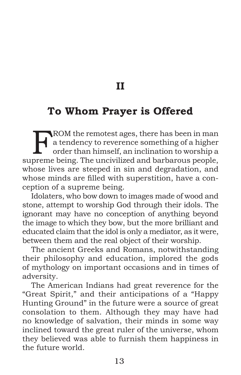**II**

# <span id="page-12-0"></span>**To Whom Prayer is Offered**

FROM the remotest ages, there has been in man<br>a tendency to reverence something of a higher<br>order than himself, an inclination to worship a<br>promo being. The uncivilized and bethereus people a tendency to reverence something of a higher order than himself, an inclination to worship a supreme being. The uncivilized and barbarous people, whose lives are steeped in sin and degradation, and whose minds are filled with superstition, have a conception of a supreme being.

Idolaters, who bow down to images made of wood and stone, attempt to worship God through their idols. The ignorant may have no conception of anything beyond the image to which they bow, but the more brilliant and educated claim that the idol is only a mediator, as it were, between them and the real object of their worship.

The ancient Greeks and Romans, notwithstanding their philosophy and education, implored the gods of mythology on important occasions and in times of adversity.

The American Indians had great reverence for the "Great Spirit," and their anticipations of a "Happy Hunting Ground" in the future were a source of great consolation to them. Although they may have had no knowledge of salvation, their minds in some way inclined toward the great ruler of the universe, whom they believed was able to furnish them happiness in the future world.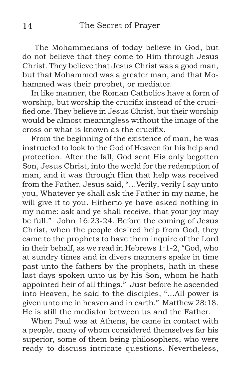The Mohammedans of today believe in God, but do not believe that they come to Him through Jesus Christ. They believe that Jesus Christ was a good man, but that Mohammed was a greater man, and that Mohammed was their prophet, or mediator.

In like manner, the Roman Catholics have a form of worship, but worship the crucifix instead of the crucified one. They believe in Jesus Christ, but their worship would be almost meaningless without the image of the cross or what is known as the crucifix.

From the beginning of the existence of man, he was instructed to look to the God of Heaven for his help and protection. After the fall, God sent His only begotten Son, Jesus Christ, into the world for the redemption of man, and it was through Him that help was received from the Father. Jesus said, "…Verily, verily I say unto you, Whatever ye shall ask the Father in my name, he will give it to you. Hitherto ye have asked nothing in my name: ask and ye shall receive, that your joy may be full." John 16:23-24. Before the coming of Jesus Christ, when the people desired help from God, they came to the prophets to have them inquire of the Lord in their behalf, as we read in Hebrews 1:1-2, "God, who at sundry times and in divers manners spake in time past unto the fathers by the prophets, hath in these last days spoken unto us by his Son, whom he hath appointed heir of all things." Just before he ascended into Heaven, he said to the disciples, "…All power is given unto me in heaven and in earth." Matthew 28:18. He is still the mediator between us and the Father.

When Paul was at Athens, he came in contact with a people, many of whom considered themselves far his superior, some of them being philosophers, who were ready to discuss intricate questions. Nevertheless,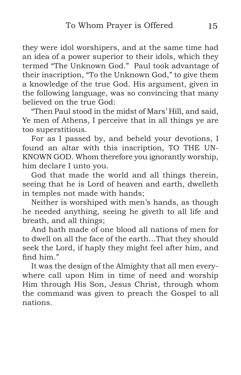they were idol worshipers, and at the same time had an idea of a power superior to their idols, which they termed "The Unknown God." Paul took advantage of their inscription, "To the Unknown God," to give them a knowledge of the true God. His argument, given in the following language, was so convincing that many believed on the true God:

"Then Paul stood in the midst of Mars' Hill, and said, Ye men of Athens, I perceive that in all things ye are too superstitious.

For as I passed by, and beheld your devotions, I found an altar with this inscription, TO THE UN-KNOWN GOD. Whom therefore you ignorantly worship, him declare I unto you.

God that made the world and all things therein, seeing that he is Lord of heaven and earth, dwelleth in temples not made with hands;

Neither is worshiped with men's hands, as though he needed anything, seeing he giveth to all life and breath, and all things;

And hath made of one blood all nations of men for to dwell on all the face of the earth…That they should seek the Lord, if haply they might feel after him, and find him."

It was the design of the Almighty that all men everywhere call upon Him in time of need and worship Him through His Son, Jesus Christ, through whom the command was given to preach the Gospel to all nations.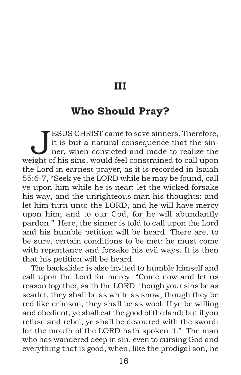#### **III**

# <span id="page-15-0"></span>**Who Should Pray?**

**JESUS CHRIST came to save sinners. Therefore,**<br>it is but a natural consequence that the sin-<br>ner, when convicted and made to realize the<br>ight of his sing, would feel constrained to call upon it is but a natural consequence that the sinner, when convicted and made to realize the weight of his sins, would feel constrained to call upon the Lord in earnest prayer, as it is recorded in Isaiah 55:6-7, "Seek ye the LORD while he may be found, call ye upon him while he is near: let the wicked forsake his way, and the unrighteous man his thoughts: and let him turn unto the LORD, and he will have mercy upon him; and to our God, for he will abundantly pardon." Here, the sinner is told to call upon the Lord and his humble petition will be heard. There are, to be sure, certain conditions to be met: he must come with repentance and forsake his evil ways. It is then that his petition will be heard.

The backslider is also invited to humble himself and call upon the Lord for mercy. "Come now and let us reason together, saith the LORD: though your sins be as scarlet, they shall be as white as snow; though they be red like crimson, they shall be as wool. If ye be willing and obedient, ye shall eat the good of the land; but if you refuse and rebel, ye shall be devoured with the sword: for the mouth of the LORD hath spoken it." The man who has wandered deep in sin, even to cursing God and everything that is good, when, like the prodigal son, he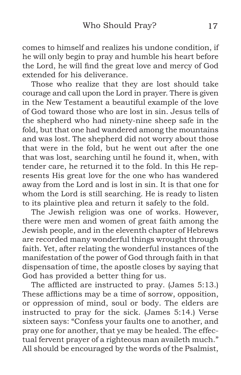comes to himself and realizes his undone condition, if he will only begin to pray and humble his heart before the Lord, he will find the great love and mercy of God extended for his deliverance.

Those who realize that they are lost should take courage and call upon the Lord in prayer. There is given in the New Testament a beautiful example of the love of God toward those who are lost in sin. Jesus tells of the shepherd who had ninety-nine sheep safe in the fold, but that one had wandered among the mountains and was lost. The shepherd did not worry about those that were in the fold, but he went out after the one that was lost, searching until he found it, when, with tender care, he returned it to the fold. In this He represents His great love for the one who has wandered away from the Lord and is lost in sin. It is that one for whom the Lord is still searching. He is ready to listen to its plaintive plea and return it safely to the fold.

The Jewish religion was one of works. However, there were men and women of great faith among the Jewish people, and in the eleventh chapter of Hebrews are recorded many wonderful things wrought through faith. Yet, after relating the wonderful instances of the manifestation of the power of God through faith in that dispensation of time, the apostle closes by saying that God has provided a better thing for us.

The afflicted are instructed to pray. (James 5:13.) These afflictions may be a time of sorrow, opposition, or oppression of mind, soul or body. The elders are instructed to pray for the sick. (James 5:14.) Verse sixteen says: "Confess your faults one to another, and pray one for another, that ye may be healed. The effectual fervent prayer of a righteous man availeth much." All should be encouraged by the words of the Psalmist,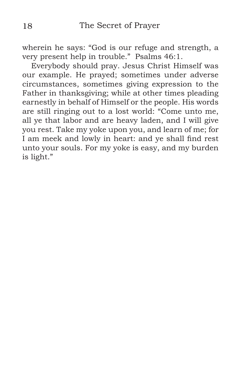wherein he says: "God is our refuge and strength, a very present help in trouble." Psalms 46:1.

Everybody should pray. Jesus Christ Himself was our example. He prayed; sometimes under adverse circumstances, sometimes giving expression to the Father in thanksgiving; while at other times pleading earnestly in behalf of Himself or the people. His words are still ringing out to a lost world: "Come unto me, all ye that labor and are heavy laden, and I will give you rest. Take my yoke upon you, and learn of me; for I am meek and lowly in heart: and ye shall find rest unto your souls. For my yoke is easy, and my burden is light."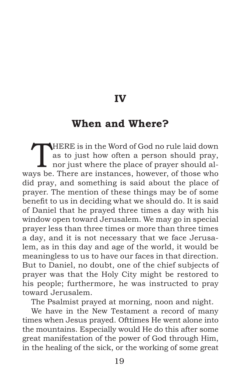**IV**

## <span id="page-18-0"></span>**When and Where?**

THERE is in the Word of God no rule laid down<br>as to just how often a person should pray,<br>nor just where the place of prayer should al-<br>we be There are instanced bouwwar, of these who as to just how often a person should pray, nor just where the place of prayer should always be. There are instances, however, of those who did pray, and something is said about the place of prayer. The mention of these things may be of some benefit to us in deciding what we should do. It is said of Daniel that he prayed three times a day with his window open toward Jerusalem. We may go in special prayer less than three times or more than three times a day, and it is not necessary that we face Jerusalem, as in this day and age of the world, it would be meaningless to us to have our faces in that direction. But to Daniel, no doubt, one of the chief subjects of prayer was that the Holy City might be restored to his people; furthermore, he was instructed to pray toward Jerusalem.

The Psalmist prayed at morning, noon and night.

We have in the New Testament a record of many times when Jesus prayed. Ofttimes He went alone into the mountains. Especially would He do this after some great manifestation of the power of God through Him, in the healing of the sick, or the working of some great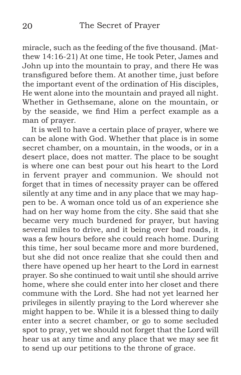miracle, such as the feeding of the five thousand. (Matthew 14:16-21) At one time, He took Peter, James and John up into the mountain to pray, and there He was transfigured before them. At another time, just before the important event of the ordination of His disciples, He went alone into the mountain and prayed all night. Whether in Gethsemane, alone on the mountain, or by the seaside, we find Him a perfect example as a man of prayer.

It is well to have a certain place of prayer, where we can be alone with God. Whether that place is in some secret chamber, on a mountain, in the woods, or in a desert place, does not matter. The place to be sought is where one can best pour out his heart to the Lord in fervent prayer and communion. We should not forget that in times of necessity prayer can be offered silently at any time and in any place that we may happen to be. A woman once told us of an experience she had on her way home from the city. She said that she became very much burdened for prayer, but having several miles to drive, and it being over bad roads, it was a few hours before she could reach home. During this time, her soul became more and more burdened, but she did not once realize that she could then and there have opened up her heart to the Lord in earnest prayer. So she continued to wait until she should arrive home, where she could enter into her closet and there commune with the Lord. She had not yet learned her privileges in silently praying to the Lord wherever she might happen to be. While it is a blessed thing to daily enter into a secret chamber, or go to some secluded spot to pray, yet we should not forget that the Lord will hear us at any time and any place that we may see fit to send up our petitions to the throne of grace.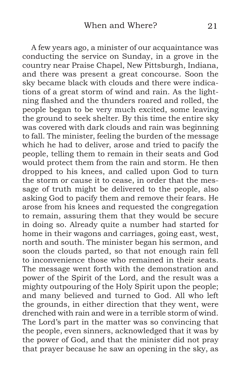A few years ago, a minister of our acquaintance was conducting the service on Sunday, in a grove in the country near Praise Chapel, New Pittsburgh, Indiana, and there was present a great concourse. Soon the sky became black with clouds and there were indications of a great storm of wind and rain. As the lightning flashed and the thunders roared and rolled, the people began to be very much excited, some leaving the ground to seek shelter. By this time the entire sky was covered with dark clouds and rain was beginning to fall. The minister, feeling the burden of the message which he had to deliver, arose and tried to pacify the people, telling them to remain in their seats and God would protect them from the rain and storm. He then dropped to his knees, and called upon God to turn the storm or cause it to cease, in order that the message of truth might be delivered to the people, also asking God to pacify them and remove their fears. He arose from his knees and requested the congregation to remain, assuring them that they would be secure in doing so. Already quite a number had started for home in their wagons and carriages, going east, west, north and south. The minister began his sermon, and soon the clouds parted, so that not enough rain fell to inconvenience those who remained in their seats. The message went forth with the demonstration and power of the Spirit of the Lord, and the result was a mighty outpouring of the Holy Spirit upon the people; and many believed and turned to God. All who left the grounds, in either direction that they went, were drenched with rain and were in a terrible storm of wind. The Lord's part in the matter was so convincing that the people, even sinners, acknowledged that it was by the power of God, and that the minister did not pray that prayer because he saw an opening in the sky, as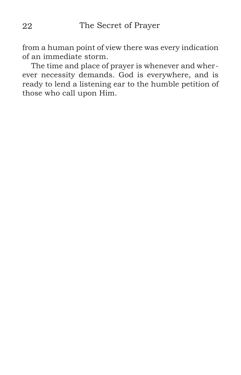from a human point of view there was every indication of an immediate storm.

The time and place of prayer is whenever and wherever necessity demands. God is everywhere, and is ready to lend a listening ear to the humble petition of those who call upon Him.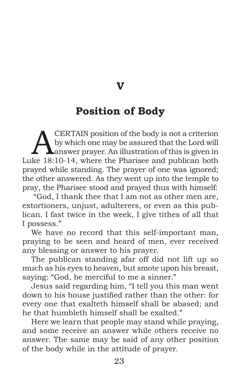**V**

# **Position of Body**

<span id="page-22-0"></span>**A CERTAIN** position of the body is not a criterion<br>by which one may be assured that the Lord will<br>answer prayer. An illustration of this is given in<br>lto 18:10.14, where the Pherice and publican both by which one may be assured that the Lord will Luke 18:10-14, where the Pharisee and publican both prayed while standing. The prayer of one was ignored; the other answered. As they went up into the temple to pray, the Pharisee stood and prayed thus with himself:

 "God, I thank thee that I am not as other men are, extortioners, unjust, adulterers, or even as this publican. I fast twice in the week, I give tithes of all that I possess."

We have no record that this self-important man, praying to be seen and heard of men, ever received any blessing or answer to his prayer.

The publican standing afar off did not lift up so much as his eyes to heaven, but smote upon his breast, saying: "God, be merciful to me a sinner."

Jesus said regarding him, "I tell you this man went down to his house justified rather than the other: for every one that exalteth himself shall be abased; and he that humbleth himself shall be exalted."

Here we learn that people may stand while praying, and some receive an answer while others receive no answer. The same may be said of any other position of the body while in the attitude of prayer.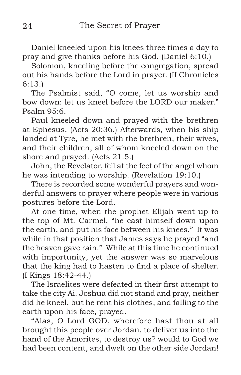Daniel kneeled upon his knees three times a day to pray and give thanks before his God. (Daniel 6:10.)

Solomon, kneeling before the congregation, spread out his hands before the Lord in prayer. (II Chronicles 6:13.)

The Psalmist said, "O come, let us worship and bow down: let us kneel before the LORD our maker." Psalm 95:6.

Paul kneeled down and prayed with the brethren at Ephesus. (Acts 20:36.) Afterwards, when his ship landed at Tyre, he met with the brethren, their wives, and their children, all of whom kneeled down on the shore and prayed. (Acts 21:5.)

John, the Revelator, fell at the feet of the angel whom he was intending to worship. (Revelation 19:10.)

There is recorded some wonderful prayers and wonderful answers to prayer where people were in various postures before the Lord.

At one time, when the prophet Elijah went up to the top of Mt. Carmel, "he cast himself down upon the earth, and put his face between his knees." It was while in that position that James says he prayed "and the heaven gave rain." While at this time he continued with importunity, yet the answer was so marvelous that the king had to hasten to find a place of shelter. (I Kings 18:42-44.)

The Israelites were defeated in their first attempt to take the city Ai. Joshua did not stand and pray, neither did he kneel, but he rent his clothes, and falling to the earth upon his face, prayed.

"Alas, O Lord GOD, wherefore hast thou at all brought this people over Jordan, to deliver us into the hand of the Amorites, to destroy us? would to God we had been content, and dwelt on the other side Jordan!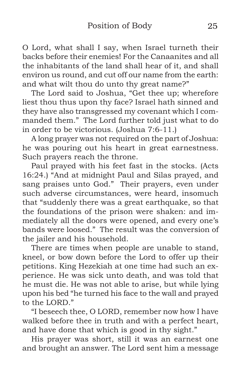O Lord, what shall I say, when Israel turneth their backs before their enemies! For the Canaanites and all the inhabitants of the land shall hear of it, and shall environ us round, and cut off our name from the earth: and what wilt thou do unto thy great name?"

The Lord said to Joshua, "Get thee up; wherefore liest thou thus upon thy face? Israel hath sinned and they have also transgressed my covenant which I commanded them." The Lord further told just what to do in order to be victorious. (Joshua 7:6-11.)

A long prayer was not required on the part of Joshua: he was pouring out his heart in great earnestness. Such prayers reach the throne.

Paul prayed with his feet fast in the stocks. (Acts 16:24.) "And at midnight Paul and Silas prayed, and sang praises unto God." Their prayers, even under such adverse circumstances, were heard, insomuch that "suddenly there was a great earthquake, so that the foundations of the prison were shaken: and immediately all the doors were opened, and every one's bands were loosed." The result was the conversion of the jailer and his household.

There are times when people are unable to stand, kneel, or bow down before the Lord to offer up their petitions. King Hezekiah at one time had such an experience. He was sick unto death, and was told that he must die. He was not able to arise, but while lying upon his bed "he turned his face to the wall and prayed to the LORD."

"I beseech thee, O LORD, remember now how I have walked before thee in truth and with a perfect heart, and have done that which is good in thy sight."

His prayer was short, still it was an earnest one and brought an answer. The Lord sent him a message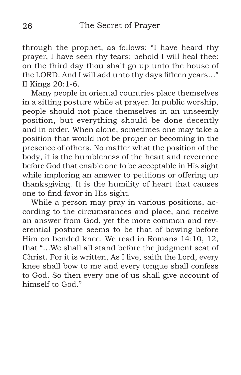through the prophet, as follows: "I have heard thy prayer, I have seen thy tears: behold I will heal thee: on the third day thou shalt go up unto the house of the LORD. And I will add unto thy days fifteen years…" II Kings 20:1-6.

Many people in oriental countries place themselves in a sitting posture while at prayer. In public worship, people should not place themselves in an unseemly position, but everything should be done decently and in order. When alone, sometimes one may take a position that would not be proper or becoming in the presence of others. No matter what the position of the body, it is the humbleness of the heart and reverence before God that enable one to be acceptable in His sight while imploring an answer to petitions or offering up thanksgiving. It is the humility of heart that causes one to find favor in His sight.

While a person may pray in various positions, according to the circumstances and place, and receive an answer from God, yet the more common and reverential posture seems to be that of bowing before Him on bended knee. We read in Romans 14:10, 12, that "…We shall all stand before the judgment seat of Christ. For it is written, As I live, saith the Lord, every knee shall bow to me and every tongue shall confess to God. So then every one of us shall give account of himself to God<sup>"</sup>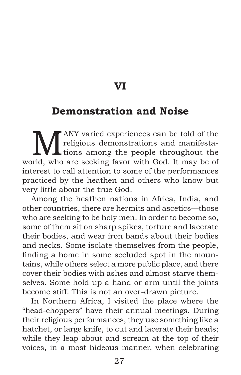**VI**

#### <span id="page-26-0"></span>**Demonstration and Noise**

**M** ANY varied experiences can be told of the religious demonstrations and manifestations among the people throughout the relative or experience for with God. It may be of ANY varied experiences can be told of the religious demonstrations and manifestaworld, who are seeking favor with God. It may be of interest to call attention to some of the performances practiced by the heathen and others who know but very little about the true God.

Among the heathen nations in Africa, India, and other countries, there are hermits and ascetics—those who are seeking to be holy men. In order to become so, some of them sit on sharp spikes, torture and lacerate their bodies, and wear iron bands about their bodies and necks. Some isolate themselves from the people, finding a home in some secluded spot in the mountains, while others select a more public place, and there cover their bodies with ashes and almost starve themselves. Some hold up a hand or arm until the joints become stiff. This is not an over-drawn picture.

In Northern Africa, I visited the place where the "head-choppers" have their annual meetings. During their religious performances, they use something like a hatchet, or large knife, to cut and lacerate their heads; while they leap about and scream at the top of their voices, in a most hideous manner, when celebrating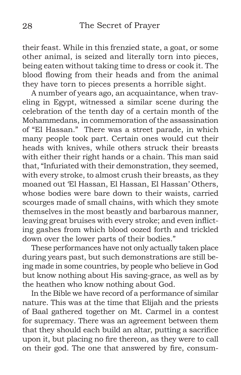their feast. While in this frenzied state, a goat, or some other animal, is seized and literally torn into pieces, being eaten without taking time to dress or cook it. The blood flowing from their heads and from the animal they have torn to pieces presents a horrible sight.

A number of years ago, an acquaintance, when traveling in Egypt, witnessed a similar scene during the celebration of the tenth day of a certain month of the Mohammedans, in commemoration of the assassination of "El Hassan." There was a street parade, in which many people took part. Certain ones would cut their heads with knives, while others struck their breasts with either their right hands or a chain. This man said that, "Infuriated with their demonstration, they seemed, with every stroke, to almost crush their breasts, as they moaned out 'El Hassan, El Hassan, El Hassan' Others, whose bodies were bare down to their waists, carried scourges made of small chains, with which they smote themselves in the most beastly and barbarous manner, leaving great bruises with every stroke; and even inflicting gashes from which blood oozed forth and trickled down over the lower parts of their bodies."

These performances have not only actually taken place during years past, but such demonstrations are still being made in some countries, by people who believe in God but know nothing about His saving-grace, as well as by the heathen who know nothing about God.

In the Bible we have record of a performance of similar nature. This was at the time that Elijah and the priests of Baal gathered together on Mt. Carmel in a contest for supremacy. There was an agreement between them that they should each build an altar, putting a sacrifice upon it, but placing no fire thereon, as they were to call on their god. The one that answered by fire, consum-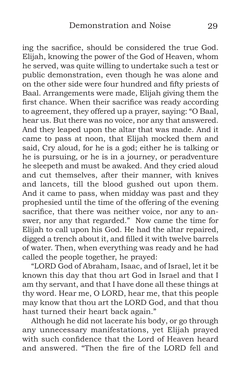ing the sacrifice, should be considered the true God. Elijah, knowing the power of the God of Heaven, whom he served, was quite willing to undertake such a test or public demonstration, even though he was alone and on the other side were four hundred and fifty priests of Baal. Arrangements were made, Elijah giving them the first chance. When their sacrifice was ready according to agreement, they offered up a prayer, saying: "O Baal, hear us. But there was no voice, nor any that answered. And they leaped upon the altar that was made. And it came to pass at noon, that Elijah mocked them and said, Cry aloud, for he is a god; either he is talking or he is pursuing, or he is in a journey, or peradventure he sleepeth and must be awaked. And they cried aloud and cut themselves, after their manner, with knives and lancets, till the blood gushed out upon them. And it came to pass, when midday was past and they prophesied until the time of the offering of the evening sacrifice, that there was neither voice, nor any to answer, nor any that regarded." Now came the time for Elijah to call upon his God. He had the altar repaired, digged a trench about it, and filled it with twelve barrels of water. Then, when everything was ready and he had called the people together, he prayed:

"LORD God of Abraham, Isaac, and of Israel, let it be known this day that thou art God in Israel and that I am thy servant, and that I have done all these things at thy word. Hear me, O LORD, hear me, that this people may know that thou art the LORD God, and that thou hast turned their heart back again."

Although he did not lacerate his body, or go through any unnecessary manifestations, yet Elijah prayed with such confidence that the Lord of Heaven heard and answered. "Then the fire of the LORD fell and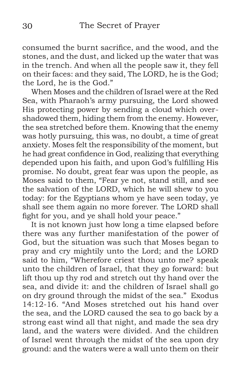consumed the burnt sacrifice, and the wood, and the stones, and the dust, and licked up the water that was in the trench. And when all the people saw it, they fell on their faces: and they said, The LORD, he is the God; the Lord, he is the God."

When Moses and the children of Israel were at the Red Sea, with Pharaoh's army pursuing, the Lord showed His protecting power by sending a cloud which overshadowed them, hiding them from the enemy. However, the sea stretched before them. Knowing that the enemy was hotly pursuing, this was, no doubt, a time of great anxiety. Moses felt the responsibility of the moment, but he had great confidence in God, realizing that everything depended upon his faith, and upon God's fulfilling His promise. No doubt, great fear was upon the people, as Moses said to them, "Fear ye not, stand still, and see the salvation of the LORD, which he will shew to you today: for the Egyptians whom ye have seen today, ye shall see them again no more forever. The LORD shall fight for you, and ye shall hold your peace."

It is not known just how long a time elapsed before there was any further manifestation of the power of God, but the situation was such that Moses began to pray and cry mightily unto the Lord; and the LORD said to him, "Wherefore criest thou unto me? speak unto the children of Israel, that they go forward: but lift thou up thy rod and stretch out thy hand over the sea, and divide it: and the children of Israel shall go on dry ground through the midst of the sea." Exodus 14:12-16. "And Moses stretched out his hand over the sea, and the LORD caused the sea to go back by a strong east wind all that night, and made the sea dry land, and the waters were divided. And the children of Israel went through the midst of the sea upon dry ground: and the waters were a wall unto them on their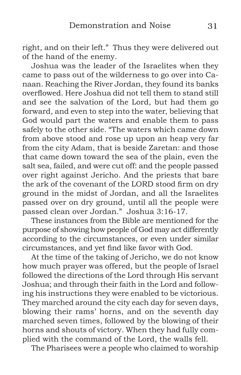right, and on their left." Thus they were delivered out of the hand of the enemy.

Joshua was the leader of the Israelites when they came to pass out of the wilderness to go over into Canaan. Reaching the River Jordan, they found its banks overflowed. Here Joshua did not tell them to stand still and see the salvation of the Lord, but had them go forward, and even to step into the water, believing that God would part the waters and enable them to pass safely to the other side. "The waters which came down from above stood and rose up upon an heap very far from the city Adam, that is beside Zaretan: and those that came down toward the sea of the plain, even the salt sea, failed, and were cut off: and the people passed over right against Jericho. And the priests that bare the ark of the covenant of the LORD stood firm on dry ground in the midst of Jordan, and all the Israelites passed over on dry ground, until all the people were passed clean over Jordan." Joshua 3:16-17.

These instances from the Bible are mentioned for the purpose of showing how people of God may act differently according to the circumstances, or even under similar circumstances, and yet find like favor with God.

At the time of the taking of Jericho, we do not know how much prayer was offered, but the people of Israel followed the directions of the Lord through His servant Joshua; and through their faith in the Lord and following his instructions they were enabled to be victorious. They marched around the city each day for seven days, blowing their rams' horns, and on the seventh day marched seven times, followed by the blowing of their horns and shouts of victory. When they had fully complied with the command of the Lord, the walls fell.

The Pharisees were a people who claimed to worship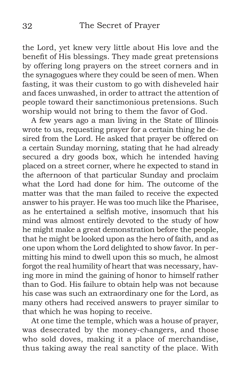the Lord, yet knew very little about His love and the benefit of His blessings. They made great pretensions by offering long prayers on the street corners and in the synagogues where they could be seen of men. When fasting, it was their custom to go with disheveled hair and faces unwashed, in order to attract the attention of people toward their sanctimonious pretensions. Such worship would not bring to them the favor of God.

A few years ago a man living in the State of Illinois wrote to us, requesting prayer for a certain thing he desired from the Lord. He asked that prayer be offered on a certain Sunday morning, stating that he had already secured a dry goods box, which he intended having placed on a street corner, where he expected to stand in the afternoon of that particular Sunday and proclaim what the Lord had done for him. The outcome of the matter was that the man failed to receive the expected answer to his prayer. He was too much like the Pharisee, as he entertained a selfish motive, insomuch that his mind was almost entirely devoted to the study of how he might make a great demonstration before the people, that he might be looked upon as the hero of faith, and as one upon whom the Lord delighted to show favor. In permitting his mind to dwell upon this so much, he almost forgot the real humility of heart that was necessary, having more in mind the gaining of honor to himself rather than to God. His failure to obtain help was not because his case was such an extraordinary one for the Lord, as many others had received answers to prayer similar to that which he was hoping to receive.

At one time the temple, which was a house of prayer, was desecrated by the money-changers, and those who sold doves, making it a place of merchandise, thus taking away the real sanctity of the place. With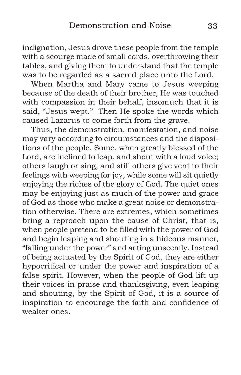indignation, Jesus drove these people from the temple with a scourge made of small cords, overthrowing their tables, and giving them to understand that the temple was to be regarded as a sacred place unto the Lord.

When Martha and Mary came to Jesus weeping because of the death of their brother, He was touched with compassion in their behalf, insomuch that it is said, "Jesus wept." Then He spoke the words which caused Lazarus to come forth from the grave.

Thus, the demonstration, manifestation, and noise may vary according to circumstances and the dispositions of the people. Some, when greatly blessed of the Lord, are inclined to leap, and shout with a loud voice; others laugh or sing, and still others give vent to their feelings with weeping for joy, while some will sit quietly enjoying the riches of the glory of God. The quiet ones may be enjoying just as much of the power and grace of God as those who make a great noise or demonstration otherwise. There are extremes, which sometimes bring a reproach upon the cause of Christ, that is, when people pretend to be filled with the power of God and begin leaping and shouting in a hideous manner, "falling under the power" and acting unseemly. Instead of being actuated by the Spirit of God, they are either hypocritical or under the power and inspiration of a false spirit. However, when the people of God lift up their voices in praise and thanksgiving, even leaping and shouting, by the Spirit of God, it is a source of inspiration to encourage the faith and confidence of weaker ones.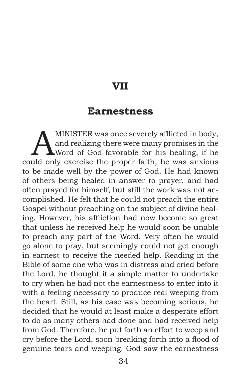## **VII**

#### **Earnestness**

<span id="page-33-0"></span>MINISTER was once severely afflicted in body,<br>and realizing there were many promises in the<br>Word of God favorable for his healing, if he and realizing there were many promises in the Word of God favorable for his healing, if he could only exercise the proper faith, he was anxious to be made well by the power of God. He had known of others being healed in answer to prayer, and had often prayed for himself, but still the work was not accomplished. He felt that he could not preach the entire Gospel without preaching on the subject of divine healing. However, his affliction had now become so great that unless he received help he would soon be unable to preach any part of the Word. Very often he would go alone to pray, but seemingly could not get enough in earnest to receive the needed help. Reading in the Bible of some one who was in distress and cried before the Lord, he thought it a simple matter to undertake to cry when he had not the earnestness to enter into it with a feeling necessary to produce real weeping from the heart. Still, as his case was becoming serious, he decided that he would at least make a desperate effort to do as many others had done and had received help from God. Therefore, he put forth an effort to weep and cry before the Lord, soon breaking forth into a flood of genuine tears and weeping. God saw the earnestness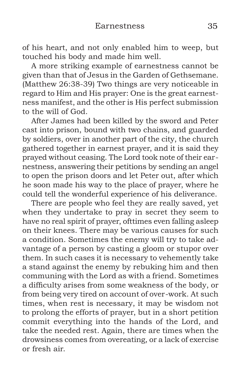of his heart, and not only enabled him to weep, but touched his body and made him well.

A more striking example of earnestness cannot be given than that of Jesus in the Garden of Gethsemane. (Matthew 26:38-39) Two things are very noticeable in regard to Him and His prayer: One is the great earnestness manifest, and the other is His perfect submission to the will of God.

After James had been killed by the sword and Peter cast into prison, bound with two chains, and guarded by soldiers, over in another part of the city, the church gathered together in earnest prayer, and it is said they prayed without ceasing. The Lord took note of their earnestness, answering their petitions by sending an angel to open the prison doors and let Peter out, after which he soon made his way to the place of prayer, where he could tell the wonderful experience of his deliverance.

There are people who feel they are really saved, yet when they undertake to pray in secret they seem to have no real spirit of prayer, ofttimes even falling asleep on their knees. There may be various causes for such a condition. Sometimes the enemy will try to take advantage of a person by casting a gloom or stupor over them. In such cases it is necessary to vehemently take a stand against the enemy by rebuking him and then communing with the Lord as with a friend. Sometimes a difficulty arises from some weakness of the body, or from being very tired on account of over-work. At such times, when rest is necessary, it may be wisdom not to prolong the efforts of prayer, but in a short petition commit everything into the hands of the Lord, and take the needed rest. Again, there are times when the drowsiness comes from overeating, or a lack of exercise or fresh air.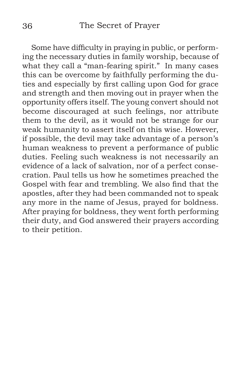Some have difficulty in praying in public, or performing the necessary duties in family worship, because of what they call a "man-fearing spirit." In many cases this can be overcome by faithfully performing the duties and especially by first calling upon God for grace and strength and then moving out in prayer when the opportunity offers itself. The young convert should not become discouraged at such feelings, nor attribute them to the devil, as it would not be strange for our weak humanity to assert itself on this wise. However, if possible, the devil may take advantage of a person's human weakness to prevent a performance of public duties. Feeling such weakness is not necessarily an evidence of a lack of salvation, nor of a perfect consecration. Paul tells us how he sometimes preached the Gospel with fear and trembling. We also find that the apostles, after they had been commanded not to speak any more in the name of Jesus, prayed for boldness. After praying for boldness, they went forth performing their duty, and God answered their prayers according to their petition.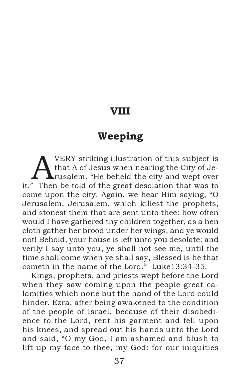#### **VIII**

## **Weeping**

**A** VERY striking illustration of this subject is that A of Jesus when nearing the City of Jerusalem. "He beheld the city and wept over" that A of Jesus when nearing the City of Jeit." Then be told of the great desolation that was to come upon the city. Again, we hear Him saying, "O Jerusalem, Jerusalem, which killest the prophets, and stonest them that are sent unto thee: how often would I have gathered thy children together, as a hen cloth gather her brood under her wings, and ye would not! Behold, your house is left unto you desolate: and verily I say unto you, ye shall not see me, until the time shall come when ye shall say, Blessed is he that cometh in the name of the Lord." Luke13:34-35.

Kings, prophets, and priests wept before the Lord when they saw coming upon the people great calamities which none but the hand of the Lord could hinder. Ezra, after being awakened to the condition of the people of Israel, because of their disobedience to the Lord, rent his garment and fell upon his knees, and spread out his hands unto the Lord and said, "O my God, I am ashamed and blush to lift up my face to thee, my God: for our iniquities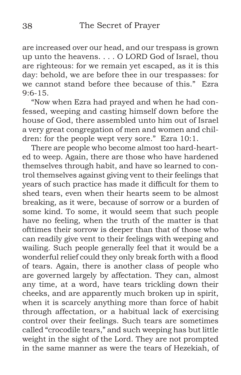are increased over our head, and our trespass is grown up unto the heavens. . . . O LORD God of Israel, thou are righteous: for we remain yet escaped, as it is this day: behold, we are before thee in our trespasses: for we cannot stand before thee because of this." Ezra  $9.6 - 15$ 

"Now when Ezra had prayed and when he had confessed, weeping and casting himself down before the house of God, there assembled unto him out of Israel a very great congregation of men and women and children: for the people wept very sore." Ezra 10:1.

There are people who become almost too hard-hearted to weep. Again, there are those who have hardened themselves through habit, and have so learned to control themselves against giving vent to their feelings that years of such practice has made it difficult for them to shed tears, even when their hearts seem to be almost breaking, as it were, because of sorrow or a burden of some kind. To some, it would seem that such people have no feeling, when the truth of the matter is that ofttimes their sorrow is deeper than that of those who can readily give vent to their feelings with weeping and wailing. Such people generally feel that it would be a wonderful relief could they only break forth with a flood of tears. Again, there is another class of people who are governed largely by affectation. They can, almost any time, at a word, have tears trickling down their cheeks, and are apparently much broken up in spirit, when it is scarcely anything more than force of habit through affectation, or a habitual lack of exercising control over their feelings. Such tears are sometimes called "crocodile tears," and such weeping has but little weight in the sight of the Lord. They are not prompted in the same manner as were the tears of Hezekiah, of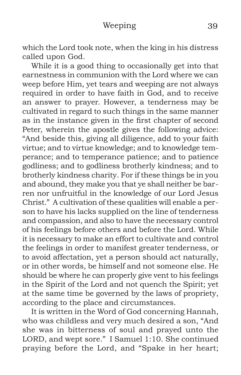which the Lord took note, when the king in his distress called upon God.

While it is a good thing to occasionally get into that earnestness in communion with the Lord where we can weep before Him, yet tears and weeping are not always required in order to have faith in God, and to receive an answer to prayer. However, a tenderness may be cultivated in regard to such things in the same manner as in the instance given in the first chapter of second Peter, wherein the apostle gives the following advice: "And beside this, giving all diligence, add to your faith virtue; and to virtue knowledge; and to knowledge temperance; and to temperance patience; and to patience godliness; and to godliness brotherly kindness; and to brotherly kindness charity. For if these things be in you and abound, they make you that ye shall neither be barren nor unfruitful in the knowledge of our Lord Jesus Christ." A cultivation of these qualities will enable a person to have his lacks supplied on the line of tenderness and compassion, and also to have the necessary control of his feelings before others and before the Lord. While it is necessary to make an effort to cultivate and control the feelings in order to manifest greater tenderness, or to avoid affectation, yet a person should act naturally, or in other words, be himself and not someone else. He should be where he can properly give vent to his feelings in the Spirit of the Lord and not quench the Spirit; yet at the same time be governed by the laws of propriety, according to the place and circumstances.

It is written in the Word of God concerning Hannah, who was childless and very much desired a son, "And she was in bitterness of soul and prayed unto the LORD, and wept sore." I Samuel 1:10. She continued praying before the Lord, and "Spake in her heart;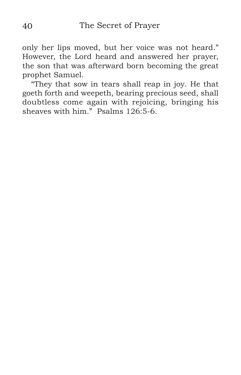only her lips moved, but her voice was not heard." However, the Lord heard and answered her prayer, the son that was afterward born becoming the great prophet Samuel.

"They that sow in tears shall reap in joy. He that goeth forth and weepeth, bearing precious seed, shall doubtless come again with rejoicing, bringing his sheaves with him." Psalms 126:5-6.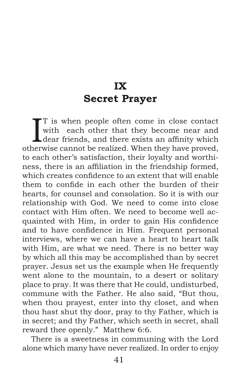# **IX Secret Prayer**

 $\prod$ <sup>T</sup> is when people often come in close contact<br>with each other that they become near and<br>dear friends, and there exists an affinity which with each other that they become near and L dear friends, and there exists an affinity which otherwise cannot be realized. When they have proved, to each other's satisfaction, their loyalty and worthiness, there is an affiliation in the friendship formed, which creates confidence to an extent that will enable them to confide in each other the burden of their hearts, for counsel and consolation. So it is with our relationship with God. We need to come into close contact with Him often. We need to become well acquainted with Him, in order to gain His confidence and to have confidence in Him. Frequent personal interviews, where we can have a heart to heart talk with Him, are what we need. There is no better way by which all this may be accomplished than by secret prayer. Jesus set us the example when He frequently went alone to the mountain, to a desert or solitary place to pray. It was there that He could, undisturbed, commune with the Father. He also said, "But thou, when thou prayest, enter into thy closet, and when thou hast shut thy door, pray to thy Father, which is in secret; and thy Father, which seeth in secret, shall reward thee openly." Matthew 6:6.

There is a sweetness in communing with the Lord alone which many have never realized. In order to enjoy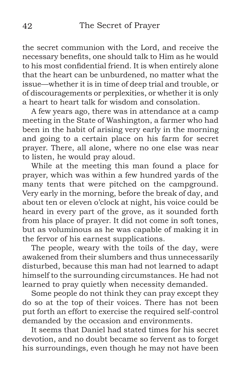the secret communion with the Lord, and receive the necessary benefits, one should talk to Him as he would to his most confidential friend. It is when entirely alone that the heart can be unburdened, no matter what the issue—whether it is in time of deep trial and trouble, or of discouragements or perplexities, or whether it is only a heart to heart talk for wisdom and consolation.

A few years ago, there was in attendance at a camp meeting in the State of Washington, a farmer who had been in the habit of arising very early in the morning and going to a certain place on his farm for secret prayer. There, all alone, where no one else was near to listen, he would pray aloud.

While at the meeting this man found a place for prayer, which was within a few hundred yards of the many tents that were pitched on the campground. Very early in the morning, before the break of day, and about ten or eleven o'clock at night, his voice could be heard in every part of the grove, as it sounded forth from his place of prayer. It did not come in soft tones, but as voluminous as he was capable of making it in the fervor of his earnest supplications.

The people, weary with the toils of the day, were awakened from their slumbers and thus unnecessarily disturbed, because this man had not learned to adapt himself to the surrounding circumstances. He had not learned to pray quietly when necessity demanded.

Some people do not think they can pray except they do so at the top of their voices. There has not been put forth an effort to exercise the required self-control demanded by the occasion and environments.

It seems that Daniel had stated times for his secret devotion, and no doubt became so fervent as to forget his surroundings, even though he may not have been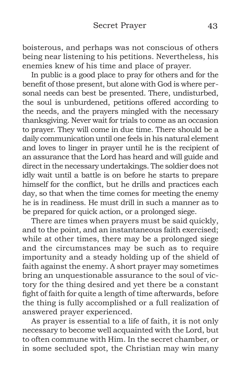boisterous, and perhaps was not conscious of others being near listening to his petitions. Nevertheless, his enemies knew of his time and place of prayer.

In public is a good place to pray for others and for the benefit of those present, but alone with God is where personal needs can best be presented. There, undisturbed, the soul is unburdened, petitions offered according to the needs, and the prayers mingled with the necessary thanksgiving. Never wait for trials to come as an occasion to prayer. They will come in due time. There should be a daily communication until one feels in his natural element and loves to linger in prayer until he is the recipient of an assurance that the Lord has heard and will guide and direct in the necessary undertakings. The soldier does not idly wait until a battle is on before he starts to prepare himself for the conflict, but he drills and practices each day, so that when the time comes for meeting the enemy he is in readiness. He must drill in such a manner as to be prepared for quick action, or a prolonged siege.

There are times when prayers must be said quickly, and to the point, and an instantaneous faith exercised; while at other times, there may be a prolonged siege and the circumstances may be such as to require importunity and a steady holding up of the shield of faith against the enemy. A short prayer may sometimes bring an unquestionable assurance to the soul of victory for the thing desired and yet there be a constant fight of faith for quite a length of time afterwards, before the thing is fully accomplished or a full realization of answered prayer experienced.

As prayer is essential to a life of faith, it is not only necessary to become well acquainted with the Lord, but to often commune with Him. In the secret chamber, or in some secluded spot, the Christian may win many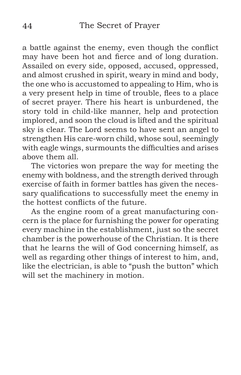a battle against the enemy, even though the conflict may have been hot and fierce and of long duration. Assailed on every side, opposed, accused, oppressed, and almost crushed in spirit, weary in mind and body, the one who is accustomed to appealing to Him, who is a very present help in time of trouble, flees to a place of secret prayer. There his heart is unburdened, the story told in child-like manner, help and protection implored, and soon the cloud is lifted and the spiritual sky is clear. The Lord seems to have sent an angel to strengthen His care-worn child, whose soul, seemingly with eagle wings, surmounts the difficulties and arises above them all.

The victories won prepare the way for meeting the enemy with boldness, and the strength derived through exercise of faith in former battles has given the necessary qualifications to successfully meet the enemy in the hottest conflicts of the future.

As the engine room of a great manufacturing concern is the place for furnishing the power for operating every machine in the establishment, just so the secret chamber is the powerhouse of the Christian. It is there that he learns the will of God concerning himself, as well as regarding other things of interest to him, and, like the electrician, is able to "push the button" which will set the machinery in motion.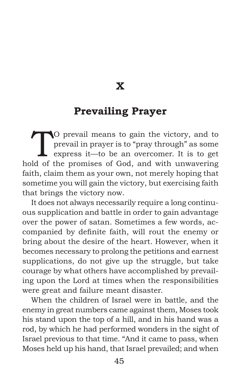**X**

#### **Prevailing Prayer**

TO prevail means to gain the victory, and to<br>prevail in prayer is to "pray through" as some<br>express it—to be an overcomer. It is to get<br>let of the premises of God, and with unweavoing prevail in prayer is to "pray through" as some express it—to be an overcomer. It is to get hold of the promises of God, and with unwavering faith, claim them as your own, not merely hoping that sometime you will gain the victory, but exercising faith that brings the victory now.

It does not always necessarily require a long continuous supplication and battle in order to gain advantage over the power of satan. Sometimes a few words, accompanied by definite faith, will rout the enemy or bring about the desire of the heart. However, when it becomes necessary to prolong the petitions and earnest supplications, do not give up the struggle, but take courage by what others have accomplished by prevailing upon the Lord at times when the responsibilities were great and failure meant disaster.

When the children of Israel were in battle, and the enemy in great numbers came against them, Moses took his stand upon the top of a hill, and in his hand was a rod, by which he had performed wonders in the sight of Israel previous to that time. "And it came to pass, when Moses held up his hand, that Israel prevailed; and when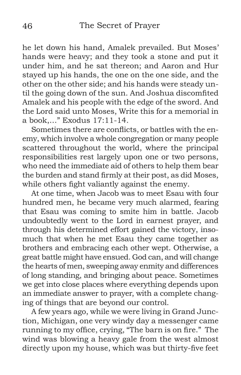he let down his hand, Amalek prevailed. But Moses' hands were heavy; and they took a stone and put it under him, and he sat thereon; and Aaron and Hur stayed up his hands, the one on the one side, and the other on the other side; and his hands were steady until the going down of the sun. And Joshua discomfited Amalek and his people with the edge of the sword. And the Lord said unto Moses, Write this for a memorial in a book,…" Exodus 17:11-14.

Sometimes there are conflicts, or battles with the enemy, which involve a whole congregation or many people scattered throughout the world, where the principal responsibilities rest largely upon one or two persons, who need the immediate aid of others to help them bear the burden and stand firmly at their post, as did Moses, while others fight valiantly against the enemy.

At one time, when Jacob was to meet Esau with four hundred men, he became very much alarmed, fearing that Esau was coming to smite him in battle. Jacob undoubtedly went to the Lord in earnest prayer, and through his determined effort gained the victory, insomuch that when he met Esau they came together as brothers and embracing each other wept. Otherwise, a great battle might have ensued. God can, and will change the hearts of men, sweeping away enmity and differences of long standing, and bringing about peace. Sometimes we get into close places where everything depends upon an immediate answer to prayer, with a complete changing of things that are beyond our control.

A few years ago, while we were living in Grand Junction, Michigan, one very windy day a messenger came running to my office, crying, "The barn is on fire." The wind was blowing a heavy gale from the west almost directly upon my house, which was but thirty-five feet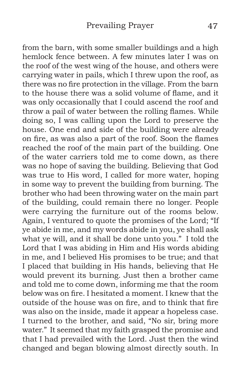from the barn, with some smaller buildings and a high hemlock fence between. A few minutes later I was on the roof of the west wing of the house, and others were carrying water in pails, which I threw upon the roof, as there was no fire protection in the village. From the barn to the house there was a solid volume of flame, and it was only occasionally that I could ascend the roof and throw a pail of water between the rolling flames. While doing so, I was calling upon the Lord to preserve the house. One end and side of the building were already on fire, as was also a part of the roof. Soon the flames reached the roof of the main part of the building. One of the water carriers told me to come down, as there was no hope of saving the building. Believing that God was true to His word, I called for more water, hoping in some way to prevent the building from burning. The brother who had been throwing water on the main part of the building, could remain there no longer. People were carrying the furniture out of the rooms below. Again, I ventured to quote the promises of the Lord; "If ye abide in me, and my words abide in you, ye shall ask what ye will, and it shall be done unto you." I told the Lord that I was abiding in Him and His words abiding in me, and I believed His promises to be true; and that I placed that building in His hands, believing that He would prevent its burning. Just then a brother came and told me to come down, informing me that the room below was on fire. I hesitated a moment. I knew that the outside of the house was on fire, and to think that fire was also on the inside, made it appear a hopeless case. I turned to the brother, and said, "No sir, bring more water." It seemed that my faith grasped the promise and that I had prevailed with the Lord. Just then the wind changed and began blowing almost directly south. In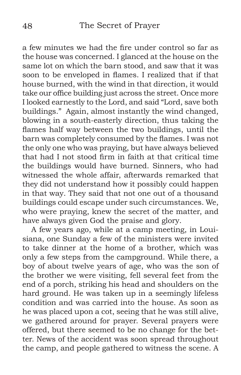a few minutes we had the fire under control so far as the house was concerned. I glanced at the house on the same lot on which the barn stood, and saw that it was soon to be enveloped in flames. I realized that if that house burned, with the wind in that direction, it would take our office building just across the street. Once more I looked earnestly to the Lord, and said "Lord, save both buildings." Again, almost instantly the wind changed, blowing in a south-easterly direction, thus taking the flames half way between the two buildings, until the barn was completely consumed by the flames. I was not the only one who was praying, but have always believed that had I not stood firm in faith at that critical time the buildings would have burned. Sinners, who had witnessed the whole affair, afterwards remarked that they did not understand how it possibly could happen in that way. They said that not one out of a thousand buildings could escape under such circumstances. We, who were praying, knew the secret of the matter, and have always given God the praise and glory.

A few years ago, while at a camp meeting, in Louisiana, one Sunday a few of the ministers were invited to take dinner at the home of a brother, which was only a few steps from the campground. While there, a boy of about twelve years of age, who was the son of the brother we were visiting, fell several feet from the end of a porch, striking his head and shoulders on the hard ground. He was taken up in a seemingly lifeless condition and was carried into the house. As soon as he was placed upon a cot, seeing that he was still alive, we gathered around for prayer. Several prayers were offered, but there seemed to be no change for the better. News of the accident was soon spread throughout the camp, and people gathered to witness the scene. A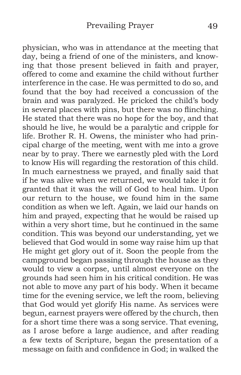physician, who was in attendance at the meeting that day, being a friend of one of the ministers, and knowing that those present believed in faith and prayer, offered to come and examine the child without further interference in the case. He was permitted to do so, and found that the boy had received a concussion of the brain and was paralyzed. He pricked the child's body in several places with pins, but there was no flinching. He stated that there was no hope for the boy, and that should he live, he would be a paralytic and cripple for life. Brother R. H. Owens, the minister who had principal charge of the meeting, went with me into a grove near by to pray. There we earnestly pled with the Lord to know His will regarding the restoration of this child. In much earnestness we prayed, and finally said that if he was alive when we returned, we would take it for granted that it was the will of God to heal him. Upon our return to the house, we found him in the same condition as when we left. Again, we laid our hands on him and prayed, expecting that he would be raised up within a very short time, but he continued in the same condition. This was beyond our understanding, yet we believed that God would in some way raise him up that He might get glory out of it. Soon the people from the campground began passing through the house as they would to view a corpse, until almost everyone on the grounds had seen him in his critical condition. He was not able to move any part of his body. When it became time for the evening service, we left the room, believing that God would yet glorify His name. As services were begun, earnest prayers were offered by the church, then for a short time there was a song service. That evening, as I arose before a large audience, and after reading a few texts of Scripture, began the presentation of a message on faith and confidence in God; in walked the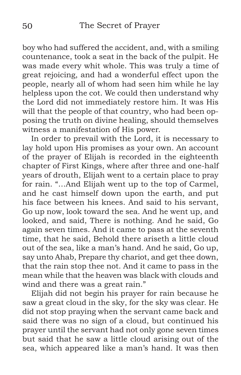boy who had suffered the accident, and, with a smiling countenance, took a seat in the back of the pulpit. He was made every whit whole. This was truly a time of great rejoicing, and had a wonderful effect upon the people, nearly all of whom had seen him while he lay helpless upon the cot. We could then understand why the Lord did not immediately restore him. It was His will that the people of that country, who had been opposing the truth on divine healing, should themselves witness a manifestation of His power.

In order to prevail with the Lord, it is necessary to lay hold upon His promises as your own. An account of the prayer of Elijah is recorded in the eighteenth chapter of First Kings, where after three and one-half years of drouth, Elijah went to a certain place to pray for rain. "…And Elijah went up to the top of Carmel, and he cast himself down upon the earth, and put his face between his knees. And said to his servant, Go up now, look toward the sea. And he went up, and looked, and said, There is nothing. And he said, Go again seven times. And it came to pass at the seventh time, that he said, Behold there ariseth a little cloud out of the sea, like a man's hand. And he said, Go up, say unto Ahab, Prepare thy chariot, and get thee down, that the rain stop thee not. And it came to pass in the mean while that the heaven was black with clouds and wind and there was a great rain."

Elijah did not begin his prayer for rain because he saw a great cloud in the sky, for the sky was clear. He did not stop praying when the servant came back and said there was no sign of a cloud, but continued his prayer until the servant had not only gone seven times but said that he saw a little cloud arising out of the sea, which appeared like a man's hand. It was then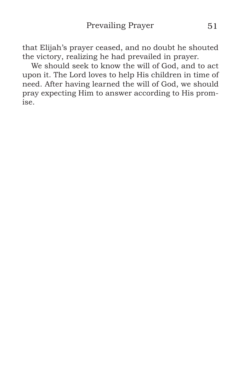that Elijah's prayer ceased, and no doubt he shouted the victory, realizing he had prevailed in prayer.

We should seek to know the will of God, and to act upon it. The Lord loves to help His children in time of need. After having learned the will of God, we should pray expecting Him to answer according to His promise.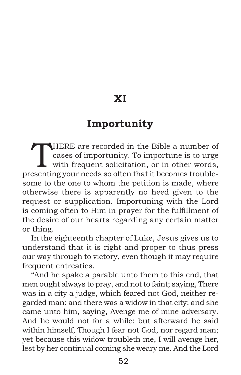# **XI**

## **Importunity**

THERE are recorded in the Bible a number of<br>cases of importunity. To importune is to urge<br>with frequent solicitation, or in other words, cases of importunity. To importune is to urge with frequent solicitation, or in other words, presenting your needs so often that it becomes troublesome to the one to whom the petition is made, where otherwise there is apparently no heed given to the request or supplication. Importuning with the Lord is coming often to Him in prayer for the fulfillment of the desire of our hearts regarding any certain matter or thing.

In the eighteenth chapter of Luke, Jesus gives us to understand that it is right and proper to thus press our way through to victory, even though it may require frequent entreaties.

"And he spake a parable unto them to this end, that men ought always to pray, and not to faint; saying, There was in a city a judge, which feared not God, neither regarded man: and there was a widow in that city; and she came unto him, saying, Avenge me of mine adversary. And he would not for a while: but afterward he said within himself, Though I fear not God, nor regard man; yet because this widow troubleth me, I will avenge her, lest by her continual coming she weary me. And the Lord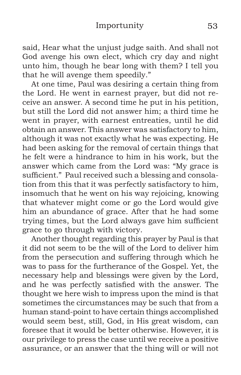#### Importunity 53

said, Hear what the unjust judge saith. And shall not God avenge his own elect, which cry day and night unto him, though he bear long with them? I tell you that he will avenge them speedily."

At one time, Paul was desiring a certain thing from the Lord. He went in earnest prayer, but did not receive an answer. A second time he put in his petition, but still the Lord did not answer him; a third time he went in prayer, with earnest entreaties, until he did obtain an answer. This answer was satisfactory to him, although it was not exactly what he was expecting. He had been asking for the removal of certain things that he felt were a hindrance to him in his work, but the answer which came from the Lord was: "My grace is sufficient." Paul received such a blessing and consolation from this that it was perfectly satisfactory to him, insomuch that he went on his way rejoicing, knowing that whatever might come or go the Lord would give him an abundance of grace. After that he had some trying times, but the Lord always gave him sufficient grace to go through with victory.

Another thought regarding this prayer by Paul is that it did not seem to be the will of the Lord to deliver him from the persecution and suffering through which he was to pass for the furtherance of the Gospel. Yet, the necessary help and blessings were given by the Lord, and he was perfectly satisfied with the answer. The thought we here wish to impress upon the mind is that sometimes the circumstances may be such that from a human stand-point to have certain things accomplished would seem best, still, God, in His great wisdom, can foresee that it would be better otherwise. However, it is our privilege to press the case until we receive a positive assurance, or an answer that the thing will or will not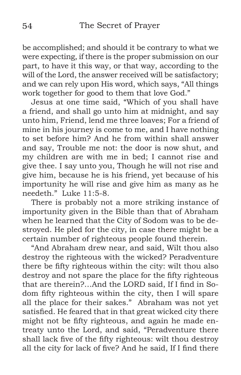be accomplished; and should it be contrary to what we were expecting, if there is the proper submission on our part, to have it this way, or that way, according to the will of the Lord, the answer received will be satisfactory; and we can rely upon His word, which says, "All things work together for good to them that love God."

Jesus at one time said, "Which of you shall have a friend, and shall go unto him at midnight, and say unto him, Friend, lend me three loaves; For a friend of mine in his journey is come to me, and I have nothing to set before him? And he from within shall answer and say, Trouble me not: the door is now shut, and my children are with me in bed; I cannot rise and give thee. I say unto you, Though he will not rise and give him, because he is his friend, yet because of his importunity he will rise and give him as many as he needeth." Luke 11:5-8.

There is probably not a more striking instance of importunity given in the Bible than that of Abraham when he learned that the City of Sodom was to be destroyed. He pled for the city, in case there might be a certain number of righteous people found therein.

"And Abraham drew near, and said, Wilt thou also destroy the righteous with the wicked? Peradventure there be fifty righteous within the city: wilt thou also destroy and not spare the place for the fifty righteous that are therein?…And the LORD said, If I find in Sodom fifty righteous within the city, then I will spare all the place for their sakes." Abraham was not yet satisfied. He feared that in that great wicked city there might not be fifty righteous, and again he made entreaty unto the Lord, and said, "Peradventure there shall lack five of the fifty righteous: wilt thou destroy all the city for lack of five? And he said, If I find there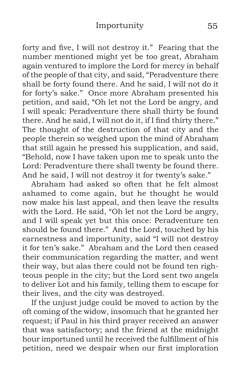forty and five, I will not destroy it." Fearing that the number mentioned might yet be too great, Abraham again ventured to implore the Lord for mercy in behalf of the people of that city, and said, "Peradventure there shall be forty found there. And he said, I will not do it for forty's sake." Once more Abraham presented his petition, and said, "Oh let not the Lord be angry, and I will speak: Peradventure there shall thirty be found there. And he said, I will not do it, if I find thirty there." The thought of the destruction of that city and the people therein so weighed upon the mind of Abraham that still again he pressed his supplication, and said, "Behold, now I have taken upon me to speak unto the Lord: Peradventure there shall twenty be found there. And he said, I will not destroy it for twenty's sake."

Abraham had asked so often that he felt almost ashamed to come again, but he thought he would now make his last appeal, and then leave the results with the Lord. He said, "Oh let not the Lord be angry, and I will speak yet but this once: Peradventure ten should be found there." And the Lord, touched by his earnestness and importunity, said "I will not destroy it for ten's sake." Abraham and the Lord then ceased their communication regarding the matter, and went their way, but alas there could not be found ten righteous people in the city; but the Lord sent two angels to deliver Lot and his family, telling them to escape for their lives, and the city was destroyed.

If the unjust judge could be moved to action by the oft coming of the widow, insomuch that he granted her request; if Paul in his third prayer received an answer that was satisfactory; and the friend at the midnight hour importuned until he received the fulfillment of his petition, need we despair when our first imploration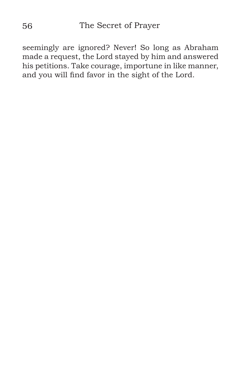seemingly are ignored? Never! So long as Abraham made a request, the Lord stayed by him and answered his petitions. Take courage, importune in like manner, and you will find favor in the sight of the Lord.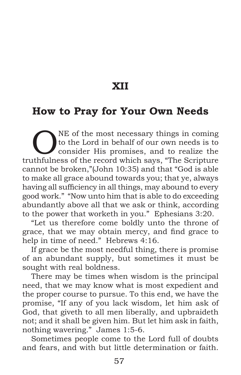**XII**

## **How to Pray for Your Own Needs**

ONE of the most necessary things in coming<br>to the Lord in behalf of our own needs is to<br>consider His promises, and to realize the<br>this places of the record which sous "The Scripture to the Lord in behalf of our own needs is to consider His promises, and to realize the truthfulness of the record which says, "The Scripture cannot be broken,"(John 10:35) and that "God is able to make all grace abound towards you; that ye, always having all sufficiency in all things, may abound to every good work." "Now unto him that is able to do exceeding abundantly above all that we ask or think, according to the power that worketh in you." Ephesians 3:20.

"Let us therefore come boldly unto the throne of grace, that we may obtain mercy, and find grace to help in time of need." Hebrews 4:16.

If grace be the most needful thing, there is promise of an abundant supply, but sometimes it must be sought with real boldness.

There may be times when wisdom is the principal need, that we may know what is most expedient and the proper course to pursue. To this end, we have the promise, "If any of you lack wisdom, let him ask of God, that giveth to all men liberally, and upbraideth not; and it shall be given him. But let him ask in faith, nothing wavering." James 1:5-6.

Sometimes people come to the Lord full of doubts and fears, and with but little determination or faith.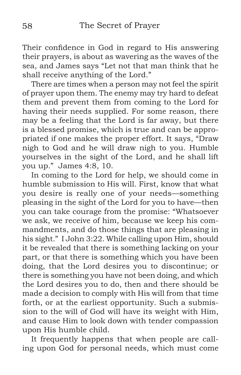Their confidence in God in regard to His answering their prayers, is about as wavering as the waves of the sea, and James says "Let not that man think that he shall receive anything of the Lord."

There are times when a person may not feel the spirit of prayer upon them. The enemy may try hard to defeat them and prevent them from coming to the Lord for having their needs supplied. For some reason, there may be a feeling that the Lord is far away, but there is a blessed promise, which is true and can be appropriated if one makes the proper effort. It says, "Draw nigh to God and he will draw nigh to you. Humble yourselves in the sight of the Lord, and he shall lift you up." James 4:8, 10.

In coming to the Lord for help, we should come in humble submission to His will. First, know that what you desire is really one of your needs—something pleasing in the sight of the Lord for you to have—then you can take courage from the promise: "Whatsoever we ask, we receive of him, because we keep his commandments, and do those things that are pleasing in his sight." I John 3:22. While calling upon Him, should it be revealed that there is something lacking on your part, or that there is something which you have been doing, that the Lord desires you to discontinue; or there is something you have not been doing, and which the Lord desires you to do, then and there should be made a decision to comply with His will from that time forth, or at the earliest opportunity. Such a submission to the will of God will have its weight with Him, and cause Him to look down with tender compassion upon His humble child.

It frequently happens that when people are calling upon God for personal needs, which must come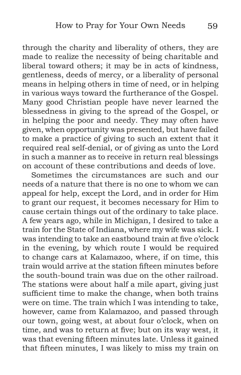through the charity and liberality of others, they are made to realize the necessity of being charitable and liberal toward others; it may be in acts of kindness, gentleness, deeds of mercy, or a liberality of personal means in helping others in time of need, or in helping in various ways toward the furtherance of the Gospel. Many good Christian people have never learned the blessedness in giving to the spread of the Gospel, or in helping the poor and needy. They may often have given, when opportunity was presented, but have failed to make a practice of giving to such an extent that it required real self-denial, or of giving as unto the Lord in such a manner as to receive in return real blessings on account of these contributions and deeds of love.

Sometimes the circumstances are such and our needs of a nature that there is no one to whom we can appeal for help, except the Lord, and in order for Him to grant our request, it becomes necessary for Him to cause certain things out of the ordinary to take place. A few years ago, while in Michigan, I desired to take a train for the State of Indiana, where my wife was sick. I was intending to take an eastbound train at five o'clock in the evening, by which route I would be required to change cars at Kalamazoo, where, if on time, this train would arrive at the station fifteen minutes before the south-bound train was due on the other railroad. The stations were about half a mile apart, giving just sufficient time to make the change, when both trains were on time. The train which I was intending to take, however, came from Kalamazoo, and passed through our town, going west, at about four o'clock, when on time, and was to return at five; but on its way west, it was that evening fifteen minutes late. Unless it gained that fifteen minutes, I was likely to miss my train on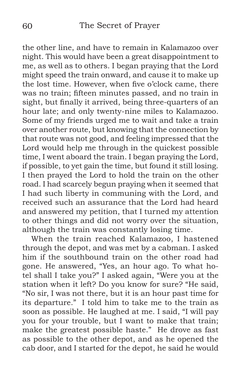the other line, and have to remain in Kalamazoo over night. This would have been a great disappointment to me, as well as to others. I began praying that the Lord might speed the train onward, and cause it to make up the lost time. However, when five o'clock came, there was no train; fifteen minutes passed, and no train in sight, but finally it arrived, being three-quarters of an hour late; and only twenty-nine miles to Kalamazoo. Some of my friends urged me to wait and take a train over another route, but knowing that the connection by that route was not good, and feeling impressed that the Lord would help me through in the quickest possible time, I went aboard the train. I began praying the Lord, if possible, to yet gain the time, but found it still losing. I then prayed the Lord to hold the train on the other road. I had scarcely begun praying when it seemed that I had such liberty in communing with the Lord, and received such an assurance that the Lord had heard and answered my petition, that I turned my attention to other things and did not worry over the situation, although the train was constantly losing time.

When the train reached Kalamazoo, I hastened through the depot, and was met by a cabman. I asked him if the southbound train on the other road had gone. He answered, "Yes, an hour ago. To what hotel shall I take you?" I asked again, "Were you at the station when it left? Do you know for sure? "He said, "No sir, I was not there, but it is an hour past time for its departure." I told him to take me to the train as soon as possible. He laughed at me. I said, "I will pay you for your trouble, but I want to make that train; make the greatest possible haste." He drove as fast as possible to the other depot, and as he opened the cab door, and I started for the depot, he said he would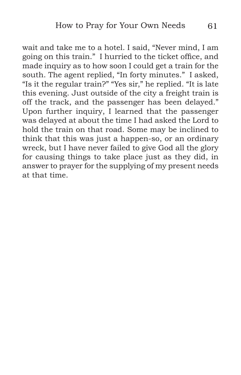wait and take me to a hotel. I said, "Never mind, I am going on this train." I hurried to the ticket office, and made inquiry as to how soon I could get a train for the south. The agent replied, "In forty minutes." I asked, "Is it the regular train?" "Yes sir," he replied. "It is late this evening. Just outside of the city a freight train is off the track, and the passenger has been delayed." Upon further inquiry, I learned that the passenger was delayed at about the time I had asked the Lord to hold the train on that road. Some may be inclined to think that this was just a happen-so, or an ordinary wreck, but I have never failed to give God all the glory for causing things to take place just as they did, in answer to prayer for the supplying of my present needs at that time.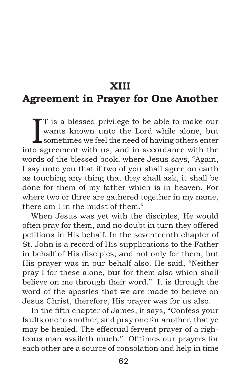#### **XIII**

### **Agreement in Prayer for One Another**

I T is a blessed privilege to be able to make our wants known unto the Lord while alone, but sometimes we feel the need of having others enter into agreement with us, and in accordance with the words of the blessed book, where Jesus says, "Again, I say unto you that if two of you shall agree on earth as touching any thing that they shall ask, it shall be done for them of my father which is in heaven. For where two or three are gathered together in my name, there am I in the midst of them."

When Jesus was yet with the disciples, He would often pray for them, and no doubt in turn they offered petitions in His behalf. In the seventeenth chapter of St. John is a record of His supplications to the Father in behalf of His disciples, and not only for them, but His prayer was in our behalf also. He said, "Neither pray I for these alone, but for them also which shall believe on me through their word." It is through the word of the apostles that we are made to believe on Jesus Christ, therefore, His prayer was for us also.

In the fifth chapter of James, it says, "Confess your faults one to another, and pray one for another, that ye may be healed. The effectual fervent prayer of a righteous man availeth much." Ofttimes our prayers for each other are a source of consolation and help in time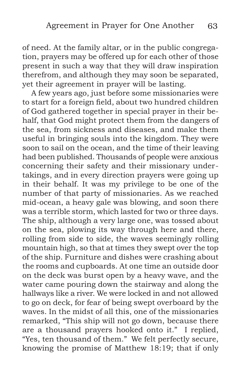of need. At the family altar, or in the public congregation, prayers may be offered up for each other of those present in such a way that they will draw inspiration therefrom, and although they may soon be separated, yet their agreement in prayer will be lasting.

A few years ago, just before some missionaries were to start for a foreign field, about two hundred children of God gathered together in special prayer in their behalf, that God might protect them from the dangers of the sea, from sickness and diseases, and make them useful in bringing souls into the kingdom. They were soon to sail on the ocean, and the time of their leaving had been published. Thousands of people were anxious concerning their safety and their missionary undertakings, and in every direction prayers were going up in their behalf. It was my privilege to be one of the number of that party of missionaries. As we reached mid-ocean, a heavy gale was blowing, and soon there was a terrible storm, which lasted for two or three days. The ship, although a very large one, was tossed about on the sea, plowing its way through here and there, rolling from side to side, the waves seemingly rolling mountain high, so that at times they swept over the top of the ship. Furniture and dishes were crashing about the rooms and cupboards. At one time an outside door on the deck was burst open by a heavy wave, and the water came pouring down the stairway and along the hallways like a river. We were locked in and not allowed to go on deck, for fear of being swept overboard by the waves. In the midst of all this, one of the missionaries remarked, "This ship will not go down, because there are a thousand prayers hooked onto it." I replied, "Yes, ten thousand of them." We felt perfectly secure, knowing the promise of Matthew 18:19; that if only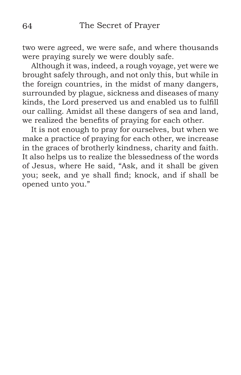two were agreed, we were safe, and where thousands were praying surely we were doubly safe.

Although it was, indeed, a rough voyage, yet were we brought safely through, and not only this, but while in the foreign countries, in the midst of many dangers, surrounded by plague, sickness and diseases of many kinds, the Lord preserved us and enabled us to fulfill our calling. Amidst all these dangers of sea and land, we realized the benefits of praying for each other.

It is not enough to pray for ourselves, but when we make a practice of praying for each other, we increase in the graces of brotherly kindness, charity and faith. It also helps us to realize the blessedness of the words of Jesus, where He said, "Ask, and it shall be given you; seek, and ye shall find; knock, and if shall be opened unto you."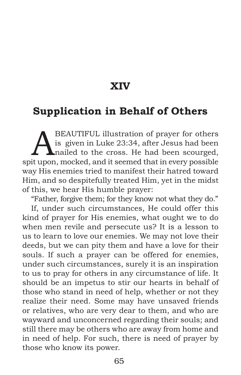#### **XIV**

# **Supplication in Behalf of Others**

BEAUTIFUL illustration of prayer for others<br>is given in Luke 23:34, after Jesus had been<br>nailed to the cross. He had been scourged,<br>it upon mocked and it seemed that in every possible is given in Luke 23:34, after Jesus had been nailed to the cross. He had been scourged, spit upon, mocked, and it seemed that in every possible way His enemies tried to manifest their hatred toward Him, and so despitefully treated Him, yet in the midst of this, we hear His humble prayer:

"Father, forgive them; for they know not what they do."

If, under such circumstances, He could offer this kind of prayer for His enemies, what ought we to do when men revile and persecute us? It is a lesson to us to learn to love our enemies. We may not love their deeds, but we can pity them and have a love for their souls. If such a prayer can be offered for enemies, under such circumstances, surely it is an inspiration to us to pray for others in any circumstance of life. It should be an impetus to stir our hearts in behalf of those who stand in need of help, whether or not they realize their need. Some may have unsaved friends or relatives, who are very dear to them, and who are wayward and unconcerned regarding their souls; and still there may be others who are away from home and in need of help. For such, there is need of prayer by those who know its power.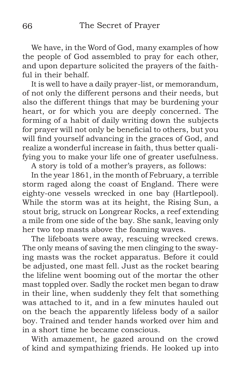We have, in the Word of God, many examples of how the people of God assembled to pray for each other, and upon departure solicited the prayers of the faithful in their behalf.

It is well to have a daily prayer-list, or memorandum, of not only the different persons and their needs, but also the different things that may be burdening your heart, or for which you are deeply concerned. The forming of a habit of daily writing down the subjects for prayer will not only be beneficial to others, but you will find yourself advancing in the graces of God, and realize a wonderful increase in faith, thus better qualifying you to make your life one of greater usefulness.

A story is told of a mother's prayers, as follows:

In the year 1861, in the month of February, a terrible storm raged along the coast of England. There were eighty-one vessels wrecked in one bay (Hartlepool). While the storm was at its height, the Rising Sun, a stout brig, struck on Longrear Rocks, a reef extending a mile from one side of the bay. She sank, leaving only her two top masts above the foaming waves.

The lifeboats were away, rescuing wrecked crews. The only means of saving the men clinging to the swaying masts was the rocket apparatus. Before it could be adjusted, one mast fell. Just as the rocket bearing the lifeline went booming out of the mortar the other mast toppled over. Sadly the rocket men began to draw in their line, when suddenly they felt that something was attached to it, and in a few minutes hauled out on the beach the apparently lifeless body of a sailor boy. Trained and tender hands worked over him and in a short time he became conscious.

With amazement, he gazed around on the crowd of kind and sympathizing friends. He looked up into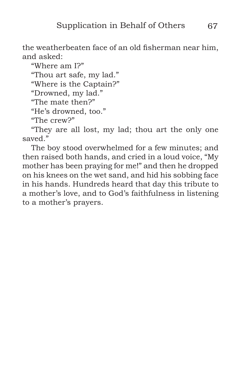the weatherbeaten face of an old fisherman near him, and asked:

"Where am I?" "Thou art safe, my lad." "Where is the Captain?" "Drowned, my lad." "The mate then?" "He's drowned, too." "The crew?"

"They are all lost, my lad; thou art the only one saved."

The boy stood overwhelmed for a few minutes; and then raised both hands, and cried in a loud voice, "My mother has been praying for me!" and then he dropped on his knees on the wet sand, and hid his sobbing face in his hands. Hundreds heard that day this tribute to a mother's love, and to God's faithfulness in listening to a mother's prayers.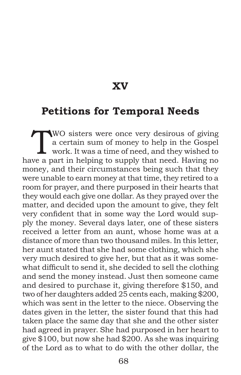**XV**

#### **Petitions for Temporal Needs**

WO sisters were once very desirous of giving<br>a certain sum of money to help in the Gospel<br>work. It was a time of need, and they wished to<br>we a part in helping to sumly that peed. Howing no a certain sum of money to help in the Gospel work. It was a time of need, and they wished to have a part in helping to supply that need. Having no money, and their circumstances being such that they were unable to earn money at that time, they retired to a room for prayer, and there purposed in their hearts that they would each give one dollar. As they prayed over the matter, and decided upon the amount to give, they felt very confident that in some way the Lord would supply the money. Several days later, one of these sisters received a letter from an aunt, whose home was at a distance of more than two thousand miles. In this letter, her aunt stated that she had some clothing, which she very much desired to give her, but that as it was somewhat difficult to send it, she decided to sell the clothing and send the money instead. Just then someone came and desired to purchase it, giving therefore \$150, and two of her daughters added 25 cents each, making \$200, which was sent in the letter to the niece. Observing the dates given in the letter, the sister found that this had taken place the same day that she and the other sister had agreed in prayer. She had purposed in her heart to give \$100, but now she had \$200. As she was inquiring of the Lord as to what to do with the other dollar, the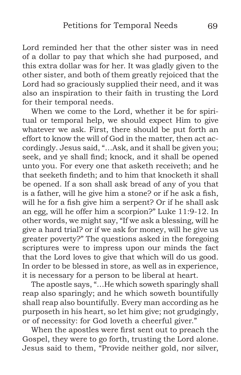Lord reminded her that the other sister was in need of a dollar to pay that which she had purposed, and this extra dollar was for her. It was gladly given to the other sister, and both of them greatly rejoiced that the Lord had so graciously supplied their need, and it was also an inspiration to their faith in trusting the Lord for their temporal needs.

When we come to the Lord, whether it be for spiritual or temporal help, we should expect Him to give whatever we ask. First, there should be put forth an effort to know the will of God in the matter, then act accordingly. Jesus said, "…Ask, and it shall be given you; seek, and ye shall find; knock, and it shall be opened unto you. For every one that asketh receiveth; and he that seeketh findeth; and to him that knocketh it shall be opened. If a son shall ask bread of any of you that is a father, will he give him a stone? or if he ask a fish, will he for a fish give him a serpent? Or if he shall ask an egg, will he offer him a scorpion?" Luke 11:9-12. In other words, we might say, "If we ask a blessing, will he give a hard trial? or if we ask for money, will he give us greater poverty?" The questions asked in the foregoing scriptures were to impress upon our minds the fact that the Lord loves to give that which will do us good. In order to be blessed in store, as well as in experience, it is necessary for a person to be liberal at heart.

The apostle says, "…He which soweth sparingly shall reap also sparingly; and he which soweth bountifully shall reap also bountifully. Every man according as he purposeth in his heart, so let him give; not grudgingly, or of necessity: for God loveth a cheerful giver."

When the apostles were first sent out to preach the Gospel, they were to go forth, trusting the Lord alone. Jesus said to them, "Provide neither gold, nor silver,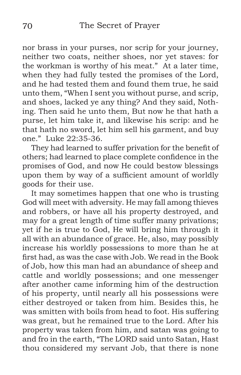nor brass in your purses, nor scrip for your journey, neither two coats, neither shoes, nor yet staves: for the workman is worthy of his meat." At a later time, when they had fully tested the promises of the Lord, and he had tested them and found them true, he said unto them, "When I sent you without purse, and scrip, and shoes, lacked ye any thing? And they said, Nothing. Then said he unto them, But now he that hath a purse, let him take it, and likewise his scrip: and he that hath no sword, let him sell his garment, and buy one." Luke 22:35-36.

They had learned to suffer privation for the benefit of others; had learned to place complete confidence in the promises of God, and now He could bestow blessings upon them by way of a sufficient amount of worldly goods for their use.

It may sometimes happen that one who is trusting God will meet with adversity. He may fall among thieves and robbers, or have all his property destroyed, and may for a great length of time suffer many privations; yet if he is true to God, He will bring him through it all with an abundance of grace. He, also, may possibly increase his worldly possessions to more than he at first had, as was the case with Job. We read in the Book of Job, how this man had an abundance of sheep and cattle and worldly possessions; and one messenger after another came informing him of the destruction of his property, until nearly all his possessions were either destroyed or taken from him. Besides this, he was smitten with boils from head to foot. His suffering was great, but he remained true to the Lord. After his property was taken from him, and satan was going to and fro in the earth, "The LORD said unto Satan, Hast thou considered my servant Job, that there is none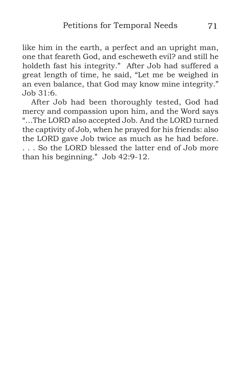like him in the earth, a perfect and an upright man, one that feareth God, and escheweth evil? and still he holdeth fast his integrity." After Job had suffered a great length of time, he said, "Let me be weighed in an even balance, that God may know mine integrity."  $Joh$  31:6.

After Job had been thoroughly tested, God had mercy and compassion upon him, and the Word says "…The LORD also accepted Job. And the LORD turned the captivity of Job, when he prayed for his friends: also the LORD gave Job twice as much as he had before. . . . So the LORD blessed the latter end of Job more than his beginning." Job 42:9-12.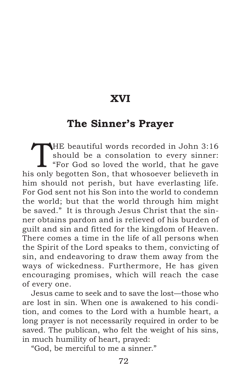## **XVI**

#### **The Sinner's Prayer**

THE beautiful words recorded in John 3:16<br>
should be a consolation to every sinner:<br>
"For God so loved the world, that he gave should be a consolation to every sinner: his only begotten Son, that whosoever believeth in him should not perish, but have everlasting life. For God sent not his Son into the world to condemn the world; but that the world through him might be saved." It is through Jesus Christ that the sinner obtains pardon and is relieved of his burden of guilt and sin and fitted for the kingdom of Heaven. There comes a time in the life of all persons when the Spirit of the Lord speaks to them, convicting of sin, and endeavoring to draw them away from the ways of wickedness. Furthermore, He has given encouraging promises, which will reach the case of every one.

Jesus came to seek and to save the lost—those who are lost in sin. When one is awakened to his condition, and comes to the Lord with a humble heart, a long prayer is not necessarily required in order to be saved. The publican, who felt the weight of his sins, in much humility of heart, prayed:

"God, be merciful to me a sinner."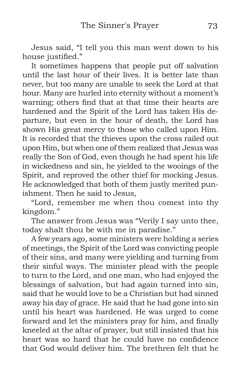Jesus said, "I tell you this man went down to his house justified."

It sometimes happens that people put off salvation until the last hour of their lives. It is better late than never, but too many are unable to seek the Lord at that hour. Many are hurled into eternity without a moment's warning; others find that at that time their hearts are hardened and the Spirit of the Lord has taken His departure, but even in the hour of death, the Lord has shown His great mercy to those who called upon Him. It is recorded that the thieves upon the cross railed out upon Him, but when one of them realized that Jesus was really the Son of God, even though he had spent his life in wickedness and sin, he yielded to the wooings of the Spirit, and reproved the other thief for mocking Jesus. He acknowledged that both of them justly merited punishment. Then he said to Jesus,

"Lord, remember me when thou comest into thy kingdom."

The answer from Jesus was "Verily I say unto thee, today shalt thou be with me in paradise."

A few years ago, some ministers were holding a series of meetings, the Spirit of the Lord was convicting people of their sins, and many were yielding and turning from their sinful ways. The minister plead with the people to turn to the Lord, and one man, who had enjoyed the blessings of salvation, but had again turned into sin, said that he would love to be a Christian but had sinned away his day of grace. He said that he had gone into sin until his heart was hardened. He was urged to come forward and let the ministers pray for him, and finally kneeled at the altar of prayer, but still insisted that his heart was so hard that he could have no confidence that God would deliver him. The brethren felt that he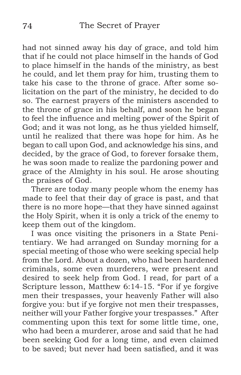had not sinned away his day of grace, and told him that if he could not place himself in the hands of God to place himself in the hands of the ministry, as best he could, and let them pray for him, trusting them to take his case to the throne of grace. After some solicitation on the part of the ministry, he decided to do so. The earnest prayers of the ministers ascended to the throne of grace in his behalf, and soon he began to feel the influence and melting power of the Spirit of God; and it was not long, as he thus yielded himself, until he realized that there was hope for him. As he began to call upon God, and acknowledge his sins, and decided, by the grace of God, to forever forsake them, he was soon made to realize the pardoning power and grace of the Almighty in his soul. He arose shouting the praises of God.

There are today many people whom the enemy has made to feel that their day of grace is past, and that there is no more hope—that they have sinned against the Holy Spirit, when it is only a trick of the enemy to keep them out of the kingdom.

I was once visiting the prisoners in a State Penitentiary. We had arranged on Sunday morning for a special meeting of those who were seeking special help from the Lord. About a dozen, who had been hardened criminals, some even murderers, were present and desired to seek help from God. I read, for part of a Scripture lesson, Matthew 6:14-15. "For if ye forgive men their trespasses, your heavenly Father will also forgive you: but if ye forgive not men their trespasses, neither will your Father forgive your trespasses." After commenting upon this text for some little time, one, who had been a murderer, arose and said that he had been seeking God for a long time, and even claimed to be saved; but never had been satisfied, and it was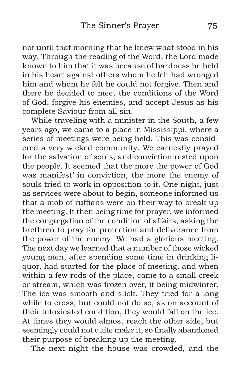not until that morning that he knew what stood in his way. Through the reading of the Word, the Lord made known to him that it was because of hardness he held in his heart against others whom he felt had wronged him and whom he felt he could not forgive. Then and there he decided to meet the conditions of the Word of God, forgive his enemies, and accept Jesus as his complete Saviour from all sin.

While traveling with a minister in the South, a few years ago, we came to a place in Mississippi, where a series of meetings were being held. This was considered a very wicked community. We earnestly prayed for the salvation of souls, and conviction rested upon the people. It seemed that the more the power of God was manifest' in conviction, the more the enemy of souls tried to work in opposition to it. One night, just as services were about to begin, someone informed us that a mob of ruffians were on their way to break up the meeting. It then being time for prayer, we informed the congregation of the condition of affairs, asking the brethren to pray for protection and deliverance from the power of the enemy. We had a glorious meeting. The next day we learned that a number of those wicked young men, after spending some time in drinking liquor, had started for the place of meeting, and when within a few rods of the place, came to a small creek or stream, which was frozen over, it being midwinter. The ice was smooth and slick. They tried for a long while to cross, but could not do so, as on account of their intoxicated condition, they would fall on the ice. At times they would almost reach the other side, but seemingly could not quite make it, so finally abandoned their purpose of breaking up the meeting.

The next night the house was crowded, and the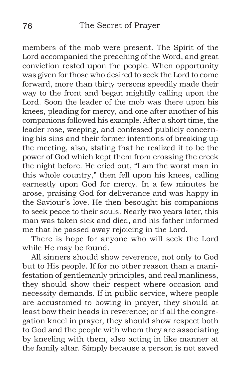members of the mob were present. The Spirit of the Lord accompanied the preaching of the Word, and great conviction rested upon the people. When opportunity was given for those who desired to seek the Lord to come forward, more than thirty persons speedily made their way to the front and began mightily calling upon the Lord. Soon the leader of the mob was there upon his knees, pleading for mercy, and one after another of his companions followed his example. After a short time, the leader rose, weeping, and confessed publicly concerning his sins and their former intentions of breaking up the meeting, also, stating that he realized it to be the power of God which kept them from crossing the creek the night before. He cried out, "I am the worst man in this whole country," then fell upon his knees, calling earnestly upon God for mercy. In a few minutes he arose, praising God for deliverance and was happy in the Saviour's love. He then besought his companions to seek peace to their souls. Nearly two years later, this man was taken sick and died, and his father informed me that he passed away rejoicing in the Lord.

There is hope for anyone who will seek the Lord while He may be found.

All sinners should show reverence, not only to God but to His people. If for no other reason than a manifestation of gentlemanly principles, and real manliness, they should show their respect where occasion and necessity demands. If in public service, where people are accustomed to bowing in prayer, they should at least bow their heads in reverence; or if all the congregation kneel in prayer, they should show respect both to God and the people with whom they are associating by kneeling with them, also acting in like manner at the family altar. Simply because a person is not saved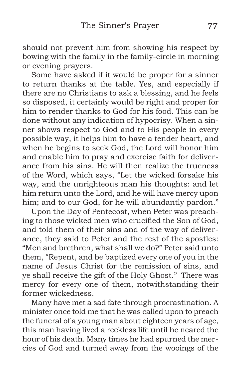should not prevent him from showing his respect by bowing with the family in the family-circle in morning or evening prayers.

Some have asked if it would be proper for a sinner to return thanks at the table. Yes, and especially if there are no Christians to ask a blessing, and he feels so disposed, it certainly would be right and proper for him to render thanks to God for his food. This can be done without any indication of hypocrisy. When a sinner shows respect to God and to His people in every possible way, it helps him to have a tender heart, and when he begins to seek God, the Lord will honor him and enable him to pray and exercise faith for deliverance from his sins. He will then realize the trueness of the Word, which says, "Let the wicked forsake his way, and the unrighteous man his thoughts: and let him return unto the Lord, and he will have mercy upon him; and to our God, for he will abundantly pardon."

Upon the Day of Pentecost, when Peter was preaching to those wicked men who crucified the Son of God, and told them of their sins and of the way of deliverance, they said to Peter and the rest of the apostles: "Men and brethren, what shall we do?" Peter said unto them, "Repent, and be baptized every one of you in the name of Jesus Christ for the remission of sins, and ye shall receive the gift of the Holy Ghost." There was mercy for every one of them, notwithstanding their former wickedness.

Many have met a sad fate through procrastination. A minister once told me that he was called upon to preach the funeral of a young man about eighteen years of age, this man having lived a reckless life until he neared the hour of his death. Many times he had spurned the mercies of God and turned away from the wooings of the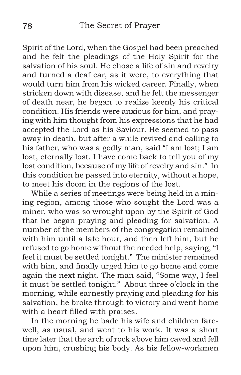Spirit of the Lord, when the Gospel had been preached and he felt the pleadings of the Holy Spirit for the salvation of his soul. He chose a life of sin and revelry and turned a deaf ear, as it were, to everything that would turn him from his wicked career. Finally, when stricken down with disease, and he felt the messenger of death near, he began to realize keenly his critical condition. His friends were anxious for him, and praying with him thought from his expressions that he had accepted the Lord as his Saviour. He seemed to pass away in death, but after a while revived and calling to his father, who was a godly man, said "I am lost; I am lost, eternally lost. I have come back to tell you of my lost condition, because of my life of revelry and sin." In this condition he passed into eternity, without a hope, to meet his doom in the regions of the lost.

While a series of meetings were being held in a mining region, among those who sought the Lord was a miner, who was so wrought upon by the Spirit of God that he began praying and pleading for salvation. A number of the members of the congregation remained with him until a late hour, and then left him, but he refused to go home without the needed help, saying, "I feel it must be settled tonight." The minister remained with him, and finally urged him to go home and come again the next night. The man said, "Some way, I feel it must be settled tonight." About three o'clock in the morning, while earnestly praying and pleading for his salvation, he broke through to victory and went home with a heart filled with praises.

In the morning he bade his wife and children farewell, as usual, and went to his work. It was a short time later that the arch of rock above him caved and fell upon him, crushing his body. As his fellow-workmen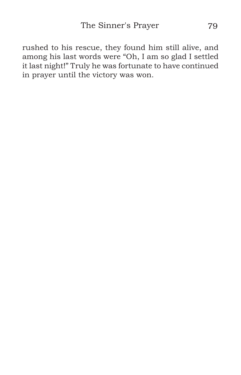rushed to his rescue, they found him still alive, and among his last words were "Oh, I am so glad I settled it last night!" Truly he was fortunate to have continued in prayer until the victory was won.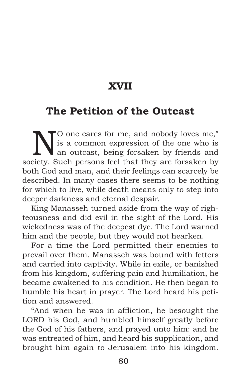# **XVII**

# **The Petition of the Outcast**

N<sup>O</sup> one cares for me, and nobody loves me,"<br>is a common expression of the one who is<br>an outcast, being forsaken by friends and<br>eighty. Such persons feel that they are forsaken by is a common expression of the one who is an outcast, being forsaken by friends and society. Such persons feel that they are forsaken by both God and man, and their feelings can scarcely be described. In many cases there seems to be nothing for which to live, while death means only to step into deeper darkness and eternal despair.

King Manasseh turned aside from the way of righteousness and did evil in the sight of the Lord. His wickedness was of the deepest dye. The Lord warned him and the people, but they would not hearken.

For a time the Lord permitted their enemies to prevail over them. Manasseh was bound with fetters and carried into captivity. While in exile, or banished from his kingdom, suffering pain and humiliation, he became awakened to his condition. He then began to humble his heart in prayer. The Lord heard his petition and answered.

"And when he was in affliction, he besought the LORD his God, and humbled himself greatly before the God of his fathers, and prayed unto him: and he was entreated of him, and heard his supplication, and brought him again to Jerusalem into his kingdom.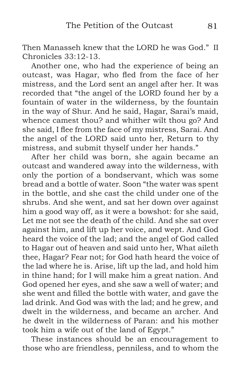Then Manasseh knew that the LORD he was God." II Chronicles 33:12-13.

Another one, who had the experience of being an outcast, was Hagar, who fled from the face of her mistress, and the Lord sent an angel after her. It was recorded that "the angel of the LORD found her by a fountain of water in the wilderness, by the fountain in the way of Shur. And he said, Hagar, Sarai's maid, whence camest thou? and whither wilt thou go? And she said, I flee from the face of my mistress, Sarai. And the angel of the LORD said unto her, Return to thy mistress, and submit thyself under her hands."

After her child was born, she again became an outcast and wandered away into the wilderness, with only the portion of a bondservant, which was some bread and a bottle of water. Soon "the water was spent in the bottle, and she cast the child under one of the shrubs. And she went, and sat her down over against him a good way off, as it were a bowshot: for she said, Let me not see the death of the child. And she sat over against him, and lift up her voice, and wept. And God heard the voice of the lad; and the angel of God called to Hagar out of heaven and said unto her, What aileth thee, Hagar? Fear not; for God hath heard the voice of the lad where he is. Arise, lift up the lad, and hold him in thine hand; for I will make him a great nation. And God opened her eyes, and she saw a well of water; and she went and filled the bottle with water, and gave the lad drink. And God was with the lad; and he grew, and dwelt in the wilderness, and became an archer. And he dwelt in the wilderness of Paran: and his mother took him a wife out of the land of Egypt."

These instances should be an encouragement to those who are friendless, penniless, and to whom the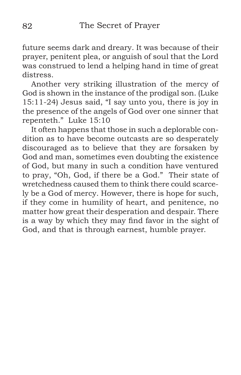future seems dark and dreary. It was because of their prayer, penitent plea, or anguish of soul that the Lord was construed to lend a helping hand in time of great distress.

Another very striking illustration of the mercy of God is shown in the instance of the prodigal son. (Luke 15:11-24) Jesus said, "I say unto you, there is joy in the presence of the angels of God over one sinner that repenteth." Luke 15:10

It often happens that those in such a deplorable condition as to have become outcasts are so desperately discouraged as to believe that they are forsaken by God and man, sometimes even doubting the existence of God, but many in such a condition have ventured to pray, "Oh, God, if there be a God." Their state of wretchedness caused them to think there could scarcely be a God of mercy. However, there is hope for such, if they come in humility of heart, and penitence, no matter how great their desperation and despair. There is a way by which they may find favor in the sight of God, and that is through earnest, humble prayer.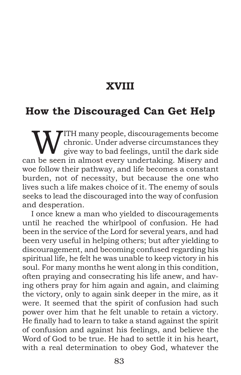# **XVIII**

#### **How the Discouraged Can Get Help**

WITH many people, discouragements become<br>chronic. Under adverse circumstances they<br>give way to bad feelings, until the dark side<br>n be seen in elmost syery undertaking. Misery and chronic. Under adverse circumstances they give way to bad feelings, until the dark side can be seen in almost every undertaking. Misery and woe follow their pathway, and life becomes a constant burden, not of necessity, but because the one who lives such a life makes choice of it. The enemy of souls seeks to lead the discouraged into the way of confusion and desperation.

I once knew a man who yielded to discouragements until he reached the whirlpool of confusion. He had been in the service of the Lord for several years, and had been very useful in helping others; but after yielding to discouragement, and becoming confused regarding his spiritual life, he felt he was unable to keep victory in his soul. For many months he went along in this condition, often praying and consecrating his life anew, and having others pray for him again and again, and claiming the victory, only to again sink deeper in the mire, as it were. It seemed that the spirit of confusion had such power over him that he felt unable to retain a victory. He finally had to learn to take a stand against the spirit of confusion and against his feelings, and believe the Word of God to be true. He had to settle it in his heart, with a real determination to obey God, whatever the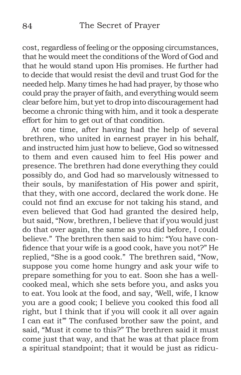cost, regardless of feeling or the opposing circumstances, that he would meet the conditions of the Word of God and that he would stand upon His promises. He further had to decide that would resist the devil and trust God for the needed help. Many times he had had prayer, by those who could pray the prayer of faith, and everything would seem clear before him, but yet to drop into discouragement had become a chronic thing with him, and it took a desperate effort for him to get out of that condition.

At one time, after having had the help of several brethren, who united in earnest prayer in his behalf, and instructed him just how to believe, God so witnessed to them and even caused him to feel His power and presence. The brethren had done everything they could possibly do, and God had so marvelously witnessed to their souls, by manifestation of His power and spirit, that they, with one accord, declared the work done. He could not find an excuse for not taking his stand, and even believed that God had granted the desired help, but said, "Now, brethren, I believe that if you would just do that over again, the same as you did before, I could believe." The brethren then said to him: "You have confidence that your wife is a good cook, have you not?" He replied, "She is a good cook." The brethren said, "Now, suppose you come home hungry and ask your wife to prepare something for you to eat. Soon she has a wellcooked meal, which she sets before you, and asks you to eat. You look at the food, and say, 'Well, wife, I know you are a good cook; I believe you cooked this food all right, but I think that if you will cook it all over again I can eat it'" The confused brother saw the point, and said, "Must it come to this?" The brethren said it must come just that way, and that he was at that place from a spiritual standpoint; that it would be just as ridicu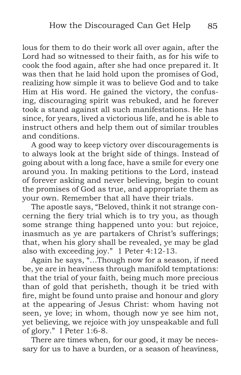lous for them to do their work all over again, after the Lord had so witnessed to their faith, as for his wife to cook the food again, after she had once prepared it. It was then that he laid hold upon the promises of God, realizing how simple it was to believe God and to take Him at His word. He gained the victory, the confusing, discouraging spirit was rebuked, and he forever took a stand against all such manifestations. He has since, for years, lived a victorious life, and he is able to instruct others and help them out of similar troubles and conditions.

A good way to keep victory over discouragements is to always look at the bright side of things. Instead of going about with a long face, have a smile for every one around you. In making petitions to the Lord, instead of forever asking and never believing, begin to count the promises of God as true, and appropriate them as your own. Remember that all have their trials.

The apostle says, "Beloved, think it not strange concerning the fiery trial which is to try you, as though some strange thing happened unto you: but rejoice, inasmuch as ye are partakers of Christ's sufferings; that, when his glory shall be revealed, ye may be glad also with exceeding joy." 1 Peter 4:12-13.

Again he says, "…Though now for a season, if need be, ye are in heaviness through manifold temptations: that the trial of your faith, being much more precious than of gold that perisheth, though it be tried with fire, might be found unto praise and honour and glory at the appearing of Jesus Christ: whom having not seen, ye love; in whom, though now ye see him not, yet believing, we rejoice with joy unspeakable and full of glory." I Peter 1:6-8.

There are times when, for our good, it may be necessary for us to have a burden, or a season of heaviness,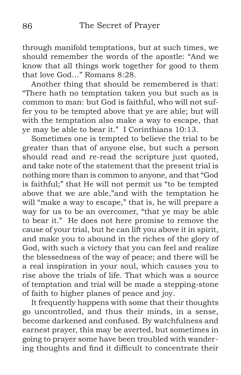through manifold temptations, but at such times, we should remember the words of the apostle: "And we know that all things work together for good to them that love God…" Romans 8:28.

Another thing that should be remembered is that: "There hath no temptation taken you but such as is common to man: but God is faithful, who will not suffer you to be tempted above that ye are able; but will with the temptation also make a way to escape, that ye may be able to bear it." I Corinthians 10:13.

Sometimes one is tempted to believe the trial to be greater than that of anyone else, but such a person should read and re-read the scripture just quoted, and take note of the statement that the present trial is nothing more than is common to anyone, and that "God is faithful;" that He will not permit us "to be tempted above that we are able,"and with the temptation he will "make a way to escape," that is, he will prepare a way for us to be an overcomer, "that ye may be able to bear it." He does not here promise to remove the cause of your trial, but he can lift you above it in spirit, and make you to abound in the riches of the glory of God, with such a victory that you can feel and realize the blessedness of the way of peace; and there will be a real inspiration in your soul, which causes you to rise above the trials of life. That which was a source of temptation and trial will be made a stepping-stone of faith to higher planes of peace and joy.

It frequently happens with some that their thoughts go uncontrolled, and thus their minds, in a sense, become darkened and confused. By watchfulness and earnest prayer, this may be averted, but sometimes in going to prayer some have been troubled with wandering thoughts and find it difficult to concentrate their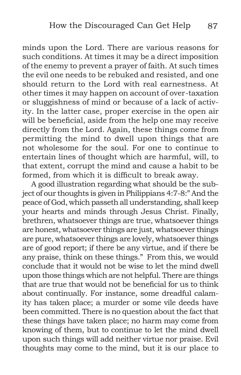minds upon the Lord. There are various reasons for such conditions. At times it may be a direct imposition of the enemy to prevent a prayer of faith. At such times the evil one needs to be rebuked and resisted, and one should return to the Lord with real earnestness. At other times it may happen on account of over-taxation or sluggishness of mind or because of a lack of activity. In the latter case, proper exercise in the open air will be beneficial, aside from the help one may receive directly from the Lord. Again, these things come from permitting the mind to dwell upon things that are not wholesome for the soul. For one to continue to entertain lines of thought which are harmful, will, to that extent, corrupt the mind and cause a habit to be formed, from which it is difficult to break away.

A good illustration regarding what should be the subject of our thoughts is given in Philippians 4:7-8:" And the peace of God, which passeth all understanding, shall keep your hearts and minds through Jesus Christ. Finally, brethren, whatsoever things are true, whatsoever things are honest, whatsoever things are just, whatsoever things are pure, whatsoever things are lovely, whatsoever things are of good report; if there be any virtue, and if there be any praise, think on these things." From this, we would conclude that it would not be wise to let the mind dwell upon those things which are not helpful. There are things that are true that would not be beneficial for us to think about continually. For instance, some dreadful calamity has taken place; a murder or some vile deeds have been committed. There is no question about the fact that these things have taken place; no harm may come from knowing of them, but to continue to let the mind dwell upon such things will add neither virtue nor praise. Evil thoughts may come to the mind, but it is our place to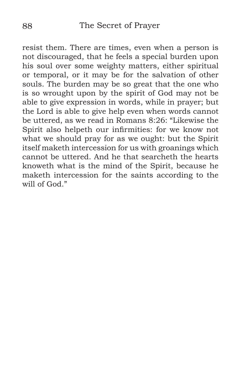resist them. There are times, even when a person is not discouraged, that he feels a special burden upon his soul over some weighty matters, either spiritual or temporal, or it may be for the salvation of other souls. The burden may be so great that the one who is so wrought upon by the spirit of God may not be able to give expression in words, while in prayer; but the Lord is able to give help even when words cannot be uttered, as we read in Romans 8:26: "Likewise the Spirit also helpeth our infirmities: for we know not what we should pray for as we ought: but the Spirit itself maketh intercession for us with groanings which cannot be uttered. And he that searcheth the hearts knoweth what is the mind of the Spirit, because he maketh intercession for the saints according to the will of God."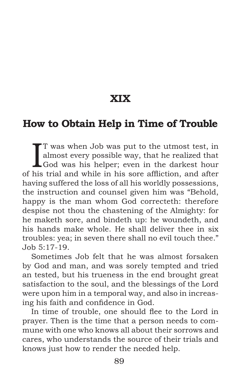**XIX**

#### **How to Obtain Help in Time of Trouble**

I T was when Job was put to the utmost test, in almost every possible way, that he realized that God was his helper; even in the darkest hour of his trial and while in his sore affliction, and after T was when Job was put to the utmost test, in almost every possible way, that he realized that God was his helper; even in the darkest hour having suffered the loss of all his worldly possessions, the instruction and counsel given him was "Behold, happy is the man whom God correcteth: therefore despise not thou the chastening of the Almighty: for he maketh sore, and bindeth up: he woundeth, and his hands make whole. He shall deliver thee in six troubles: yea; in seven there shall no evil touch thee." Job 5:17-19.

Sometimes Job felt that he was almost forsaken by God and man, and was sorely tempted and tried an tested, but his trueness in the end brought great satisfaction to the soul, and the blessings of the Lord were upon him in a temporal way, and also in increasing his faith and confidence in God.

In time of trouble, one should flee to the Lord in prayer. Then is the time that a person needs to commune with one who knows all about their sorrows and cares, who understands the source of their trials and knows just how to render the needed help.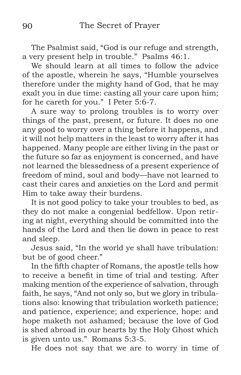The Psalmist said, "God is our refuge and strength, a very present help in trouble." Psalms 46:1.

We should learn at all times to follow the advice of the apostle, wherein he says, "Humble yourselves therefore under the mighty hand of God, that he may exalt you in due time: casting all your care upon him; for he careth for you." I Peter 5:6-7.

A sure way to prolong troubles is to worry over things of the past, present, or future. It does no one any good to worry over a thing before it happens, and it will not help matters in the least to worry after it has happened. Many people are either living in the past or the future so far as enjoyment is concerned, and have not learned the blessedness of a present experience of freedom of mind, soul and body—have not learned to cast their cares and anxieties on the Lord and permit Him to take away their burdens.

It is not good policy to take your troubles to bed, as they do not make a congenial bedfellow. Upon retiring at night, everything should be committed into the hands of the Lord and then lie down in peace to rest and sleep.

Jesus said, "In the world ye shall have tribulation: but be of good cheer."

In the fifth chapter of Romans, the apostle tells how to receive a benefit in time of trial and testing. After making mention of the experience of salvation, through faith, he says, "And not only so, but we glory in tribulations also: knowing that tribulation worketh patience; and patience, experience; and experience, hope: and hope maketh not ashamed; because the love of God is shed abroad in our hearts by the Holy Ghost which is given unto us." Romans 5:3-5.

He does not say that we are to worry in time of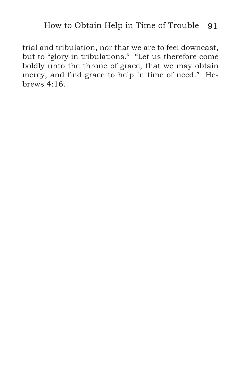trial and tribulation, nor that we are to feel downcast, but to "glory in tribulations." "Let us therefore come boldly unto the throne of grace, that we may obtain mercy, and find grace to help in time of need." Hebrews 4:16.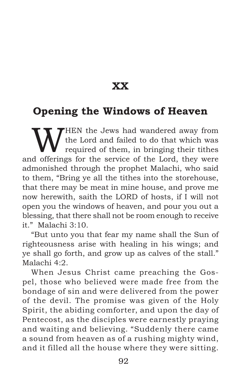**XX**

## **Opening the Windows of Heaven**

WHEN the Jews had wandered away from<br>the Lord and failed to do that which was<br>defering for the corrier of the Lord, they were the Lord and failed to do that which was required of them, in bringing their tithes and offerings for the service of the Lord, they were admonished through the prophet Malachi, who said to them, "Bring ye all the tithes into the storehouse, that there may be meat in mine house, and prove me now herewith, saith the LORD of hosts, if I will not open you the windows of heaven, and pour you out a blessing, that there shall not be room enough to receive it." Malachi 3:10.

"But unto you that fear my name shall the Sun of righteousness arise with healing in his wings; and ye shall go forth, and grow up as calves of the stall." Malachi 4:2.

When Jesus Christ came preaching the Gospel, those who believed were made free from the bondage of sin and were delivered from the power of the devil. The promise was given of the Holy Spirit, the abiding comforter, and upon the day of Pentecost, as the disciples were earnestly praying and waiting and believing. "Suddenly there came a sound from heaven as of a rushing mighty wind, and it filled all the house where they were sitting.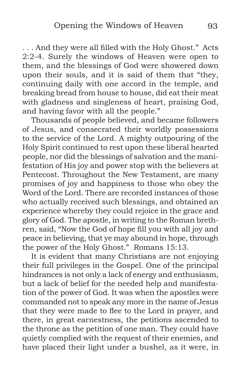. . . And they were all filled with the Holy Ghost." Acts 2:2-4. Surely the windows of Heaven were open to them, and the blessings of God were showered down upon their souls, and it is said of them that "they, continuing daily with one accord in the temple, and breaking bread from house to house, did eat their meat with gladness and singleness of heart, praising God, and having favor with all the people."

Thousands of people believed, and became followers of Jesus, and consecrated their worldly possessions to the service of the Lord. A mighty outpouring of the Holy Spirit continued to rest upon these liberal hearted people, nor did the blessings of salvation and the manifestation of His joy and power stop with the believers at Pentecost. Throughout the New Testament, are many promises of joy and happiness to those who obey the Word of the Lord. There are recorded instances of those who actually received such blessings, and obtained an experience whereby they could rejoice in the grace and glory of God. The apostle, in writing to the Roman brethren, said, "Now the God of hope fill you with all joy and peace in believing, that ye may abound in hope, through the power of the Holy Ghost." Romans 15:13.

It is evident that many Christians are not enjoying their full privileges in the Gospel. One of the principal hindrances is not only a lack of energy and enthusiasm, but a lack of belief for the needed help and manifestation of the power of God. It was when the apostles were commanded not to speak any more in the name of Jesus that they were made to flee to the Lord in prayer, and there, in great earnestness, the petitions ascended to the throne as the petition of one man. They could have quietly complied with the request of their enemies, and have placed their light under a bushel, as it were, in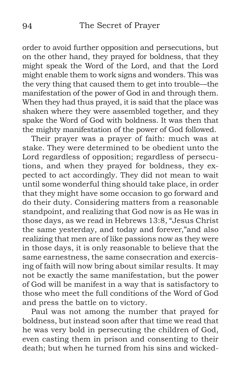order to avoid further opposition and persecutions, but on the other hand, they prayed for boldness, that they might speak the Word of the Lord, and that the Lord might enable them to work signs and wonders. This was the very thing that caused them to get into trouble—the manifestation of the power of God in and through them. When they had thus prayed, it is said that the place was shaken where they were assembled together, and they spake the Word of God with boldness. It was then that the mighty manifestation of the power of God followed.

Their prayer was a prayer of faith: much was at stake. They were determined to be obedient unto the Lord regardless of opposition; regardless of persecutions, and when they prayed for boldness, they expected to act accordingly. They did not mean to wait until some wonderful thing should take place, in order that they might have some occasion to go forward and do their duty. Considering matters from a reasonable standpoint, and realizing that God now is as He was in those days, as we read in Hebrews 13:8, "Jesus Christ the same yesterday, and today and forever,"and also realizing that men are of like passions now as they were in those days, it is only reasonable to believe that the same earnestness, the same consecration and exercising of faith will now bring about similar results. It may not be exactly the same manifestation, but the power of God will be manifest in a way that is satisfactory to those who meet the full conditions of the Word of God and press the battle on to victory.

Paul was not among the number that prayed for boldness, but instead soon after that time we read that he was very bold in persecuting the children of God, even casting them in prison and consenting to their death; but when he turned from his sins and wicked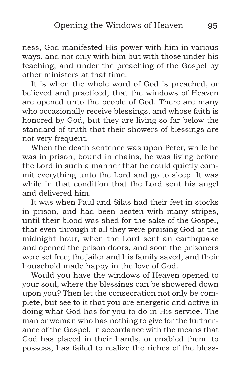ness, God manifested His power with him in various ways, and not only with him but with those under his teaching, and under the preaching of the Gospel by other ministers at that time.

It is when the whole word of God is preached, or believed and practiced, that the windows of Heaven are opened unto the people of God. There are many who occasionally receive blessings, and whose faith is honored by God, but they are living so far below the standard of truth that their showers of blessings are not very frequent.

When the death sentence was upon Peter, while he was in prison, bound in chains, he was living before the Lord in such a manner that he could quietly commit everything unto the Lord and go to sleep. It was while in that condition that the Lord sent his angel and delivered him.

It was when Paul and Silas had their feet in stocks in prison, and had been beaten with many stripes, until their blood was shed for the sake of the Gospel, that even through it all they were praising God at the midnight hour, when the Lord sent an earthquake and opened the prison doors, and soon the prisoners were set free; the jailer and his family saved, and their household made happy in the love of God.

Would you have the windows of Heaven opened to your soul, where the blessings can be showered down upon you? Then let the consecration not only be complete, but see to it that you are energetic and active in doing what God has for you to do in His service. The man or woman who has nothing to give for the furtherance of the Gospel, in accordance with the means that God has placed in their hands, or enabled them. to possess, has failed to realize the riches of the bless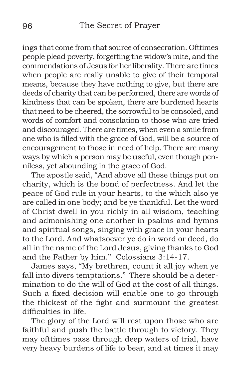ings that come from that source of consecration. Ofttimes people plead poverty, forgetting the widow's mite, and the commendations of Jesus for her liberality. There are times when people are really unable to give of their temporal means, because they have nothing to give, but there are deeds of charity that can be performed, there are words of kindness that can be spoken, there are burdened hearts that need to be cheered, the sorrowful to be consoled, and words of comfort and consolation to those who are tried and discouraged. There are times, when even a smile from one who is filled with the grace of God, will be a source of encouragement to those in need of help. There are many ways by which a person may be useful, even though penniless, yet abounding in the grace of God.

The apostle said, "And above all these things put on charity, which is the bond of perfectness. And let the peace of God rule in your hearts, to the which also ye are called in one body; and be ye thankful. Let the word of Christ dwell in you richly in all wisdom, teaching and admonishing one another in psalms and hymns and spiritual songs, singing with grace in your hearts to the Lord. And whatsoever ye do in word or deed, do all in the name of the Lord Jesus, giving thanks to God and the Father by him." Colossians 3:14-17.

James says, "My brethren, count it all joy when ye fall into divers temptations." There should be a determination to do the will of God at the cost of all things. Such a fixed decision will enable one to go through the thickest of the fight and surmount the greatest difficulties in life.

The glory of the Lord will rest upon those who are faithful and push the battle through to victory. They may ofttimes pass through deep waters of trial, have very heavy burdens of life to bear, and at times it may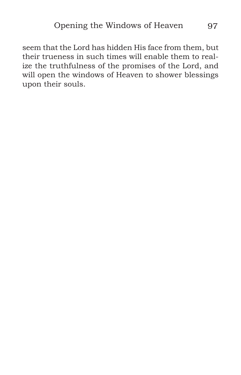seem that the Lord has hidden His face from them, but their trueness in such times will enable them to realize the truthfulness of the promises of the Lord, and will open the windows of Heaven to shower blessings upon their souls.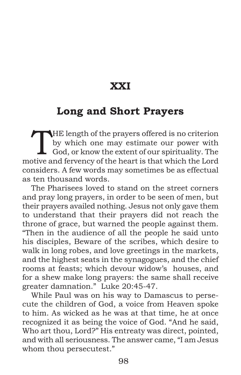#### **XXI**

# **Long and Short Prayers**

THE length of the prayers offered is no criterion<br>by which one may estimate our power with<br>God, or know the extent of our spirituality. The<br>stive and forward of the beart is that which the lord by which one may estimate our power with motive and fervency of the heart is that which the Lord considers. A few words may sometimes be as effectual as ten thousand words.

The Pharisees loved to stand on the street corners and pray long prayers, in order to be seen of men, but their prayers availed nothing. Jesus not only gave them to understand that their prayers did not reach the throne of grace, but warned the people against them. "Then in the audience of all the people he said unto his disciples, Beware of the scribes, which desire to walk in long robes, and love greetings in the markets, and the highest seats in the synagogues, and the chief rooms at feasts; which devour widow's houses, and for a shew make long prayers: the same shall receive greater damnation." Luke 20:45-47.

While Paul was on his way to Damascus to persecute the children of God, a voice from Heaven spoke to him. As wicked as he was at that time, he at once recognized it as being the voice of God. "And he said, Who art thou, Lord?" His entreaty was direct, pointed, and with all seriousness. The answer came, "I am Jesus whom thou persecutest."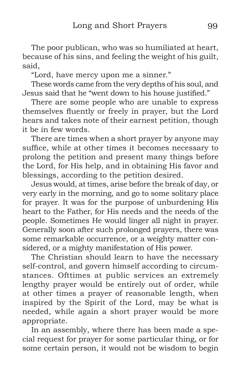The poor publican, who was so humiliated at heart, because of his sins, and feeling the weight of his guilt, said,

"Lord, have mercy upon me a sinner."

These words came from the very depths of his soul, and Jesus said that he "went down to his house justified."

There are some people who are unable to express themselves fluently or freely in prayer, but the Lord hears and takes note of their earnest petition, though it be in few words.

There are times when a short prayer by anyone may suffice, while at other times it becomes necessary to prolong the petition and present many things before the Lord, for His help, and in obtaining His favor and blessings, according to the petition desired.

Jesus would, at times, arise before the break of day, or very early in the morning, and go to some solitary place for prayer. It was for the purpose of unburdening His heart to the Father, for His needs and the needs of the people. Sometimes He would linger all night in prayer. Generally soon after such prolonged prayers, there was some remarkable occurrence, or a weighty matter considered, or a mighty manifestation of His power.

The Christian should learn to have the necessary self-control, and govern himself according to circumstances. Ofttimes at public services an extremely lengthy prayer would be entirely out of order, while at other times a prayer of reasonable length, when inspired by the Spirit of the Lord, may be what is needed, while again a short prayer would be more appropriate.

In an assembly, where there has been made a special request for prayer for some particular thing, or for some certain person, it would not be wisdom to begin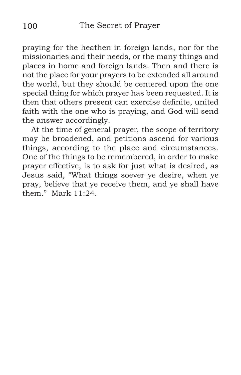praying for the heathen in foreign lands, nor for the missionaries and their needs, or the many things and places in home and foreign lands. Then and there is not the place for your prayers to be extended all around the world, but they should be centered upon the one special thing for which prayer has been requested. It is then that others present can exercise definite, united faith with the one who is praying, and God will send the answer accordingly.

At the time of general prayer, the scope of territory may be broadened, and petitions ascend for various things, according to the place and circumstances. One of the things to be remembered, in order to make prayer effective, is to ask for just what is desired, as Jesus said, "What things soever ye desire, when ye pray, believe that ye receive them, and ye shall have them." Mark 11:24.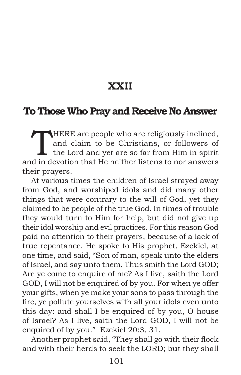### **XXII**

#### **To Those Who Pray and Receive No Answer**

THERE are people who are religiously inclined,<br>and claim to be Christians, or followers of<br>the Lord and yet are so far from Him in spirit<br>d in devetion that He poither listens to nor answers and claim to be Christians, or followers of the Lord and yet are so far from Him in spirit and in devotion that He neither listens to nor answers their prayers.

At various times the children of Israel strayed away from God, and worshiped idols and did many other things that were contrary to the will of God, yet they claimed to be people of the true God. In times of trouble they would turn to Him for help, but did not give up their idol worship and evil practices. For this reason God paid no attention to their prayers, because of a lack of true repentance. He spoke to His prophet, Ezekiel, at one time, and said, "Son of man, speak unto the elders of Israel, and say unto them, Thus smith the Lord GOD; Are ye come to enquire of me? As I live, saith the Lord GOD, I will not be enquired of by you. For when ye offer your gifts, when ye make your sons to pass through the fire, ye pollute yourselves with all your idols even unto this day: and shall I be enquired of by you, O house of Israel? As I live, saith the Lord GOD, I will not be enquired of by you." Ezekiel 20:3, 31.

Another prophet said, "They shall go with their flock and with their herds to seek the LORD; but they shall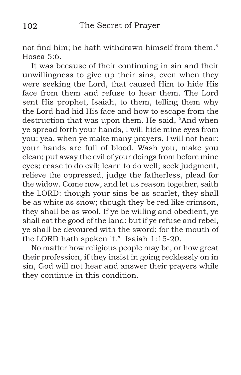not find him; he hath withdrawn himself from them." Hosea 5:6.

It was because of their continuing in sin and their unwillingness to give up their sins, even when they were seeking the Lord, that caused Him to hide His face from them and refuse to hear them. The Lord sent His prophet, Isaiah, to them, telling them why the Lord had hid His face and how to escape from the destruction that was upon them. He said, "And when ye spread forth your hands, I will hide mine eyes from you: yea, when ye make many prayers, I will not hear: your hands are full of blood. Wash you, make you clean; put away the evil of your doings from before mine eyes; cease to do evil; learn to do well; seek judgment, relieve the oppressed, judge the fatherless, plead for the widow. Come now, and let us reason together, saith the LORD: though your sins be as scarlet, they shall be as white as snow; though they be red like crimson, they shall be as wool. If ye be willing and obedient, ye shall eat the good of the land: but if ye refuse and rebel, ye shall be devoured with the sword: for the mouth of the LORD hath spoken it." Isaiah 1:15-20.

No matter how religious people may be, or how great their profession, if they insist in going recklessly on in sin, God will not hear and answer their prayers while they continue in this condition.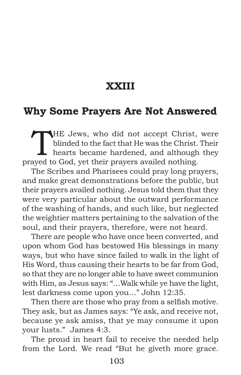## **XXIII**

#### **Why Some Prayers Are Not Answered**

THE Jews, who did not accept Christ, were<br>blinded to the fact that He was the Christ. Their<br>hearts became hardened, and although they<br>aveiled nothing blinded to the fact that He was the Christ. Their hearts became hardened, and although they prayed to God, yet their prayers availed nothing.

The Scribes and Pharisees could pray long prayers, and make great demonstrations before the public, but their prayers availed nothing. Jesus told them that they were very particular about the outward performance of the washing of hands, and such like, but neglected the weightier matters pertaining to the salvation of the soul, and their prayers, therefore, were not heard.

There are people who have once been converted, and upon whom God has bestowed His blessings in many ways, but who have since failed to walk in the light of His Word, thus causing their hearts to be far from God, so that they are no longer able to have sweet communion with Him, as Jesus says: "…Walk while ye have the light, lest darkness come upon you…" John 12:35.

Then there are those who pray from a selfish motive. They ask, but as James says: "Ye ask, and receive not, because ye ask amiss, that ye may consume it upon your lusts." James 4:3.

The proud in heart fail to receive the needed help from the Lord. We read "But he giveth more grace.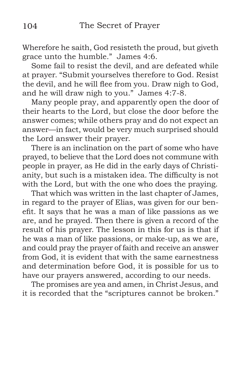Wherefore he saith, God resisteth the proud, but giveth grace unto the humble." James 4:6.

Some fail to resist the devil, and are defeated while at prayer. "Submit yourselves therefore to God. Resist the devil, and he will flee from you. Draw nigh to God, and he will draw nigh to you." James 4:7-8.

Many people pray, and apparently open the door of their hearts to the Lord, but close the door before the answer comes; while others pray and do not expect an answer—in fact, would be very much surprised should the Lord answer their prayer.

There is an inclination on the part of some who have prayed, to believe that the Lord does not commune with people in prayer, as He did in the early days of Christianity, but such is a mistaken idea. The difficulty is not with the Lord, but with the one who does the praying.

That which was written in the last chapter of James, in regard to the prayer of Elias, was given for our benefit. It says that he was a man of like passions as we are, and he prayed. Then there is given a record of the result of his prayer. The lesson in this for us is that if he was a man of like passions, or make-up, as we are, and could pray the prayer of faith and receive an answer from God, it is evident that with the same earnestness and determination before God, it is possible for us to have our prayers answered, according to our needs.

The promises are yea and amen, in Christ Jesus, and it is recorded that the "scriptures cannot be broken."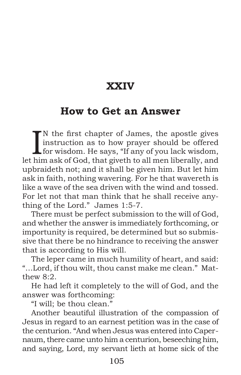## **XXIV**

#### **How to Get an Answer**

IN the first chapter of James, the apostle gives<br>instruction as to how prayer should be offered<br>for wisdom. He says, "If any of you lack wisdom,<br>him only of God, that given to all man liberally, and N the first chapter of James, the apostle gives instruction as to how prayer should be offered let him ask of God, that giveth to all men liberally, and upbraideth not; and it shall be given him. But let him ask in faith, nothing wavering. For he that wavereth is like a wave of the sea driven with the wind and tossed. For let not that man think that he shall receive anything of the Lord." James 1:5-7.

There must be perfect submission to the will of God, and whether the answer is immediately forthcoming, or importunity is required, be determined but so submissive that there be no hindrance to receiving the answer that is according to His will.

The leper came in much humility of heart, and said: "…Lord, if thou wilt, thou canst make me clean." Matthew 8:2.

He had left it completely to the will of God, and the answer was forthcoming:

"I will; be thou clean."

Another beautiful illustration of the compassion of Jesus in regard to an earnest petition was in the case of the centurion. "And when Jesus was entered into Capernaum, there came unto him a centurion, beseeching him, and saying, Lord, my servant lieth at home sick of the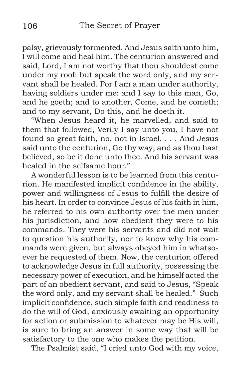palsy, grievously tormented. And Jesus saith unto him, I will come and heal him. The centurion answered and said, Lord, I am not worthy that thou shouldest come under my roof: but speak the word only, and my servant shall be healed. For I am a man under authority, having soldiers under me: and I say to this man, Go, and he goeth; and to another, Come, and he cometh; and to my servant, Do this, and he doeth it.

"When Jesus heard it, he marvelled, and said to them that followed, Verily I say unto you, I have not found so great faith, no, not in Israel. . . . And Jesus said unto the centurion, Go thy way; and as thou hast believed, so be it done unto thee. And his servant was healed in the selfsame hour."

A wonderful lesson is to be learned from this centurion. He manifested implicit confidence in the ability, power and willingness of Jesus to fulfill the desire of his heart. In order to convince Jesus of his faith in him, he referred to his own authority over the men under his jurisdiction, and how obedient they were to his commands. They were his servants and did not wait to question his authority, nor to know why his commands were given, but always obeyed him in whatsoever he requested of them. Now, the centurion offered to acknowledge Jesus in full authority, possessing the necessary power of execution, and he himself acted the part of an obedient servant, and said to Jesus, "Speak the word only, and my servant shall be healed." Such implicit confidence, such simple faith and readiness to do the will of God, anxiously awaiting an opportunity for action or submission to whatever may be His will, is sure to bring an answer in some way that will be satisfactory to the one who makes the petition.

The Psalmist said, "I cried unto God with my voice,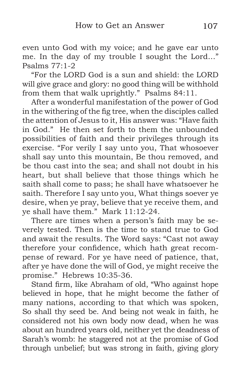even unto God with my voice; and he gave ear unto me. In the day of my trouble I sought the Lord…" Psalms  $77 \cdot 1 - 2$ 

"For the LORD God is a sun and shield: the LORD will give grace and glory: no good thing will be withhold from them that walk uprightly." Psalms 84:11.

After a wonderful manifestation of the power of God in the withering of the fig tree, when the disciples called the attention of Jesus to it, His answer was: "Have faith in God." He then set forth to them the unbounded possibilities of faith and their privileges through its exercise. "For verily I say unto you, That whosoever shall say unto this mountain, Be thou removed, and be thou cast into the sea; and shall not doubt in his heart, but shall believe that those things which he saith shall come to pass; he shall have whatsoever he saith. Therefore I say unto you, What things soever ye desire, when ye pray, believe that ye receive them, and ye shall have them." Mark 11:12-24.

There are times when a person's faith may be severely tested. Then is the time to stand true to God and await the results. The Word says: "Cast not away therefore your confidence, which hath great recompense of reward. For ye have need of patience, that, after ye have done the will of God, ye might receive the promise." Hebrews 10:35-36.

Stand firm, like Abraham of old, "Who against hope believed in hope, that he might become the father of many nations, according to that which was spoken, So shall thy seed be. And being not weak in faith, he considered not his own body now dead, when he was about an hundred years old, neither yet the deadness of Sarah's womb: he staggered not at the promise of God through unbelief; but was strong in faith, giving glory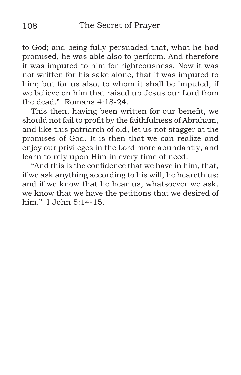to God; and being fully persuaded that, what he had promised, he was able also to perform. And therefore it was imputed to him for righteousness. Now it was not written for his sake alone, that it was imputed to him; but for us also, to whom it shall be imputed, if we believe on him that raised up Jesus our Lord from the dead." Romans 4:18-24.

This then, having been written for our benefit, we should not fail to profit by the faithfulness of Abraham, and like this patriarch of old, let us not stagger at the promises of God. It is then that we can realize and enjoy our privileges in the Lord more abundantly, and learn to rely upon Him in every time of need.

"And this is the confidence that we have in him, that, if we ask anything according to his will, he heareth us: and if we know that he hear us, whatsoever we ask, we know that we have the petitions that we desired of him." I John 5:14-15.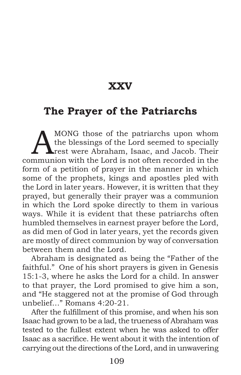### **XXV**

### **The Prayer of the Patriarchs**

MONG those of the patriarchs upon whom<br>the blessings of the Lord seemed to specially<br>rest were Abraham, Isaac, and Jacob. Their the blessings of the Lord seemed to specially **A**rest were Abraham, Isaac, and Jacob. Their communion with the Lord is not often recorded in the form of a petition of prayer in the manner in which some of the prophets, kings and apostles pled with the Lord in later years. However, it is written that they prayed, but generally their prayer was a communion in which the Lord spoke directly to them in various ways. While it is evident that these patriarchs often humbled themselves in earnest prayer before the Lord, as did men of God in later years, yet the records given are mostly of direct communion by way of conversation between them and the Lord.

Abraham is designated as being the "Father of the faithful." One of his short prayers is given in Genesis 15:1-3, where he asks the Lord for a child. In answer to that prayer, the Lord promised to give him a son, and "He staggered not at the promise of God through unbelief…" Romans 4:20-21.

After the fulfillment of this promise, and when his son Isaac had grown to be a lad, the trueness of Abraham was tested to the fullest extent when he was asked to offer Isaac as a sacrifice. He went about it with the intention of carrying out the directions of the Lord, and in unwavering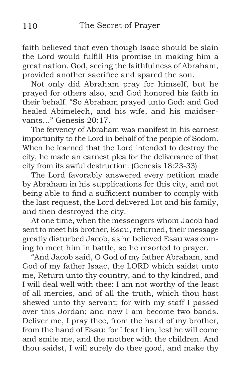faith believed that even though Isaac should be slain the Lord would fulfill His promise in making him a great nation. God, seeing the faithfulness of Abraham, provided another sacrifice and spared the son.

Not only did Abraham pray for himself, but he prayed for others also, and God honored his faith in their behalf. "So Abraham prayed unto God: and God healed Abimelech, and his wife, and his maidservants…" Genesis 20:17.

The fervency of Abraham was manifest in his earnest importunity to the Lord in behalf of the people of Sodom. When he learned that the Lord intended to destroy the city, he made an earnest plea for the deliverance of that city from its awful destruction. (Genesis 18:23-33)

The Lord favorably answered every petition made by Abraham in his supplications for this city, and not being able to find a sufficient number to comply with the last request, the Lord delivered Lot and his family, and then destroyed the city.

At one time, when the messengers whom Jacob had sent to meet his brother, Esau, returned, their message greatly disturbed Jacob, as he believed Esau was coming to meet him in battle, so he resorted to prayer.

"And Jacob said, O God of my father Abraham, and God of my father Isaac, the LORD which saidst unto me, Return unto thy country, and to thy kindred, and I will deal well with thee: I am not worthy of the least of all mercies, and of all the truth, which thou hast shewed unto thy servant; for with my staff I passed over this Jordan; and now I am become two bands. Deliver me, I pray thee, from the hand of my brother, from the hand of Esau: for I fear him, lest he will come and smite me, and the mother with the children. And thou saidst, I will surely do thee good, and make thy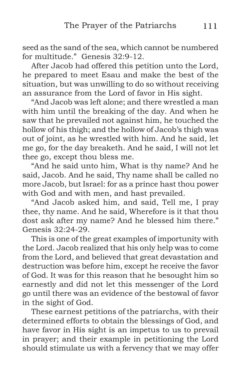seed as the sand of the sea, which cannot be numbered for multitude." Genesis 32:9-12.

After Jacob had offered this petition unto the Lord, he prepared to meet Esau and make the best of the situation, but was unwilling to do so without receiving an assurance from the Lord of favor in His sight.

"And Jacob was left alone; and there wrestled a man with him until the breaking of the day. And when he saw that he prevailed not against him, he touched the hollow of his thigh; and the hollow of Jacob's thigh was out of joint, as he wrestled with him. And he said, let me go, for the day breaketh. And he said, I will not let thee go, except thou bless me.

"And he said unto him, What is thy name? And he said, Jacob. And he said, Thy name shall be called no more Jacob, but Israel: for as a prince hast thou power with God and with men, and hast prevailed.

"And Jacob asked him, and said, Tell me, I pray thee, thy name. And he said, Wherefore is it that thou dost ask after my name? And he blessed him there." Genesis 32:24-29.

This is one of the great examples of importunity with the Lord. Jacob realized that his only help was to come from the Lord, and believed that great devastation and destruction was before him, except he receive the favor of God. It was for this reason that he besought him so earnestly and did not let this messenger of the Lord go until there was an evidence of the bestowal of favor in the sight of God.

These earnest petitions of the patriarchs, with their determined efforts to obtain the blessings of God, and have favor in His sight is an impetus to us to prevail in prayer; and their example in petitioning the Lord should stimulate us with a fervency that we may offer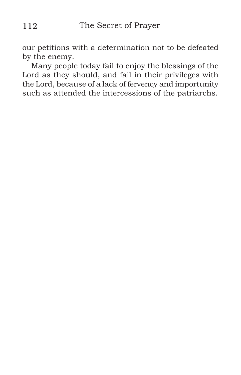our petitions with a determination not to be defeated by the enemy.

Many people today fail to enjoy the blessings of the Lord as they should, and fail in their privileges with the Lord, because of a lack of fervency and importunity such as attended the intercessions of the patriarchs.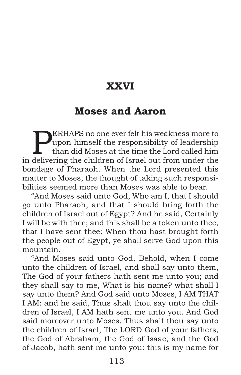# **XXVI**

### **Moses and Aaron**

**PERHAPS** no one ever felt his weakness more to<br>upon himself the responsibility of leadership<br>than did Moses at the time the Lord called him<br>delivering the objection of largel out from under the upon himself the responsibility of leadership than did Moses at the time the Lord called him in delivering the children of Israel out from under the bondage of Pharaoh. When the Lord presented this matter to Moses, the thought of taking such responsibilities seemed more than Moses was able to bear.

"And Moses said unto God, Who am I, that I should go unto Pharaoh, and that I should bring forth the children of Israel out of Egypt? And he said, Certainly I will be with thee; and this shall be a token unto thee, that I have sent thee: When thou hast brought forth the people out of Egypt, ye shall serve God upon this mountain.

"And Moses said unto God, Behold, when I come unto the children of Israel, and shall say unto them, The God of your fathers hath sent me unto you; and they shall say to me, What is his name? what shall I say unto them? And God said unto Moses, I AM THAT I AM: and he said, Thus shalt thou say unto the children of Israel, I AM hath sent me unto you. And God said moreover unto Moses, Thus shalt thou say unto the children of Israel, The LORD God of your fathers, the God of Abraham, the God of Isaac, and the God of Jacob, hath sent me unto you: this is my name for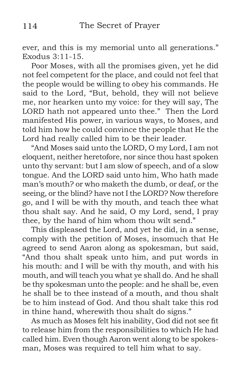ever, and this is my memorial unto all generations." Exodus 3:11-15.

Poor Moses, with all the promises given, yet he did not feel competent for the place, and could not feel that the people would be willing to obey his commands. He said to the Lord, "But, behold, they will not believe me, nor hearken unto my voice: for they will say, The LORD hath not appeared unto thee." Then the Lord manifested His power, in various ways, to Moses, and told him how he could convince the people that He the Lord had really called him to be their leader.

"And Moses said unto the LORD, O my Lord, I am not eloquent, neither heretofore, nor since thou hast spoken unto thy servant: but I am slow of speech, and of a slow tongue. And the LORD said unto him, Who hath made man's mouth? or who maketh the dumb, or deaf, or the seeing, or the blind? have not I the LORD? Now therefore go, and I will be with thy mouth, and teach thee what thou shalt say. And he said, O my Lord, send, I pray thee, by the hand of him whom thou wilt send."

This displeased the Lord, and yet he did, in a sense, comply with the petition of Moses, insomuch that He agreed to send Aaron along as spokesman, but said, "And thou shalt speak unto him, and put words in his mouth: and I will be with thy mouth, and with his mouth, and will teach you what ye shall do. And he shall be thy spokesman unto the people: and he shall be, even he shall be to thee instead of a mouth, and thou shalt be to him instead of God. And thou shalt take this rod in thine hand, wherewith thou shalt do signs."

As much as Moses felt his inability, God did not see fit to release him from the responsibilities to which He had called him. Even though Aaron went along to be spokesman, Moses was required to tell him what to say.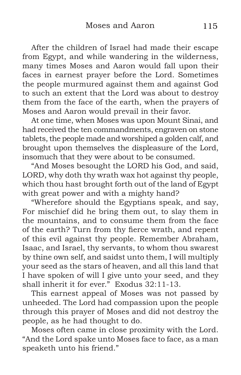After the children of Israel had made their escape from Egypt, and while wandering in the wilderness, many times Moses and Aaron would fall upon their faces in earnest prayer before the Lord. Sometimes the people murmured against them and against God to such an extent that the Lord was about to destroy them from the face of the earth, when the prayers of Moses and Aaron would prevail in their favor.

At one time, when Moses was upon Mount Sinai, and had received the ten commandments, engraven on stone tablets, the people made and worshiped a golden calf, and brought upon themselves the displeasure of the Lord, insomuch that they were about to be consumed.

"And Moses besought the LORD his God, and said, LORD, why doth thy wrath wax hot against thy people, which thou hast brought forth out of the land of Egypt with great power and with a mighty hand?

"Wherefore should the Egyptians speak, and say, For mischief did he bring them out, to slay them in the mountains, and to consume them from the face of the earth? Turn from thy fierce wrath, and repent of this evil against thy people. Remember Abraham, Isaac, and Israel, thy servants, to whom thou swarest by thine own self, and saidst unto them, I will multiply your seed as the stars of heaven, and all this land that I have spoken of will I give unto your seed, and they shall inherit it for ever." Exodus 32:11-13.

This earnest appeal of Moses was not passed by unheeded. The Lord had compassion upon the people through this prayer of Moses and did not destroy the people, as he had thought to do.

Moses often came in close proximity with the Lord. "And the Lord spake unto Moses face to face, as a man speaketh unto his friend."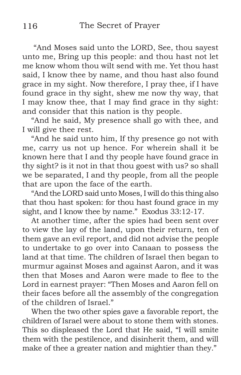"And Moses said unto the LORD, See, thou sayest unto me, Bring up this people: and thou hast not let me know whom thou wilt send with me. Yet thou hast said, I know thee by name, and thou hast also found grace in my sight. Now therefore, I pray thee, if I have found grace in thy sight, shew me now thy way, that I may know thee, that I may find grace in thy sight: and consider that this nation is thy people.

"And he said, My presence shall go with thee, and I will give thee rest.

"And he said unto him, If thy presence go not with me, carry us not up hence. For wherein shall it be known here that I and thy people have found grace in thy sight? is it not in that thou goest with us? so shall we be separated, I and thy people, from all the people that are upon the face of the earth.

"And the LORD said unto Moses, I will do this thing also that thou hast spoken: for thou hast found grace in my sight, and I know thee by name." Exodus 33:12-17.

At another time, after the spies had been sent over to view the lay of the land, upon their return, ten of them gave an evil report, and did not advise the people to undertake to go over into Canaan to possess the land at that time. The children of Israel then began to murmur against Moses and against Aaron, and it was then that Moses and Aaron were made to flee to the Lord in earnest prayer: "Then Moses and Aaron fell on their faces before all the assembly of the congregation of the children of Israel."

When the two other spies gave a favorable report, the children of Israel were about to stone them with stones. This so displeased the Lord that He said, "I will smite them with the pestilence, and disinherit them, and will make of thee a greater nation and mightier than they."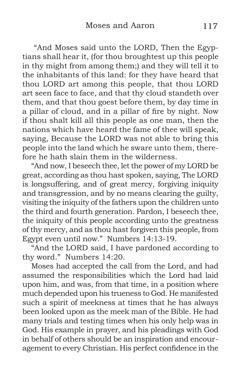"And Moses said unto the LORD, Then the Egyptians shall hear it, (for thou broughtest up this people in thy might from among them;) and they will tell it to the inhabitants of this land: for they have heard that thou LORD art among this people, that thou LORD art seen face to face, and that thy cloud standeth over them, and that thou goest before them, by day time in a pillar of cloud, and in a pillar of fire by night. Now if thou shalt kill all this people as one man, then the nations which have heard the fame of thee will speak, saying, Because the LORD was not able to bring this people into the land which he sware unto them, therefore he hath slain them in the wilderness.

"And now, I beseech thee, let the power of my LORD be great, according as thou hast spoken, saying, The LORD is longsuffering, and of great mercy, forgiving iniquity and transgression, and by no means clearing the guilty, visiting the iniquity of the fathers upon the children unto the third and fourth generation. Pardon, I beseech thee, the iniquity of this people according unto the greatness of thy mercy, and as thou hast forgiven this people, from Egypt even until now." Numbers 14:13-19.

"And the LORD said, I have pardoned according to thy word." Numbers 14:20.

Moses had accepted the call from the Lord, and had assumed the responsibilities which the Lord had laid upon him, and was, from that time, in a position where much depended upon his trueness to God. He manifested such a spirit of meekness at times that he has always been looked upon as the meek man of the Bible. He had many trials and testing times when his only help was in God. His example in prayer, and his pleadings with God in behalf of others should be an inspiration and encouragement to every Christian. His perfect confidence in the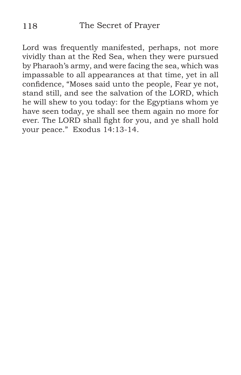Lord was frequently manifested, perhaps, not more vividly than at the Red Sea, when they were pursued by Pharaoh's army, and were facing the sea, which was impassable to all appearances at that time, yet in all confidence, "Moses said unto the people, Fear ye not, stand still, and see the salvation of the LORD, which he will shew to you today: for the Egyptians whom ye have seen today, ye shall see them again no more for ever. The LORD shall fight for you, and ye shall hold your peace." Exodus 14:13-14.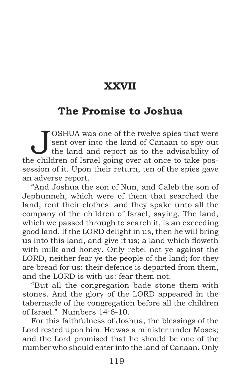# **XXVII**

### **The Promise to Joshua**

JOSHUA was one of the twelve spies that were<br>sent over into the land of Canaan to spy out<br>the land and report as to the advisability of sent over into the land of Canaan to spy out the land and report as to the advisability of the children of Israel going over at once to take possession of it. Upon their return, ten of the spies gave an adverse report.

"And Joshua the son of Nun, and Caleb the son of Jephunneh, which were of them that searched the land, rent their clothes: and they spake unto all the company of the children of Israel, saying, The land, which we passed through to search it, is an exceeding good land. If the LORD delight in us, then he will bring us into this land, and give it us; a land which floweth with milk and honey. Only rebel not ye against the LORD, neither fear ye the people of the land; for they are bread for us: their defence is departed from them, and the LORD is with us: fear them not.

"But all the congregation bade stone them with stones. And the glory of the LORD appeared in the tabernacle of the congregation before all the children of Israel." Numbers 14:6-10.

For this faithfulness of Joshua, the blessings of the Lord rested upon him. He was a minister under Moses; and the Lord promised that he should be one of the number who should enter into the land of Canaan. Only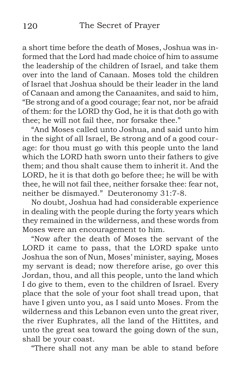a short time before the death of Moses, Joshua was informed that the Lord had made choice of him to assume the leadership of the children of Israel, and take them over into the land of Canaan. Moses told the children of Israel that Joshua should be their leader in the land of Canaan and among the Canaanites, and said to him, "Be strong and of a good courage; fear not, nor be afraid of them: for the LORD thy God, he it is that doth go with thee; he will not fail thee, nor forsake thee."

"And Moses called unto Joshua, and said unto him in the sight of all Israel, Be strong and of a good courage: for thou must go with this people unto the land which the LORD hath sworn unto their fathers to give them; and thou shalt cause them to inherit it. And the LORD, he it is that doth go before thee; he will be with thee, he will not fail thee, neither forsake thee: fear not, neither be dismayed." Deuteronomy 31:7-8.

No doubt, Joshua had had considerable experience in dealing with the people during the forty years which they remained in the wilderness, and these words from Moses were an encouragement to him.

"Now after the death of Moses the servant of the LORD it came to pass, that the LORD spake unto Joshua the son of Nun, Moses' minister, saying, Moses my servant is dead; now therefore arise, go over this Jordan, thou, and all this people, unto the land which I do give to them, even to the children of Israel. Every place that the sole of your foot shall tread upon, that have I given unto you, as I said unto Moses. From the wilderness and this Lebanon even unto the great river, the river Euphrates, all the land of the Hittites, and unto the great sea toward the going down of the sun, shall be your coast.

"There shall not any man be able to stand before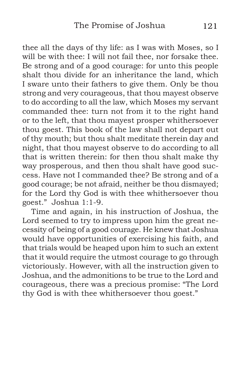thee all the days of thy life: as I was with Moses, so I will be with thee: I will not fail thee, nor forsake thee. Be strong and of a good courage: for unto this people shalt thou divide for an inheritance the land, which I sware unto their fathers to give them. Only be thou strong and very courageous, that thou mayest observe to do according to all the law, which Moses my servant commanded thee: turn not from it to the right hand or to the left, that thou mayest prosper whithersoever thou goest. This book of the law shall not depart out of thy mouth; but thou shalt meditate therein day and night, that thou mayest observe to do according to all that is written therein: for then thou shalt make thy way prosperous, and then thou shalt have good success. Have not I commanded thee? Be strong and of a good courage; be not afraid, neither be thou dismayed; for the Lord thy God is with thee whithersoever thou goest." Joshua 1:1-9.

Time and again, in his instruction of Joshua, the Lord seemed to try to impress upon him the great necessity of being of a good courage. He knew that Joshua would have opportunities of exercising his faith, and that trials would be heaped upon him to such an extent that it would require the utmost courage to go through victoriously. However, with all the instruction given to Joshua, and the admonitions to be true to the Lord and courageous, there was a precious promise: "The Lord thy God is with thee whithersoever thou goest."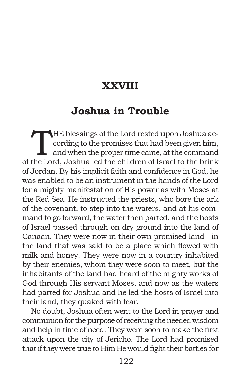# **XXVIII**

# **Joshua in Trouble**

THE blessings of the Lord rested upon Joshua according to the promises that had been given him,<br>and when the proper time came, at the command<br>the Lord Joshua led the objection of largel to the brink cording to the promises that had been given him, and when the proper time came, at the command of the Lord, Joshua led the children of Israel to the brink of Jordan. By his implicit faith and confidence in God, he was enabled to be an instrument in the hands of the Lord for a mighty manifestation of His power as with Moses at the Red Sea. He instructed the priests, who bore the ark of the covenant, to step into the waters, and at his command to go forward, the water then parted, and the hosts of Israel passed through on dry ground into the land of Canaan. They were now in their own promised land—in the land that was said to be a place which flowed with milk and honey. They were now in a country inhabited by their enemies, whom they were soon to meet, but the inhabitants of the land had heard of the mighty works of God through His servant Moses, and now as the waters had parted for Joshua and he led the hosts of Israel into their land, they quaked with fear.

No doubt, Joshua often went to the Lord in prayer and communion for the purpose of receiving the needed wisdom and help in time of need. They were soon to make the first attack upon the city of Jericho. The Lord had promised that if they were true to Him He would fight their battles for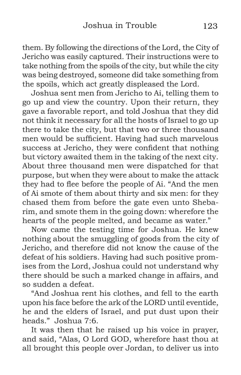them. By following the directions of the Lord, the City of Jericho was easily captured. Their instructions were to take nothing from the spoils of the city, but while the city was being destroyed, someone did take something from the spoils, which act greatly displeased the Lord.

Joshua sent men from Jericho to Ai, telling them to go up and view the country. Upon their return, they gave a favorable report, and told Joshua that they did not think it necessary for all the hosts of Israel to go up there to take the city, but that two or three thousand men would be sufficient. Having had such marvelous success at Jericho, they were confident that nothing but victory awaited them in the taking of the next city. About three thousand men were dispatched for that purpose, but when they were about to make the attack they had to flee before the people of Ai. "And the men of Ai smote of them about thirty and six men: for they chased them from before the gate even unto Shebarim, and smote them in the going down: wherefore the hearts of the people melted, and became as water."

Now came the testing time for Joshua. He knew nothing about the smuggling of goods from the city of Jericho, and therefore did not know the cause of the defeat of his soldiers. Having had such positive promises from the Lord, Joshua could not understand why there should be such a marked change in affairs, and so sudden a defeat.

"And Joshua rent his clothes, and fell to the earth upon his face before the ark of the LORD until eventide, he and the elders of Israel, and put dust upon their heads." Joshua 7:6.

It was then that he raised up his voice in prayer, and said, "Alas, O Lord GOD, wherefore hast thou at all brought this people over Jordan, to deliver us into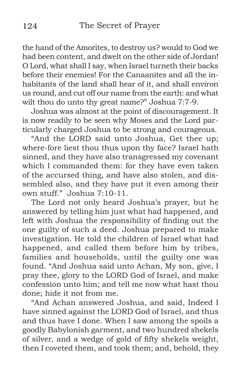the hand of the Amorites, to destroy us? would to God we had been content, and dwelt on the other side of Jordan! O Lord, what shall I say, when Israel turneth their backs before their enemies! For the Canaanites and all the inhabitants of the land shall hear of it, and shall environ us round, and cut off our name from the earth: and what wilt thou do unto thy great name?" Joshua 7:7-9.

Joshua was almost at the point of discouragement. It is now readily to be seen why Moses and the Lord particularly charged Joshua to be strong and courageous.

"And the LORD said unto Joshua, Get thee up; where-fore liest thou thus upon thy face? Israel hath sinned, and they have also transgressed my covenant which I commanded them: for they have even taken of the accursed thing, and have also stolen, and dissembled also, and they have put it even among their own stuff." Joshua 7:10-11.

The Lord not only heard Joshua's prayer, but he answered by telling him just what had happened, and left with Joshua the responsibility of finding out the one guilty of such a deed. Joshua prepared to make investigation. He told the children of Israel what had happened, and called them before him by tribes, families and households, until the guilty one was found. "And Joshua said unto Achan, My son, give, I pray thee, glory to the LORD God of Israel, and make confession unto him; and tell me now what hast thou done; hide it not from me.

"And Achan answered Joshua, and said, Indeed I have sinned against the LORD God of Israel, and thus and thus have I done. When I saw among the spoils a goodly Babylonish garment, and two hundred shekels of silver, and a wedge of gold of fifty shekels weight, then I coveted them, and took them; and, behold, they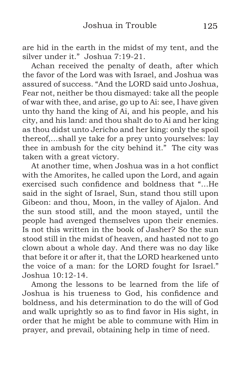are hid in the earth in the midst of my tent, and the silver under it." Joshua 7:19-21.

Achan received the penalty of death, after which the favor of the Lord was with Israel, and Joshua was assured of success. "And the LORD said unto Joshua, Fear not, neither be thou dismayed: take all the people of war with thee, and arise, go up to Ai: see, I have given unto thy hand the king of Ai, and his people, and his city, and his land: and thou shalt do to Ai and her king as thou didst unto Jericho and her king: only the spoil thereof,…shall ye take for a prey unto yourselves: lay thee in ambush for the city behind it." The city was taken with a great victory.

At another time, when Joshua was in a hot conflict with the Amorites, he called upon the Lord, and again exercised such confidence and boldness that "…He said in the sight of Israel, Sun, stand thou still upon Gibeon: and thou, Moon, in the valley of Ajalon. And the sun stood still, and the moon stayed, until the people had avenged themselves upon their enemies. Is not this written in the book of Jasher? So the sun stood still in the midst of heaven, and hasted not to go clown about a whole day. And there was no day like that before it or after it, that the LORD hearkened unto the voice of a man: for the LORD fought for Israel." Joshua 10:12-14.

Among the lessons to be learned from the life of Joshua is his trueness to God, his confidence and boldness, and his determination to do the will of God and walk uprightly so as to find favor in His sight, in order that he might be able to commune with Him in prayer, and prevail, obtaining help in time of need.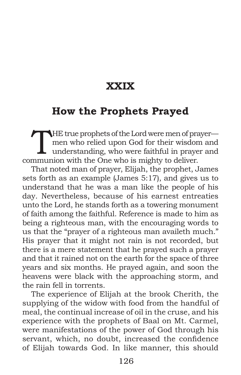# **XXIX**

### **How the Prophets Prayed**

THE true prophets of the Lord were men of prayer—<br>
men who relied upon God for their wisdom and<br>
understanding, who were faithful in prayer and<br>
munion with the Ope who is mighty to deliver men who relied upon God for their wisdom and communion with the One who is mighty to deliver.

That noted man of prayer, Elijah, the prophet, James sets forth as an example (James 5:17), and gives us to understand that he was a man like the people of his day. Nevertheless, because of his earnest entreaties unto the Lord, he stands forth as a towering monument of faith among the faithful. Reference is made to him as being a righteous man, with the encouraging words to us that the "prayer of a righteous man availeth much." His prayer that it might not rain is not recorded, but there is a mere statement that he prayed such a prayer and that it rained not on the earth for the space of three years and six months. He prayed again, and soon the heavens were black with the approaching storm, and the rain fell in torrents.

The experience of Elijah at the brook Cherith, the supplying of the widow with food from the handful of meal, the continual increase of oil in the cruse, and his experience with the prophets of Baal on Mt. Carmel, were manifestations of the power of God through his servant, which, no doubt, increased the confidence of Elijah towards God. In like manner, this should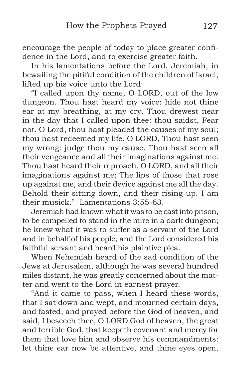encourage the people of today to place greater confidence in the Lord, and to exercise greater faith.

In his lamentations before the Lord, Jeremiah, in bewailing the pitiful condition of the children of Israel, lifted up his voice unto the Lord:

"I called upon thy name, O LORD, out of the low dungeon. Thou hast heard my voice: hide not thine ear at my breathing, at my cry. Thou drewest near in the day that I called upon thee: thou saidst, Fear not. O Lord, thou hast pleaded the causes of my soul; thou hast redeemed my life. O LORD, Thou hast seen my wrong: judge thou my cause. Thou hast seen all their vengeance and all their imaginations against me. Thou hast heard their reproach, O LORD, and all their imaginations against me; The lips of those that rose up against me, and their device against me all the day. Behold their sitting down, and their rising up. I am their musick." Lamentations 3:55-63.

Jeremiah had known what it was to be cast into prison, to be compelled to stand in the mire in a dark dungeon; he knew what it was to suffer as a servant of the Lord and in behalf of his people, and the Lord considered his faithful servant and heard his plaintive plea.

When Nehemiah heard of the sad condition of the Jews at Jerusalem, although he was several hundred miles distant, he was greatly concerned about the matter and went to the Lord in earnest prayer.

"And it came to pass, when I heard these words, that I sat down and wept, and mourned certain days, and fasted, and prayed before the God of heaven, and said, I beseech thee, O LORD God of heaven, the great and terrible God, that keepeth covenant and mercy for them that love him and observe his commandments: let thine ear now be attentive, and thine eyes open,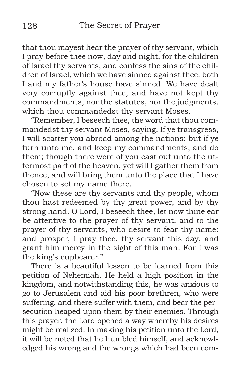that thou mayest hear the prayer of thy servant, which I pray before thee now, day and night, for the children of Israel thy servants, and confess the sins of the children of Israel, which we have sinned against thee: both I and my father's house have sinned. We have dealt very corruptly against thee, and have not kept thy commandments, nor the statutes, nor the judgments, which thou commandedst thy servant Moses.

"Remember, I beseech thee, the word that thou commandedst thy servant Moses, saying, If ye transgress, I will scatter you abroad among the nations: but if ye turn unto me, and keep my commandments, and do them; though there were of you cast out unto the uttermost part of the heaven, yet will I gather them from thence, and will bring them unto the place that I have chosen to set my name there.

"Now these are thy servants and thy people, whom thou hast redeemed by thy great power, and by thy strong hand. O Lord, I beseech thee, let now thine ear be attentive to the prayer of thy servant, and to the prayer of thy servants, who desire to fear thy name: and prosper, I pray thee, thy servant this day, and grant him mercy in the sight of this man. For I was the king's cupbearer."

There is a beautiful lesson to be learned from this petition of Nehemiah. He held a high position in the kingdom, and notwithstanding this, he was anxious to go to Jerusalem and aid his poor brethren, who were suffering, and there suffer with them, and bear the persecution heaped upon them by their enemies. Through this prayer, the Lord opened a way whereby his desires might be realized. In making his petition unto the Lord, it will be noted that he humbled himself, and acknowledged his wrong and the wrongs which had been com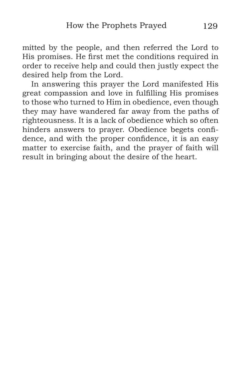mitted by the people, and then referred the Lord to His promises. He first met the conditions required in order to receive help and could then justly expect the desired help from the Lord.

In answering this prayer the Lord manifested His great compassion and love in fulfilling His promises to those who turned to Him in obedience, even though they may have wandered far away from the paths of righteousness. It is a lack of obedience which so often hinders answers to prayer. Obedience begets confidence, and with the proper confidence, it is an easy matter to exercise faith, and the prayer of faith will result in bringing about the desire of the heart.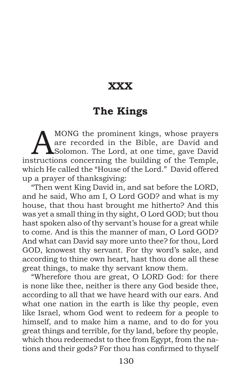# **XXX**

### **The Kings**

MONG the prominent kings, whose prayers<br>are recorded in the Bible, are David and<br>Solomon. The Lord, at one time, gave David<br>structions concerning the huilding of the Termle are recorded in the Bible, are David and Solomon. The Lord, at one time, gave David instructions concerning the building of the Temple, which He called the "House of the Lord." David offered up a prayer of thanksgiving:

"Then went King David in, and sat before the LORD, and he said, Who am I, O Lord GOD? and what is my house, that thou hast brought me hitherto? And this was yet a small thing in thy sight, O Lord GOD; but thou hast spoken also of thy servant's house for a great while to come. And is this the manner of man, O Lord GOD? And what can David say more unto thee? for thou, Lord GOD, knowest thy servant. For thy word's sake, and according to thine own heart, hast thou done all these great things, to make thy servant know them.

"Wherefore thou are great, O LORD God: for there is none like thee, neither is there any God beside thee, according to all that we have heard with our ears. And what one nation in the earth is like thy people, even like Israel, whom God went to redeem for a people to himself, and to make him a name, and to do for you great things and terrible, for thy land, before thy people, which thou redeemedst to thee from Egypt, from the nations and their gods? For thou has confirmed to thyself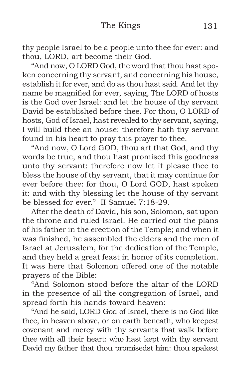#### The Kings 131

thy people Israel to be a people unto thee for ever: and thou, LORD, art become their God.

"And now, O LORD God, the word that thou hast spoken concerning thy servant, and concerning his house, establish it for ever, and do as thou hast said. And let thy name be magnified for ever, saying, The LORD of hosts is the God over Israel: and let the house of thy servant David be established before thee. For thou, O LORD of hosts, God of Israel, hast revealed to thy servant, saying, I will build thee an house: therefore hath thy servant found in his heart to pray this prayer to thee.

"And now, O Lord GOD, thou art that God, and thy words be true, and thou hast promised this goodness unto thy servant: therefore now let it please thee to bless the house of thy servant, that it may continue for ever before thee: for thou, O Lord GOD, hast spoken it: and with thy blessing let the house of thy servant be blessed for ever." II Samuel 7:18-29.

After the death of David, his son, Solomon, sat upon the throne and ruled Israel. He carried out the plans of his father in the erection of the Temple; and when it was finished, he assembled the elders and the men of Israel at Jerusalem, for the dedication of the Temple, and they held a great feast in honor of its completion. It was here that Solomon offered one of the notable prayers of the Bible:

"And Solomon stood before the altar of the LORD in the presence of all the congregation of Israel, and spread forth his hands toward heaven:

"And he said, LORD God of Israel, there is no God like thee, in heaven above, or on earth beneath, who keepest covenant and mercy with thy servants that walk before thee with all their heart: who hast kept with thy servant David my father that thou promisedst him: thou spakest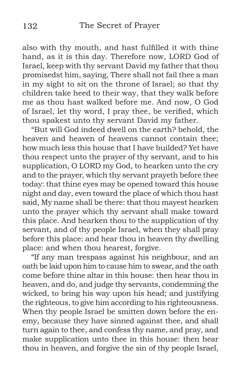also with thy mouth, and hast fulfilled it with thine hand, as it is this day. Therefore now, LORD God of Israel, keep with thy servant David my father that thou promisedst him, saying, There shall not fail thee a man in my sight to sit on the throne of Israel; so that thy children take heed to their way, that they walk before me as thou hast walked before me. And now, O God of Israel, let thy word, I pray thee, be verified, which thou spakest unto thy servant David my father.

"But will God indeed dwell on the earth? behold, the heaven and heaven of heavens cannot contain thee; how much less this house that I have builded? Yet have thou respect unto the prayer of thy servant, and to his supplication, O LORD my God, to hearken unto the cry and to the prayer, which thy servant prayeth before thee today: that thine eyes may be opened toward this house night and day, even toward the place of which thou hast said, My name shall be there: that thou mayest hearken unto the prayer which thy servant shall make toward this place. And hearken thou to the supplication of thy servant, and of thy people Israel, when they shall pray before this place: and hear thou in heaven thy dwelling place: and when thou hearest, forgive.

"If any man trespass against his neighbour, and an oath be laid upon him to cause him to swear, and the oath come before thine altar in this house: then hear thou in heaven, and do, and judge thy servants, condemning the wicked, to bring his way upon his head; and justifying the righteous, to give him according to his righteousness. When thy people Israel be smitten down before the enemy, because they have sinned against thee, and shall turn again to thee, and confess thy name, and pray, and make supplication unto thee in this house: then hear thou in heaven, and forgive the sin of thy people Israel,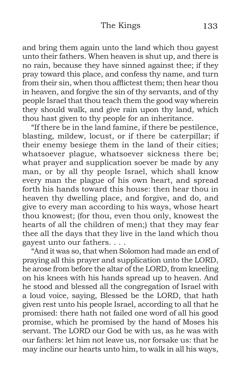#### The Kings 133

and bring them again unto the land which thou gayest unto their fathers. When heaven is shut up, and there is no rain, because they have sinned against thee; if they pray toward this place, and confess thy name, and turn from their sin, when thou afflictest them; then hear thou in heaven, and forgive the sin of thy servants, and of thy people Israel that thou teach them the good way wherein they should walk, and give rain upon thy land, which thou hast given to thy people for an inheritance.

"If there be in the land famine, if there be pestilence, blasting, mildew, locust, or if there be caterpillar; if their enemy besiege them in the land of their cities; whatsoever plague, whatsoever sickness there be; what prayer and supplication soever be made by any man, or by all thy people Israel, which shall know every man the plague of his own heart, and spread forth his hands toward this house: then hear thou in heaven thy dwelling place, and forgive, and do, and give to every man according to his ways, whose heart thou knowest; (for thou, even thou only, knowest the hearts of all the children of men;) that they may fear thee all the days that they live in the land which thou gayest unto our fathers. . . .

"And it was so, that when Solomon had made an end of praying all this prayer and supplication unto the LORD, he arose from before the altar of the LORD, from kneeling on his knees with his hands spread up to heaven. And he stood and blessed all the congregation of Israel with a loud voice, saying, Blessed be the LORD, that hath given rest unto his people Israel, according to all that he promised: there hath not failed one word of all his good promise, which he promised by the hand of Moses his servant. The LORD our God be with us, as he was with our fathers: let him not leave us, nor forsake us: that he may incline our hearts unto him, to walk in all his ways,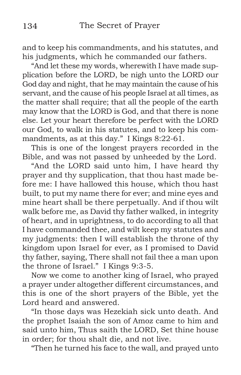and to keep his commandments, and his statutes, and his judgments, which he commanded our fathers.

"And let these my words, wherewith I have made supplication before the LORD, be nigh unto the LORD our God day and night, that he may maintain the cause of his servant, and the cause of his people Israel at all times, as the matter shall require; that all the people of the earth may know that the LORD is God, and that there is none else. Let your heart therefore be perfect with the LORD our God, to walk in his statutes, and to keep his commandments, as at this day." I Kings 8:22-61.

This is one of the longest prayers recorded in the Bible, and was not passed by unheeded by the Lord.

"And the LORD said unto him, I have heard thy prayer and thy supplication, that thou hast made before me: I have hallowed this house, which thou hast built, to put my name there for ever; and mine eyes and mine heart shall be there perpetually. And if thou wilt walk before me, as David thy father walked, in integrity of heart, and in uprightness, to do according to all that I have commanded thee, and wilt keep my statutes and my judgments: then I will establish the throne of thy kingdom upon Israel for ever, as I promised to David thy father, saying, There shall not fail thee a man upon the throne of Israel." I Kings 9:3-5.

Now we come to another king of Israel, who prayed a prayer under altogether different circumstances, and this is one of the short prayers of the Bible, yet the Lord heard and answered.

"In those days was Hezekiah sick unto death. And the prophet Isaiah the son of Amoz came to him and said unto him, Thus saith the LORD, Set thine house in order; for thou shalt die, and not live.

"Then he turned his face to the wall, and prayed unto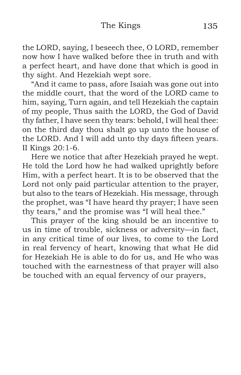#### The Kings 135

the LORD, saying, I beseech thee, O LORD, remember now how I have walked before thee in truth and with a perfect heart, and have done that which is good in thy sight. And Hezekiah wept sore.

"And it came to pass, afore Isaiah was gone out into the middle court, that the word of the LORD came to him, saying, Turn again, and tell Hezekiah the captain of my people, Thus saith the LORD, the God of David thy father, I have seen thy tears: behold, I will heal thee: on the third day thou shalt go up unto the house of the LORD. And I will add unto thy days fifteen years. II Kings 20:1-6.

Here we notice that after Hezekiah prayed he wept. He told the Lord how he had walked uprightly before Him, with a perfect heart. It is to be observed that the Lord not only paid particular attention to the prayer, but also to the tears of Hezekiah. His message, through the prophet, was "I have heard thy prayer; I have seen thy tears," and the promise was "I will heal thee."

This prayer of the king should be an incentive to us in time of trouble, sickness or adversity—in fact, in any critical time of our lives, to come to the Lord in real fervency of heart, knowing that what He did for Hezekiah He is able to do for us, and He who was touched with the earnestness of that prayer will also be touched with an equal fervency of our prayers,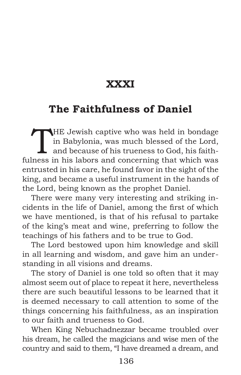# **XXXI**

# **The Faithfulness of Daniel**

THE Jewish captive who was held in bondage<br>in Babylonia, was much blessed of the Lord,<br>and because of his trueness to God, his faith-<br>page in his labors and concerning that which west in Babylonia, was much blessed of the Lord, and because of his trueness to God, his faithfulness in his labors and concerning that which was entrusted in his care, he found favor in the sight of the king, and became a useful instrument in the hands of the Lord, being known as the prophet Daniel.

There were many very interesting and striking incidents in the life of Daniel, among the first of which we have mentioned, is that of his refusal to partake of the king's meat and wine, preferring to follow the teachings of his fathers and to be true to God.

The Lord bestowed upon him knowledge and skill in all learning and wisdom, and gave him an understanding in all visions and dreams.

The story of Daniel is one told so often that it may almost seem out of place to repeat it here, nevertheless there are such beautiful lessons to be learned that it is deemed necessary to call attention to some of the things concerning his faithfulness, as an inspiration to our faith and trueness to God.

When King Nebuchadnezzar became troubled over his dream, he called the magicians and wise men of the country and said to them, "I have dreamed a dream, and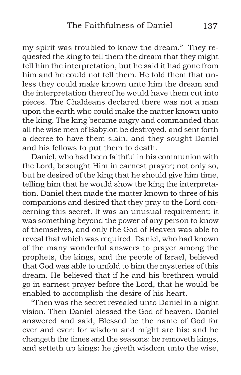my spirit was troubled to know the dream." They requested the king to tell them the dream that they might tell him the interpretation, but he said it had gone from him and he could not tell them. He told them that unless they could make known unto him the dream and the interpretation thereof he would have them cut into pieces. The Chaldeans declared there was not a man upon the earth who could make the matter known unto the king. The king became angry and commanded that all the wise men of Babylon be destroyed, and sent forth a decree to have them slain, and they sought Daniel and his fellows to put them to death.

Daniel, who had been faithful in his communion with the Lord, besought Him in earnest prayer; not only so, but he desired of the king that he should give him time, telling him that he would show the king the interpretation. Daniel then made the matter known to three of his companions and desired that they pray to the Lord concerning this secret. It was an unusual requirement; it was something beyond the power of any person to know of themselves, and only the God of Heaven was able to reveal that which was required. Daniel, who had known of the many wonderful answers to prayer among the prophets, the kings, and the people of Israel, believed that God was able to unfold to him the mysteries of this dream. He believed that if he and his brethren would go in earnest prayer before the Lord, that he would be enabled to accomplish the desire of his heart.

"Then was the secret revealed unto Daniel in a night vision. Then Daniel blessed the God of heaven. Daniel answered and said, Blessed be the name of God for ever and ever: for wisdom and might are his: and he changeth the times and the seasons: he removeth kings, and setteth up kings: he giveth wisdom unto the wise,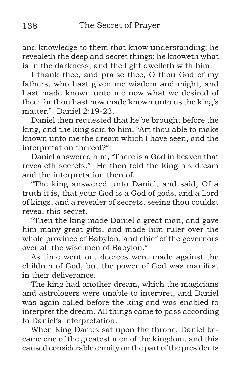and knowledge to them that know understanding: he revealeth the deep and secret things: he knoweth what is in the darkness, and the light dwelleth with him.

I thank thee, and praise thee, O thou God of my fathers, who hast given me wisdom and might, and hast made known unto me now what we desired of thee: for thou hast now made known unto us the king's matter." Daniel 2:19-23.

Daniel then requested that he be brought before the king, and the king said to him, "Art thou able to make known unto me the dream which I have seen, and the interpretation thereof?"

Daniel answered him, "There is a God in heaven that revealeth secrets." He then told the king his dream and the interpretation thereof.

"The king answered unto Daniel, and said, Of a truth it is, that your God is a God of gods, and a Lord of kings, and a revealer of secrets, seeing thou couldst reveal this secret.

"Then the king made Daniel a great man, and gave him many great gifts, and made him ruler over the whole province of Babylon, and chief of the governors over all the wise men of Babylon."

As time went on, decrees were made against the children of God, but the power of God was manifest in their deliverance.

The king had another dream, which the magicians and astrologers were unable to interpret, and Daniel was again called before the king and was enabled to interpret the dream. All things came to pass according to Daniel's interpretation.

When King Darius sat upon the throne, Daniel became one of the greatest men of the kingdom, and this caused considerable enmity on the part of the presidents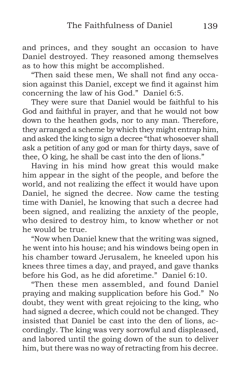and princes, and they sought an occasion to have Daniel destroyed. They reasoned among themselves as to how this might be accomplished.

"Then said these men, We shall not find any occasion against this Daniel, except we find it against him concerning the law of his God." Daniel 6:5.

They were sure that Daniel would be faithful to his God and faithful in prayer, and that he would not bow down to the heathen gods, nor to any man. Therefore, they arranged a scheme by which they might entrap him, and asked the king to sign a decree "that whosoever shall ask a petition of any god or man for thirty days, save of thee, O king, he shall be cast into the den of lions."

Having in his mind how great this would make him appear in the sight of the people, and before the world, and not realizing the effect it would have upon Daniel, he signed the decree. Now came the testing time with Daniel, he knowing that such a decree had been signed, and realizing the anxiety of the people, who desired to destroy him, to know whether or not he would be true.

"Now when Daniel knew that the writing was signed, he went into his house; and his windows being open in his chamber toward Jerusalem, he kneeled upon his knees three times a day, and prayed, and gave thanks before his God, as he did aforetime." Daniel 6:10.

"Then these men assembled, and found Daniel praying and making supplication before his God." No doubt, they went with great rejoicing to the king, who had signed a decree, which could not be changed. They insisted that Daniel be cast into the den of lions, accordingly. The king was very sorrowful and displeased, and labored until the going down of the sun to deliver him, but there was no way of retracting from his decree.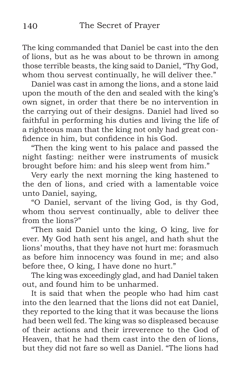The king commanded that Daniel be cast into the den of lions, but as he was about to be thrown in among those terrible beasts, the king said to Daniel, "Thy God, whom thou servest continually, he will deliver thee."

Daniel was cast in among the lions, and a stone laid upon the mouth of the den and sealed with the king's own signet, in order that there be no intervention in the carrying out of their designs. Daniel had lived so faithful in performing his duties and living the life of a righteous man that the king not only had great confidence in him, but confidence in his God.

"Then the king went to his palace and passed the night fasting: neither were instruments of musick brought before him: and his sleep went from him."

Very early the next morning the king hastened to the den of lions, and cried with a lamentable voice unto Daniel, saying,

"O Daniel, servant of the living God, is thy God, whom thou servest continually, able to deliver thee from the lions?"

"Then said Daniel unto the king, O king, live for ever. My God hath sent his angel, and hath shut the lions' mouths, that they have not hurt me: forasmuch as before him innocency was found in me; and also before thee, O king, I have done no hurt."

The king was exceedingly glad, and had Daniel taken out, and found him to be unharmed.

It is said that when the people who had him cast into the den learned that the lions did not eat Daniel, they reported to the king that it was because the lions had been well fed. The king was so displeased because of their actions and their irreverence to the God of Heaven, that he had them cast into the den of lions, but they did not fare so well as Daniel. "The lions had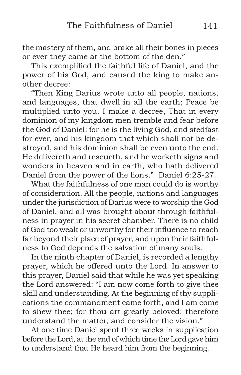the mastery of them, and brake all their bones in pieces or ever they came at the bottom of the den."

This exemplified the faithful life of Daniel, and the power of his God, and caused the king to make another decree:

"Then King Darius wrote unto all people, nations, and languages, that dwell in all the earth; Peace be multiplied unto you. I make a decree, That in every dominion of my kingdom men tremble and fear before the God of Daniel: for he is the living God, and stedfast for ever, and his kingdom that which shall not be destroyed, and his dominion shall be even unto the end. He delivereth and rescueth, and he worketh signs and wonders in heaven and in earth, who hath delivered Daniel from the power of the lions." Daniel 6:25-27.

What the faithfulness of one man could do is worthy of consideration. All the people, nations and languages under the jurisdiction of Darius were to worship the God of Daniel, and all was brought about through faithfulness in prayer in his secret chamber. There is no child of God too weak or unworthy for their influence to reach far beyond their place of prayer, and upon their faithfulness to God depends the salvation of many souls.

In the ninth chapter of Daniel, is recorded a lengthy prayer, which he offered unto the Lord. In answer to this prayer, Daniel said that while he was yet speaking the Lord answered: "I am now come forth to give thee skill and understanding. At the beginning of thy supplications the commandment came forth, and I am come to shew thee; for thou art greatly beloved: therefore understand the matter, and consider the vision."

At one time Daniel spent three weeks in supplication before the Lord, at the end of which time the Lord gave him to understand that He heard him from the beginning.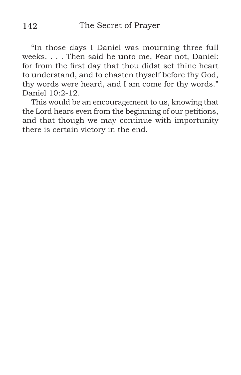"In those days I Daniel was mourning three full weeks. . . . Then said he unto me, Fear not, Daniel: for from the first day that thou didst set thine heart to understand, and to chasten thyself before thy God, thy words were heard, and I am come for thy words." Daniel  $10.2 - 12$ .

This would be an encouragement to us, knowing that the Lord hears even from the beginning of our petitions, and that though we may continue with importunity there is certain victory in the end.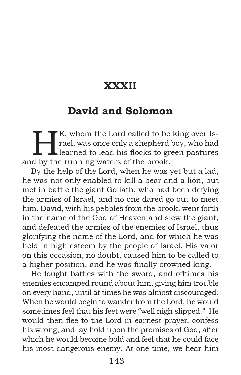# **XXXII**

#### **David and Solomon**

E, whom the Lord called to be king over Is-<br>rael, was once only a shepherd boy, who had<br>learned to lead his flocks to green pastures rael, was once only a shepherd boy, who had learned to lead his flocks to green pastures and by the running waters of the brook.

By the help of the Lord, when he was yet but a lad, he was not only enabled to kill a bear and a lion, but met in battle the giant Goliath, who had been defying the armies of Israel, and no one dared go out to meet him. David, with his pebbles from the brook, went forth in the name of the God of Heaven and slew the giant, and defeated the armies of the enemies of Israel, thus glorifying the name of the Lord, and for which he was held in high esteem by the people of Israel. His valor on this occasion, no doubt, caused him to be called to a higher position, and he was finally crowned king.

He fought battles with the sword, and ofttimes his enemies encamped round about him, giving him trouble on every hand, until at times he was almost discouraged. When he would begin to wander from the Lord, he would sometimes feel that his feet were "well nigh slipped." He would then flee to the Lord in earnest prayer, confess his wrong, and lay hold upon the promises of God, after which he would become bold and feel that he could face his most dangerous enemy. At one time, we hear him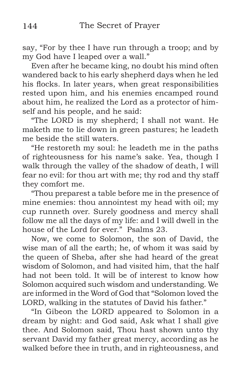say, "For by thee I have run through a troop; and by my God have I leaped over a wall."

Even after he became king, no doubt his mind often wandered back to his early shepherd days when he led his flocks. In later years, when great responsibilities rested upon him, and his enemies encamped round about him, he realized the Lord as a protector of himself and his people, and he said:

"The LORD is my shepherd; I shall not want. He maketh me to lie down in green pastures; he leadeth me beside the still waters.

"He restoreth my soul: he leadeth me in the paths of righteousness for his name's sake. Yea, though I walk through the valley of the shadow of death, I will fear no evil: for thou art with me; thy rod and thy staff they comfort me.

"Thou preparest a table before me in the presence of mine enemies: thou annointest my head with oil; my cup runneth over. Surely goodness and mercy shall follow me all the days of my life: and I will dwell in the house of the Lord for ever." Psalms 23.

Now, we come to Solomon, the son of David, the wise man of all the earth; he, of whom it was said by the queen of Sheba, after she had heard of the great wisdom of Solomon, and had visited him, that the half had not been told. It will be of interest to know how Solomon acquired such wisdom and understanding. We are informed in the Word of God that "Solomon loved the LORD, walking in the statutes of David his father."

"In Gibeon the LORD appeared to Solomon in a dream by night: and God said, Ask what I shall give thee. And Solomon said, Thou hast shown unto thy servant David my father great mercy, according as he walked before thee in truth, and in righteousness, and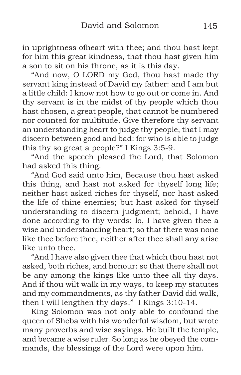in uprightness ofheart with thee; and thou hast kept for him this great kindness, that thou hast given him a son to sit on his throne, as it is this day.

"And now, O LORD my God, thou hast made thy servant king instead of David my father: and I am but a little child: I know not how to go out or come in. And thy servant is in the midst of thy people which thou hast chosen, a great people, that cannot be numbered nor counted for multitude. Give therefore thy servant an understanding heart to judge thy people, that I may discern between good and bad: for who is able to judge this thy so great a people?" I Kings 3:5-9.

"And the speech pleased the Lord, that Solomon had asked this thing.

"And God said unto him, Because thou hast asked this thing, and hast not asked for thyself long life; neither hast asked riches for thyself, nor hast asked the life of thine enemies; but hast asked for thyself understanding to discern judgment; behold, I have done according to thy words: lo, I have given thee a wise and understanding heart; so that there was none like thee before thee, neither after thee shall any arise like unto thee.

"And I have also given thee that which thou hast not asked, both riches, and honour: so that there shall not be any among the kings like unto thee all thy days. And if thou wilt walk in my ways, to keep my statutes and my commandments, as thy father David did walk, then I will lengthen thy days." I Kings 3:10-14.

King Solomon was not only able to confound the queen of Sheba with his wonderful wisdom, but wrote many proverbs and wise sayings. He built the temple, and became a wise ruler. So long as he obeyed the commands, the blessings of the Lord were upon him.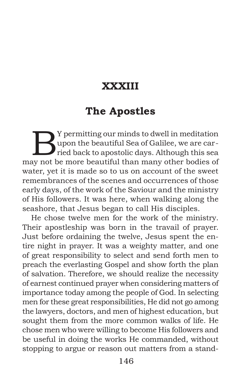# **XXXIII**

## **The Apostles**

By permitting our minds to dwell in meditation<br>upon the beautiful Sea of Galilee, we are carried back to apostolic days. Although this sea upon the beautiful Sea of Galilee, we are carried back to apostolic days. Although this sea may not be more beautiful than many other bodies of water, yet it is made so to us on account of the sweet remembrances of the scenes and occurrences of those early days, of the work of the Saviour and the ministry of His followers. It was here, when walking along the seashore, that Jesus began to call His disciples.

He chose twelve men for the work of the ministry. Their apostleship was born in the travail of prayer. Just before ordaining the twelve, Jesus spent the entire night in prayer. It was a weighty matter, and one of great responsibility to select and send forth men to preach the everlasting Gospel and show forth the plan of salvation. Therefore, we should realize the necessity of earnest continued prayer when considering matters of importance today among the people of God. In selecting men for these great responsibilities, He did not go among the lawyers, doctors, and men of highest education, but sought them from the more common walks of life. He chose men who were willing to become His followers and be useful in doing the works He commanded, without stopping to argue or reason out matters from a stand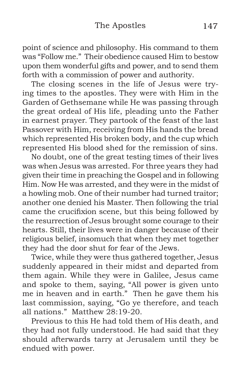point of science and philosophy. His command to them was "Follow me." Their obedience caused Him to bestow upon them wonderful gifts and power, and to send them forth with a commission of power and authority.

The closing scenes in the life of Jesus were trying times to the apostles. They were with Him in the Garden of Gethsemane while He was passing through the great ordeal of His life, pleading unto the Father in earnest prayer. They partook of the feast of the last Passover with Him, receiving from His hands the bread which represented His broken body, and the cup which represented His blood shed for the remission of sins.

No doubt, one of the great testing times of their lives was when Jesus was arrested. For three years they had given their time in preaching the Gospel and in following Him. Now He was arrested, and they were in the midst of a howling mob. One of their number had turned traitor; another one denied his Master. Then following the trial came the crucifixion scene, but this being followed by the resurrection of Jesus brought some courage to their hearts. Still, their lives were in danger because of their religious belief, insomuch that when they met together they had the door shut for fear of the Jews.

Twice, while they were thus gathered together, Jesus suddenly appeared in their midst and departed from them again. While they were in Galilee, Jesus came and spoke to them, saying, "All power is given unto me in heaven and in earth." Then he gave them his last commission, saying, "Go ye therefore, and teach all nations." Matthew 28:19-20.

Previous to this He had told them of His death, and they had not fully understood. He had said that they should afterwards tarry at Jerusalem until they be endued with power.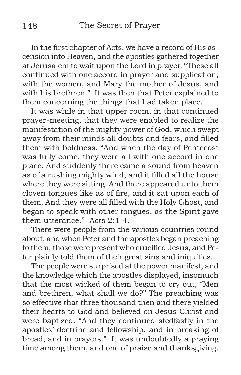In the first chapter of Acts, we have a record of His ascension into Heaven, and the apostles gathered together at Jerusalem to wait upon the Lord in prayer. "These all continued with one accord in prayer and supplication, with the women, and Mary the mother of Jesus, and with his brethren." It was then that Peter explained to them concerning the things that had taken place.

It was while in that upper room, in that continued prayer-meeting, that they were enabled to realize the manifestation of the mighty power of God, which swept away from their minds all doubts and fears, and filled them with boldness. "And when the day of Pentecost was fully come, they were all with one accord in one place. And suddenly there came a sound from heaven as of a rushing mighty wind, and it filled all the house where they were sitting. And there appeared unto them cloven tongues like as of fire, and it sat upon each of them. And they were all filled with the Holy Ghost, and began to speak with other tongues, as the Spirit gave them utterance." Acts 2:1-4.

There were people from the various countries round about, and when Peter and the apostles began preaching to them, those were present who crucified Jesus, and Peter plainly told them of their great sins and iniquities.

The people were surprised at the power manifest, and the knowledge which the apostles displayed, insomuch that the most wicked of them began to cry out, "Men and brethren, what shall we do?" The preaching was so effective that three thousand then and there yielded their hearts to God and believed on Jesus Christ and were baptized. "And they continued stedfastly in the apostles' doctrine and fellowship, and in breaking of bread, and in prayers." It was undoubtedly a praying time among them, and one of praise and thanksgiving.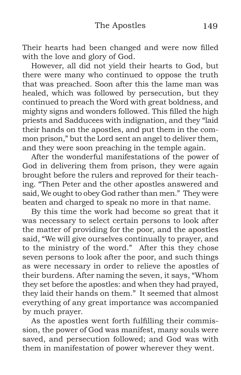Their hearts had been changed and were now filled with the love and glory of God.

However, all did not yield their hearts to God, but there were many who continued to oppose the truth that was preached. Soon after this the lame man was healed, which was followed by persecution, but they continued to preach the Word with great boldness, and mighty signs and wonders followed. This filled the high priests and Sadducees with indignation, and they "laid their hands on the apostles, and put them in the common prison," but the Lord sent an angel to deliver them, and they were soon preaching in the temple again.

After the wonderful manifestations of the power of God in delivering them from prison, they were again brought before the rulers and reproved for their teaching. "Then Peter and the other apostles answered and said, We ought to obey God rather than men." They were beaten and charged to speak no more in that name.

By this time the work had become so great that it was necessary to select certain persons to look after the matter of providing for the poor, and the apostles said, "We will give ourselves continually to prayer, and to the ministry of the word." After this they chose seven persons to look after the poor, and such things as were necessary in order to relieve the apostles of their burdens. After naming the seven, it says, "Whom they set before the apostles: and when they had prayed, they laid their hands on them." It seemed that almost everything of any great importance was accompanied by much prayer.

As the apostles went forth fulfilling their commission, the power of God was manifest, many souls were saved, and persecution followed; and God was with them in manifestation of power wherever they went.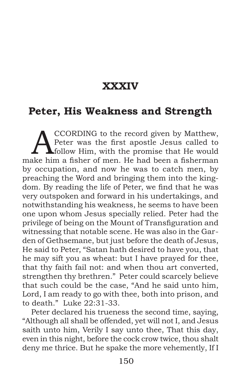### **XXXIV**

#### **Peter, His Weakness and Strength**

CCORDING to the record given by Matthew,<br>Peter was the first apostle Jesus called to<br>follow Him, with the promise that He would Peter was the first apostle Jesus called to **A** follow Him, with the promise that He would make him a fisher of men. He had been a fisherman by occupation, and now he was to catch men, by preaching the Word and bringing them into the kingdom. By reading the life of Peter, we find that he was very outspoken and forward in his undertakings, and notwithstanding his weakness, he seems to have been one upon whom Jesus specially relied. Peter had the privilege of being on the Mount of Transfiguration and witnessing that notable scene. He was also in the Garden of Gethsemane, but just before the death of Jesus, He said to Peter, "Satan hath desired to have you, that he may sift you as wheat: but I have prayed for thee, that thy faith fail not: and when thou art converted, strengthen thy brethren." Peter could scarcely believe that such could be the case, "And he said unto him, Lord, I am ready to go with thee, both into prison, and to death." Luke 22:31-33.

Peter declared his trueness the second time, saying, "Although all shall be offended, yet will not I, and Jesus saith unto him, Verily I say unto thee, That this day, even in this night, before the cock crow twice, thou shalt deny me thrice. But he spake the more vehemently, If I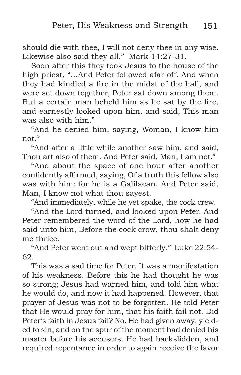should die with thee, I will not deny thee in any wise. Likewise also said they all." Mark 14:27-31.

Soon after this they took Jesus to the house of the high priest, "…And Peter followed afar off. And when they had kindled a fire in the midst of the hall, and were set down together, Peter sat down among them. But a certain man beheld him as he sat by the fire, and earnestly looked upon him, and said, This man was also with him."

"And he denied him, saying, Woman, I know him not."

"And after a little while another saw him, and said, Thou art also of them. And Peter said, Man, I am not."

"And about the space of one hour after another confidently affirmed, saying, Of a truth this fellow also was with him: for he is a Galilaean. And Peter said, Man, I know not what thou sayest.

"And immediately, while he yet spake, the cock crew.

"And the Lord turned, and looked upon Peter. And Peter remembered the word of the Lord, how he had said unto him, Before the cock crow, thou shalt deny me thrice.

"And Peter went out and wept bitterly." Luke 22:54- 62.

This was a sad time for Peter. It was a manifestation of his weakness. Before this he had thought he was so strong; Jesus had warned him, and told him what he would do, and now it had happened. However, that prayer of Jesus was not to be forgotten. He told Peter that He would pray for him, that his faith fail not. Did Peter's faith in Jesus fail? No. He had given away, yielded to sin, and on the spur of the moment had denied his master before his accusers. He had backslidden, and required repentance in order to again receive the favor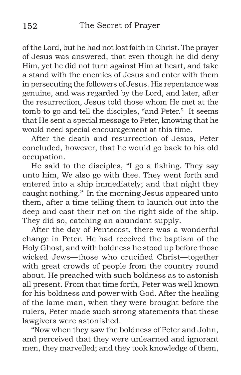of the Lord, but he had not lost faith in Christ. The prayer of Jesus was answered, that even though he did deny Him, yet he did not turn against Him at heart, and take a stand with the enemies of Jesus and enter with them in persecuting the followers of Jesus. His repentance was genuine, and was regarded by the Lord, and later, after the resurrection, Jesus told those whom He met at the tomb to go and tell the disciples, "and Peter." It seems that He sent a special message to Peter, knowing that he would need special encouragement at this time.

After the death and resurrection of Jesus, Peter concluded, however, that he would go back to his old occupation.

He said to the disciples, "I go a fishing. They say unto him, We also go with thee. They went forth and entered into a ship immediately; and that night they caught nothing." In the morning Jesus appeared unto them, after a time telling them to launch out into the deep and cast their net on the right side of the ship. They did so, catching an abundant supply.

After the day of Pentecost, there was a wonderful change in Peter. He had received the baptism of the Holy Ghost, and with boldness he stood up before those wicked Jews—those who crucified Christ—together with great crowds of people from the country round about. He preached with such boldness as to astonish all present. From that time forth, Peter was well known for his boldness and power with God. After the healing of the lame man, when they were brought before the rulers, Peter made such strong statements that these lawgivers were astonished.

"Now when they saw the boldness of Peter and John, and perceived that they were unlearned and ignorant men, they marvelled; and they took knowledge of them,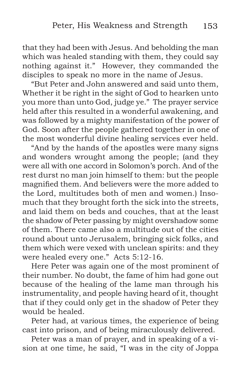that they had been with Jesus. And beholding the man which was healed standing with them, they could say nothing against it." However, they commanded the disciples to speak no more in the name of Jesus.

"But Peter and John answered and said unto them, Whether it be right in the sight of God to hearken unto you more than unto God, judge ye." The prayer service held after this resulted in a wonderful awakening, and was followed by a mighty manifestation of the power of God. Soon after the people gathered together in one of the most wonderful divine healing services ever held.

"And by the hands of the apostles were many signs and wonders wrought among the people; (and they were all with one accord in Solomon's porch. And of the rest durst no man join himself to them: but the people magnified them. And believers were the more added to the Lord, multitudes both of men and women.) Insomuch that they brought forth the sick into the streets, and laid them on beds and couches, that at the least the shadow of Peter passing by might overshadow some of them. There came also a multitude out of the cities round about unto Jerusalem, bringing sick folks, and them which were vexed with unclean spirits: and they were healed every one." Acts 5:12-16.

Here Peter was again one of the most prominent of their number. No doubt, the fame of him had gone out because of the healing of the lame man through his instrumentality, and people having heard of it, thought that if they could only get in the shadow of Peter they would be healed.

Peter had, at various times, the experience of being cast into prison, and of being miraculously delivered.

Peter was a man of prayer, and in speaking of a vision at one time, he said, "I was in the city of Joppa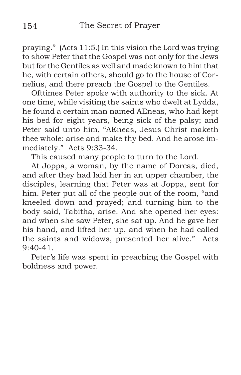praying." (Acts 11:5.) In this vision the Lord was trying to show Peter that the Gospel was not only for the Jews but for the Gentiles as well and made known to him that he, with certain others, should go to the house of Cornelius, and there preach the Gospel to the Gentiles.

Ofttimes Peter spoke with authority to the sick. At one time, while visiting the saints who dwelt at Lydda, he found a certain man named AEneas, who had kept his bed for eight years, being sick of the palsy; and Peter said unto him, "AEneas, Jesus Christ maketh thee whole: arise and make thy bed. And he arose immediately." Acts 9:33-34.

This caused many people to turn to the Lord.

At Joppa, a woman, by the name of Dorcas, died, and after they had laid her in an upper chamber, the disciples, learning that Peter was at Joppa, sent for him. Peter put all of the people out of the room, "and kneeled down and prayed; and turning him to the body said, Tabitha, arise. And she opened her eyes: and when she saw Peter, she sat up. And he gave her his hand, and lifted her up, and when he had called the saints and widows, presented her alive." Acts  $9:40-41$ .

Peter's life was spent in preaching the Gospel with boldness and power.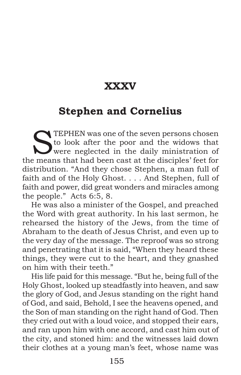### **XXXV**

### **Stephen and Cornelius**

TEPHEN was one of the seven persons chosen to look after the poor and the widows that were neglected in the daily ministration of the means that had been cast at the disciples' feet for distribution. "And they chose Stephen, a man full of faith and of the Holy Ghost. . . . And Stephen, full of faith and power, did great wonders and miracles among the people." Acts 6:5, 8.

He was also a minister of the Gospel, and preached the Word with great authority. In his last sermon, he rehearsed the history of the Jews, from the time of Abraham to the death of Jesus Christ, and even up to the very day of the message. The reproof was so strong and penetrating that it is said, "When they heard these things, they were cut to the heart, and they gnashed on him with their teeth."

His life paid for this message. "But he, being full of the Holy Ghost, looked up steadfastly into heaven, and saw the glory of God, and Jesus standing on the right hand of God, and said, Behold, I see the heavens opened, and the Son of man standing on the right hand of God. Then they cried out with a loud voice, and stopped their ears, and ran upon him with one accord, and cast him out of the city, and stoned him: and the witnesses laid down their clothes at a young man's feet, whose name was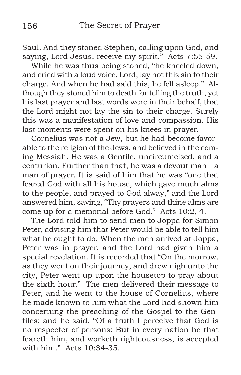Saul. And they stoned Stephen, calling upon God, and saying, Lord Jesus, receive my spirit." Acts 7:55-59.

While he was thus being stoned, "he kneeled down, and cried with a loud voice, Lord, lay not this sin to their charge. And when he had said this, he fell asleep." Although they stoned him to death for telling the truth, yet his last prayer and last words were in their behalf, that the Lord might not lay the sin to their charge. Surely this was a manifestation of love and compassion. His last moments were spent on his knees in prayer.

Cornelius was not a Jew, but he had become favorable to the religion of the Jews, and believed in the coming Messiah. He was a Gentile, uncircumcised, and a centurion. Further than that, he was a devout man—a man of prayer. It is said of him that he was "one that feared God with all his house, which gave much alms to the people, and prayed to God alway," and the Lord answered him, saving, "Thy prayers and thine alms are come up for a memorial before God." Acts 10:2, 4.

The Lord told him to send men to Joppa for Simon Peter, advising him that Peter would be able to tell him what he ought to do. When the men arrived at Joppa, Peter was in prayer, and the Lord had given him a special revelation. It is recorded that "On the morrow, as they went on their journey, and drew nigh unto the city, Peter went up upon the housetop to pray about the sixth hour." The men delivered their message to Peter, and he went to the house of Cornelius, where he made known to him what the Lord had shown him concerning the preaching of the Gospel to the Gentiles; and he said, "Of a truth I perceive that God is no respecter of persons: But in every nation he that feareth him, and worketh righteousness, is accepted with him." Acts  $10:34-35$ .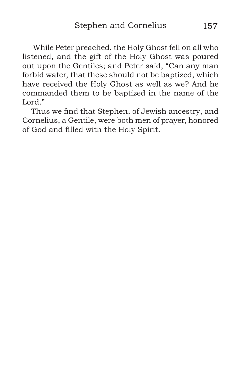While Peter preached, the Holy Ghost fell on all who listened, and the gift of the Holy Ghost was poured out upon the Gentiles; and Peter said, "Can any man forbid water, that these should not be baptized, which have received the Holy Ghost as well as we? And he commanded them to be baptized in the name of the Lord."

Thus we find that Stephen, of Jewish ancestry, and Cornelius, a Gentile, were both men of prayer, honored of God and filled with the Holy Spirit.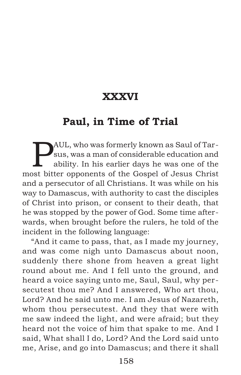# **XXXVI**

### **Paul, in Time of Trial**

PAUL, who was formerly known as Saul of Tarsus, was a man of considerable education and ability. In his earlier days he was one of the most bitter opponents of the Gospel of Jesus Christ and a persecutor of all Christians. It was while on his way to Damascus, with authority to cast the disciples of Christ into prison, or consent to their death, that he was stopped by the power of God. Some time afterwards, when brought before the rulers, he told of the incident in the following language:

"And it came to pass, that, as I made my journey, and was come nigh unto Damascus about noon, suddenly there shone from heaven a great light round about me. And I fell unto the ground, and heard a voice saying unto me, Saul, Saul, why persecutest thou me? And I answered, Who art thou, Lord? And he said unto me. I am Jesus of Nazareth, whom thou persecutest. And they that were with me saw indeed the light, and were afraid; but they heard not the voice of him that spake to me. And I said, What shall I do, Lord? And the Lord said unto me, Arise, and go into Damascus; and there it shall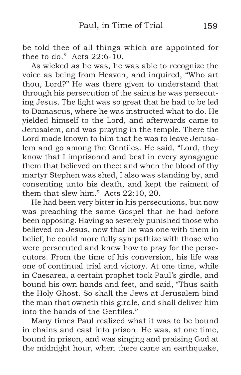be told thee of all things which are appointed for thee to do." Acts 22:6-10.

As wicked as he was, he was able to recognize the voice as being from Heaven, and inquired, "Who art thou, Lord?" He was there given to understand that through his persecution of the saints he was persecuting Jesus. The light was so great that he had to be led to Damascus, where he was instructed what to do. He yielded himself to the Lord, and afterwards came to Jerusalem, and was praying in the temple. There the Lord made known to him that he was to leave Jerusalem and go among the Gentiles. He said, "Lord, they know that I imprisoned and beat in every synagogue them that believed on thee: and when the blood of thy martyr Stephen was shed, I also was standing by, and consenting unto his death, and kept the raiment of them that slew him." Acts 22:10, 20.

He had been very bitter in his persecutions, but now was preaching the same Gospel that he had before been opposing. Having so severely punished those who believed on Jesus, now that he was one with them in belief, he could more fully sympathize with those who were persecuted and knew how to pray for the persecutors. From the time of his conversion, his life was one of continual trial and victory. At one time, while in Caesarea, a certain prophet took Paul's girdle, and bound his own hands and feet, and said, "Thus saith the Holy Ghost. So shall the Jews at Jerusalem bind the man that owneth this girdle, and shall deliver him into the hands of the Gentiles."

Many times Paul realized what it was to be bound in chains and cast into prison. He was, at one time, bound in prison, and was singing and praising God at the midnight hour, when there came an earthquake,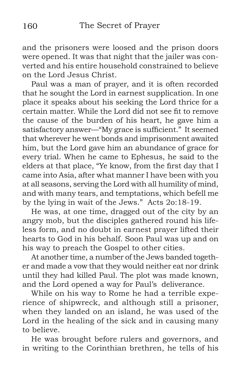and the prisoners were loosed and the prison doors were opened. It was that night that the jailer was converted and his entire household constrained to believe on the Lord Jesus Christ.

Paul was a man of prayer, and it is often recorded that he sought the Lord in earnest supplication. In one place it speaks about his seeking the Lord thrice for a certain matter. While the Lord did not see fit to remove the cause of the burden of his heart, he gave him a satisfactory answer—"My grace is sufficient." It seemed that wherever he went bonds and imprisonment awaited him, but the Lord gave him an abundance of grace for every trial. When he came to Ephesus, he said to the elders at that place, "Ye know, from the first day that I came into Asia, after what manner I have been with you at all seasons, serving the Lord with all humility of mind, and with many tears, and temptations, which befell me by the lying in wait of the Jews." Acts 2o:18-19.

He was, at one time, dragged out of the city by an angry mob, but the disciples gathered round his lifeless form, and no doubt in earnest prayer lifted their hearts to God in his behalf. Soon Paul was up and on his way to preach the Gospel to other cities.

At another time, a number of the Jews banded together and made a vow that they would neither eat nor drink until they had killed Paul. The plot was made known, and the Lord opened a way for Paul's deliverance.

While on his way to Rome he had a terrible experience of shipwreck, and although still a prisoner, when they landed on an island, he was used of the Lord in the healing of the sick and in causing many to believe.

He was brought before rulers and governors, and in writing to the Corinthian brethren, he tells of his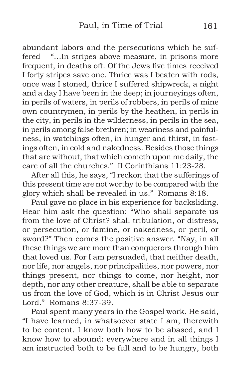abundant labors and the persecutions which he suffered —"…In stripes above measure, in prisons more frequent, in deaths oft. Of the Jews five times received I forty stripes save one. Thrice was I beaten with rods, once was I stoned, thrice I suffered shipwreck, a night and a day I have been in the deep; in journeyings often, in perils of waters, in perils of robbers, in perils of mine own countrymen, in perils by the heathen, in perils in the city, in perils in the wilderness, in perils in the sea, in perils among false brethren; in weariness and painfulness, in watchings often, in hunger and thirst, in fastings often, in cold and nakedness. Besides those things that are without, that which cometh upon me daily, the care of all the churches." II Corinthians 11:23-28.

After all this, he says, "I reckon that the sufferings of this present time are not worthy to be compared with the glory which shall be revealed in us." Romans 8:18.

Paul gave no place in his experience for backsliding. Hear him ask the question: "Who shall separate us from the love of Christ? shall tribulation, or distress, or persecution, or famine, or nakedness, or peril, or sword?" Then comes the positive answer. "Nay, in all these things we are more than conquerors through him that loved us. For I am persuaded, that neither death, nor life, nor angels, nor principalities, nor powers, nor things present, nor things to come, nor height, nor depth, nor any other creature, shall be able to separate us from the love of God, which is in Christ Jesus our Lord." Romans 8:37-39.

Paul spent many years in the Gospel work. He said, "I have learned, in whatsoever state I am, therewith to be content. I know both how to be abased, and I know how to abound: everywhere and in all things I am instructed both to be full and to be hungry, both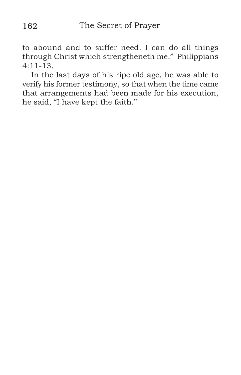to abound and to suffer need. I can do all things through Christ which strengtheneth me." Philippians 4:11-13.

In the last days of his ripe old age, he was able to verify his former testimony, so that when the time came that arrangements had been made for his execution, he said, "I have kept the faith."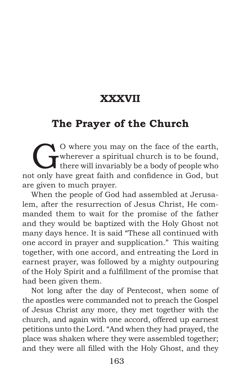# **XXXVII**

## **The Prayer of the Church**

O where you may on the face of the earth,<br>
there will invariably be a body of people who<br>
t only have great faith and confidence in God, but wherever a spiritual church is to be found, not only have great faith and confidence in God, but are given to much prayer.

When the people of God had assembled at Jerusalem, after the resurrection of Jesus Christ, He commanded them to wait for the promise of the father and they would be baptized with the Holy Ghost not many days hence. It is said "These all continued with one accord in prayer and supplication." This waiting together, with one accord, and entreating the Lord in earnest prayer, was followed by a mighty outpouring of the Holy Spirit and a fulfillment of the promise that had been given them.

Not long after the day of Pentecost, when some of the apostles were commanded not to preach the Gospel of Jesus Christ any more, they met together with the church, and again with one accord, offered up earnest petitions unto the Lord. "And when they had prayed, the place was shaken where they were assembled together; and they were all filled with the Holy Ghost, and they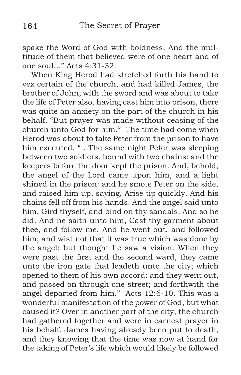spake the Word of God with boldness. And the multitude of them that believed were of one heart and of one soul…" Acts 4:31-32.

When King Herod had stretched forth his hand to vex certain of the church, and had killed James, the brother of John, with the sword and was about to take the life of Peter also, having cast him into prison, there was quite an anxiety on the part of the church in his behalf. "But prayer was made without ceasing of the church unto God for him." The time had come when Herod was about to take Peter from the prison to have him executed. "…The same night Peter was sleeping between two soldiers, bound with two chains: and the keepers before the door kept the prison. And, behold, the angel of the Lord came upon him, and a light shined in the prison: and he smote Peter on the side, and raised him up, saying, Arise tip quickly. And his chains fell off from his hands. And the angel said unto him, Gird thyself, and bind on thy sandals. And so he did. And he saith unto him, Cast thy garment about thee, and follow me. And he went out, and followed him; and wist not that it was true which was done by the angel; but thought he saw a vision. When they were past the first and the second ward, they came unto the iron gate that leadeth unto the city; which opened to them of his own accord: and they went out, and passed on through one street; and forthwith the angel departed from him." Acts 12:6-10. This was a wonderful manifestation of the power of God, but what caused it? Over in another part of the city, the church had gathered together and were in earnest prayer in his behalf. James having already been put to death, and they knowing that the time was now at hand for the taking of Peter's life which would likely be followed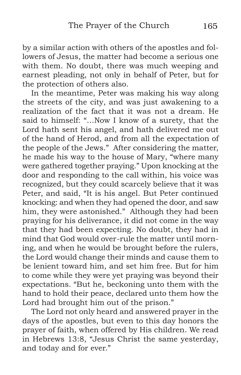by a similar action with others of the apostles and followers of Jesus, the matter had become a serious one with them. No doubt, there was much weeping and earnest pleading, not only in behalf of Peter, but for the protection of others also.

In the meantime, Peter was making his way along the streets of the city, and was just awakening to a realization of the fact that it was not a dream. He said to himself: "…Now I know of a surety, that the Lord hath sent his angel, and hath delivered me out of the hand of Herod, and from all the expectation of the people of the Jews." After considering the matter, he made his way to the house of Mary, "where many were gathered together praying." Upon knocking at the door and responding to the call within, his voice was recognized, but they could scarcely believe that it was Peter, and said, "It is his angel. But Peter continued knocking: and when they had opened the door, and saw him, they were astonished." Although they had been praying for his deliverance, it did not come in the way that they had been expecting. No doubt, they had in mind that God would over-rule the matter until morning, and when he would be brought before the rulers, the Lord would change their minds and cause them to be lenient toward him, and set him free. But for him to come while they were yet praying was beyond their expectations. "But he, beckoning unto them with the hand to hold their peace, declared unto them how the Lord had brought him out of the prison."

The Lord not only heard and answered prayer in the days of the apostles, but even to this day honors the prayer of faith, when offered by His children. We read in Hebrews 13:8, "Jesus Christ the same yesterday, and today and for ever."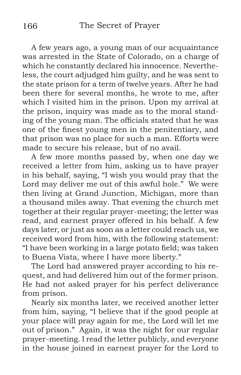A few years ago, a young man of our acquaintance was arrested in the State of Colorado, on a charge of which he constantly declared his innocence. Nevertheless, the court adjudged him guilty, and he was sent to the state prison for a term of twelve years. After he had been there for several months, he wrote to me, after which I visited him in the prison. Upon my arrival at the prison, inquiry was made as to the moral standing of the young man. The officials stated that he was one of the finest young men in the penitentiary, and that prison was no place for such a man. Efforts were made to secure his release, but of no avail.

A few more months passed by, when one day we received a letter from him, asking us to have prayer in his behalf, saying, "I wish you would pray that the Lord may deliver me out of this awful hole." We were then living at Grand Junction, Michigan, more than a thousand miles away. That evening the church met together at their regular prayer-meeting; the letter was read, and earnest prayer offered in his behalf. A few days later, or just as soon as a letter could reach us, we received word from him, with the following statement: "I have been working in a large potato field; was taken to Buena Vista, where I have more liberty."

The Lord had answered prayer according to his request, and had delivered him out of the former prison. He had not asked prayer for his perfect deliverance from prison.

Nearly six months later, we received another letter from him, saying, "I believe that if the good people at your place will pray again for me, the Lord will let me out of prison." Again, it was the night for our regular prayer-meeting. I read the letter publicly, and everyone in the house joined in earnest prayer for the Lord to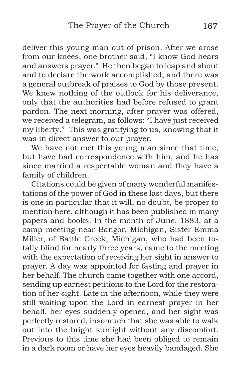deliver this young man out of prison. After we arose from our knees, one brother said, "I know God hears and answers prayer." He then began to leap and shout and to declare the work accomplished, and there was a general outbreak of praises to God by those present. We knew nothing of the outlook for his deliverance, only that the authorities had before refused to grant pardon. The next morning, after prayer was offered, we received a telegram, as follows: "I have just received my liberty." This was gratifying to us, knowing that it was in direct answer to our prayer.

We have not met this young man since that time, but have had correspondence with him, and he has since married a respectable woman and they have a family of children.

Citations could be given of many wonderful manifestations of the power of God in these last days, but there is one in particular that it will, no doubt, be proper to mention here, although it has been published in many papers and books. In the month of June, 1883, at a camp meeting near Bangor, Michigan, Sister Emma Miller, of Battle Creek, Michigan, who had been totally blind for nearly three years, came to the meeting with the expectation of receiving her sight in answer to prayer. A day was appointed for fasting and prayer in her behalf. The church came together with one accord, sending up earnest petitions to the Lord for the restoration of her sight. Late in the afternoon, while they were still waiting upon the Lord in earnest prayer in her behalf, her eyes suddenly opened, and her sight was perfectly restored, insomuch that she was able to walk out into the bright sunlight without any discomfort. Previous to this time she had been obliged to remain in a dark room or have her eyes heavily bandaged. She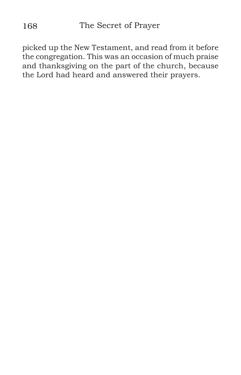picked up the New Testament, and read from it before the congregation. This was an occasion of much praise and thanksgiving on the part of the church, because the Lord had heard and answered their prayers.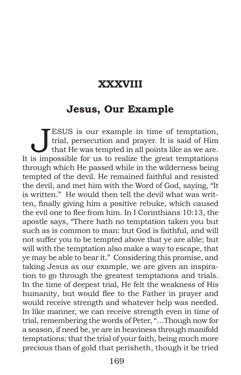### **XXXVIII**

#### **Jesus, Our Example**

**JESUS** is our example in time of temptation, trial, persecution and prayer. It is said of Him that He was tempted in all points like as we are. trial, persecution and prayer. It is said of Him It is impossible for us to realize the great temptations through which He passed while in the wilderness being tempted of the devil. He remained faithful and resisted the devil, and met him with the Word of God, saying, "It is written." He would then tell the devil what was written, finally giving him a positive rebuke, which caused the evil one to flee from him. In I Corinthians 10:13, the apostle says, "There hath no temptation taken you but such as is common to man: but God is faithful, and will not suffer you to be tempted above that ye are able; but will with the temptation also make a way to escape, that ye may be able to bear it." Considering this promise, and taking Jesus as our example, we are given an inspiration to go through the greatest temptations and trials. In the time of deepest trial, He felt the weakness of His humanity, but would flee to the Father in prayer and would receive strength and whatever help was needed. In like manner, we can receive strength even in time of trial, remembering the words of Peter, "…Though now for a season, if need be, ye are in heaviness through manifold temptations: that the trial of your faith, being much more precious than of gold that perisheth, though it be tried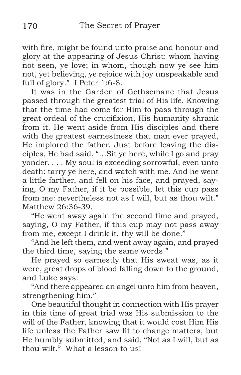with fire, might be found unto praise and honour and glory at the appearing of Jesus Christ: whom having not seen, ye love; in whom, though now ye see him not, yet believing, ye rejoice with joy unspeakable and full of glory." I Peter 1:6-8.

It was in the Garden of Gethsemane that Jesus passed through the greatest trial of His life. Knowing that the time had come for Him to pass through the great ordeal of the crucifixion, His humanity shrank from it. He went aside from His disciples and there with the greatest earnestness that man ever prayed, He implored the father. Just before leaving the disciples, He had said, "…Sit ye here, while I go and pray yonder. . . . My soul is exceeding sorrowful, even unto death: tarry ye here, and watch with me. And he went a little farther, and fell on his face, and prayed, saying, O my Father, if it be possible, let this cup pass from me: nevertheless not as I will, but as thou wilt." Matthew 26:36-39.

"He went away again the second time and prayed, saying, O my Father, if this cup may not pass away from me, except I drink it, thy will be done."

"And he left them, and went away again, and prayed the third time, saying the same words."

He prayed so earnestly that His sweat was, as it were, great drops of blood falling down to the ground, and Luke says:

"And there appeared an angel unto him from heaven, strengthening him."

One beautiful thought in connection with His prayer in this time of great trial was His submission to the will of the Father, knowing that it would cost Him His life unless the Father saw fit to change matters, but He humbly submitted, and said, "Not as I will, but as thou wilt." What a lesson to us!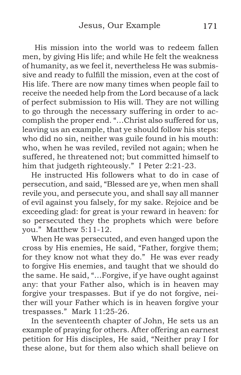His mission into the world was to redeem fallen men, by giving His life; and while He felt the weakness of humanity, as we feel it, nevertheless He was submissive and ready to fulfill the mission, even at the cost of His life. There are now many times when people fail to receive the needed help from the Lord because of a lack of perfect submission to His will. They are not willing to go through the necessary suffering in order to accomplish the proper end. "…Christ also suffered for us, leaving us an example, that ye should follow his steps: who did no sin, neither was guile found in his mouth: who, when he was reviled, reviled not again; when he suffered, he threatened not; but committed himself to him that judgeth righteously." I Peter 2:21-23.

He instructed His followers what to do in case of persecution, and said, "Blessed are ye, when men shall revile you, and persecute you, and shall say all manner of evil against you falsely, for my sake. Rejoice and be exceeding glad: for great is your reward in heaven: for so persecuted they the prophets which were before you." Matthew 5:11-12.

When He was persecuted, and even hanged upon the cross by His enemies, He said, "Father, forgive them; for they know not what they do." He was ever ready to forgive His enemies, and taught that we should do the same. He said, "…Forgive, if ye have ought against any: that your Father also, which is in heaven may forgive your trespasses. But if ye do not forgive, neither will your Father which is in heaven forgive your trespasses." Mark 11:25-26.

In the seventeenth chapter of John, He sets us an example of praying for others. After offering an earnest petition for His disciples, He said, "Neither pray I for these alone, but for them also which shall believe on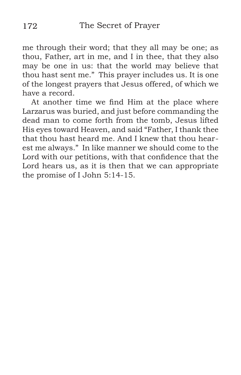me through their word; that they all may be one; as thou, Father, art in me, and I in thee, that they also may be one in us: that the world may believe that thou hast sent me." This prayer includes us. It is one of the longest prayers that Jesus offered, of which we have a record.

At another time we find Him at the place where Larzarus was buried, and just before commanding the dead man to come forth from the tomb, Jesus lifted His eyes toward Heaven, and said "Father, I thank thee that thou hast heard me. And I knew that thou hearest me always." In like manner we should come to the Lord with our petitions, with that confidence that the Lord hears us, as it is then that we can appropriate the promise of I John 5:14-15.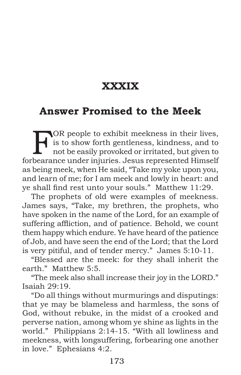## **XXXIX**

#### **Answer Promised to the Meek**

FOR people to exhibit meekness in their lives,<br>is to show forth gentleness, kindness, and to<br>not be easily provoked or irritated, but given to<br>the range under injuries, Jesus represented Himself is to show forth gentleness, kindness, and to not be easily provoked or irritated, but given to forbearance under injuries. Jesus represented Himself as being meek, when He said, "Take my yoke upon you, and learn of me; for I am meek and lowly in heart: and ye shall find rest unto your souls." Matthew 11:29.

The prophets of old were examples of meekness. James says, "Take, my brethren, the prophets, who have spoken in the name of the Lord, for an example of suffering affliction, and of patience. Behold, we count them happy which endure. Ye have heard of the patience of Job, and have seen the end of the Lord; that the Lord is very pitiful, and of tender mercy." James 5:10-11.

"Blessed are the meek: for they shall inherit the earth." Matthew 5:5.

"The meek also shall increase their joy in the LORD." Isaiah 29:19.

"Do all things without murmurings and disputings: that ye may be blameless and harmless, the sons of God, without rebuke, in the midst of a crooked and perverse nation, among whom ye shine as lights in the world." Philippians 2:14-15. "With all lowliness and meekness, with longsuffering, forbearing one another in love." Ephesians 4:2.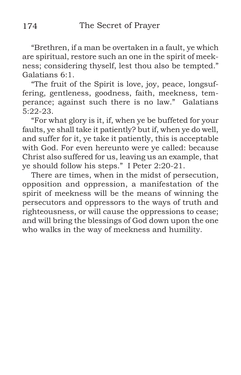"Brethren, if a man be overtaken in a fault, ye which are spiritual, restore such an one in the spirit of meekness; considering thyself, lest thou also be tempted." Galatians 6:1.

"The fruit of the Spirit is love, joy, peace, longsuffering, gentleness, goodness, faith, meekness, temperance; against such there is no law." Galatians 5:22-23.

"For what glory is it, if, when ye be buffeted for your faults, ye shall take it patiently? but if, when ye do well, and suffer for it, ye take it patiently, this is acceptable with God. For even hereunto were ye called: because Christ also suffered for us, leaving us an example, that ye should follow his steps." I Peter 2:20-21.

There are times, when in the midst of persecution, opposition and oppression, a manifestation of the spirit of meekness will be the means of winning the persecutors and oppressors to the ways of truth and righteousness, or will cause the oppressions to cease; and will bring the blessings of God down upon the one who walks in the way of meekness and humility.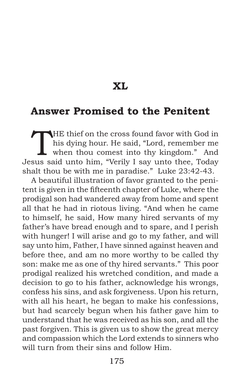**XL**

#### **Answer Promised to the Penitent**

THE thief on the cross found favor with God in<br>his dying hour. He said, "Lord, remember me<br>when thou comest into thy kingdom." And his dying hour. He said, "Lord, remember me when thou comest into thy kingdom." And Jesus said unto him, "Verily I say unto thee, Today shalt thou be with me in paradise." Luke 23:42-43.

A beautiful illustration of favor granted to the penitent is given in the fifteenth chapter of Luke, where the prodigal son had wandered away from home and spent all that he had in riotous living. "And when he came to himself, he said, How many hired servants of my father's have bread enough and to spare, and I perish with hunger! I will arise and go to my father, and will say unto him, Father, I have sinned against heaven and before thee, and am no more worthy to be called thy son: make me as one of thy hired servants." This poor prodigal realized his wretched condition, and made a decision to go to his father, acknowledge his wrongs, confess his sins, and ask forgiveness. Upon his return, with all his heart, he began to make his confessions, but had scarcely begun when his father gave him to understand that he was received as his son, and all the past forgiven. This is given us to show the great mercy and compassion which the Lord extends to sinners who will turn from their sins and follow Him.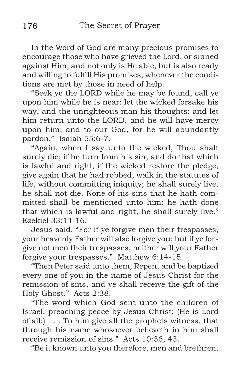In the Word of God are many precious promises to encourage those who have grieved the Lord, or sinned against Him, and not only is He able, but is also ready and willing to fulfill His promises, whenever the conditions are met by those in need of help.

"Seek ye the LORD while he may be found, call ye upon him while he is near: let the wicked forsake his way, and the unrighteous man his thoughts: and let him return unto the LORD, and he will have mercy upon him; and to our God, for he will abundantly pardon." Isaiah 55:6-7.

"Again, when I say unto the wicked, Thou shalt surely die; if he turn from his sin, and do that which is lawful and right; if the wicked restore the pledge, give again that he had robbed, walk in the statutes of life, without committing iniquity; he shall surely live, he shall not die. None of his sins that he hath committed shall be mentioned unto him: he hath done that which is lawful and right; he shall surely live." Ezekiel 33:14-16.

Jesus said, "For if ye forgive men their trespasses, your heavenly Father will also forgive you: but if ye forgive not men their trespasses, neither will your Father forgive your trespasses." Matthew 6:14-15.

"Then Peter said unto them, Repent and be baptized every one of you in the name of Jesus Christ for the remission of sins, and ye shall receive the gift of the Holy Ghost." Acts 2:38.

"The word which God sent unto the children of Israel, preaching peace by Jesus Christ: (He is Lord of all:) . . . To him give all the prophets witness, that through his name whosoever believeth in him shall receive remission of sins." Acts 10:36, 43.

"Be it known unto you therefore, men and brethren,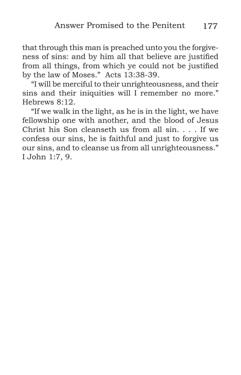that through this man is preached unto you the forgiveness of sins: and by him all that believe are justified from all things, from which ye could not be justified by the law of Moses." Acts 13:38-39.

"I will be merciful to their unrighteousness, and their sins and their iniquities will I remember no more." Hebrews 8:12.

"If we walk in the light, as he is in the light, we have fellowship one with another, and the blood of Jesus Christ his Son cleanseth us from all sin. . . . If we confess our sins, he is faithful and just to forgive us our sins, and to cleanse us from all unrighteousness." I John 1:7, 9.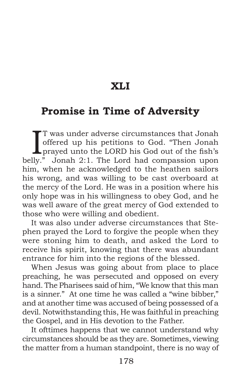### **XLI**

### **Promise in Time of Adversity**

T was under adverse circumstances that Jonah<br>offered up his petitions to God. "Then Jonah<br>prayed unto the LORD his God out of the fish's<br>lly," Jonah 2:1 The Lord had composaion upon T was under adverse circumstances that Jonah offered up his petitions to God. "Then Jonah belly." Jonah 2:1. The Lord had compassion upon him, when he acknowledged to the heathen sailors his wrong, and was willing to be cast overboard at the mercy of the Lord. He was in a position where his only hope was in his willingness to obey God, and he was well aware of the great mercy of God extended to those who were willing and obedient.

It was also under adverse circumstances that Stephen prayed the Lord to forgive the people when they were stoning him to death, and asked the Lord to receive his spirit, knowing that there was abundant entrance for him into the regions of the blessed.

When Jesus was going about from place to place preaching, he was persecuted and opposed on every hand. The Pharisees said of him, "We know that this man is a sinner." At one time he was called a "wine bibber," and at another time was accused of being possessed of a devil. Notwithstanding this, He was faithful in preaching the Gospel, and in His devotion to the Father.

It ofttimes happens that we cannot understand why circumstances should be as they are. Sometimes, viewing the matter from a human standpoint, there is no way of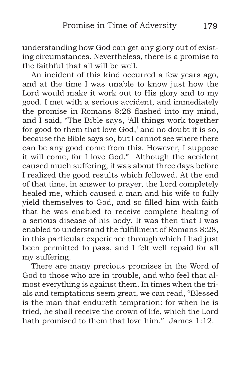understanding how God can get any glory out of existing circumstances. Nevertheless, there is a promise to the faithful that all will be well.

An incident of this kind occurred a few years ago, and at the time I was unable to know just how the Lord would make it work out to His glory and to my good. I met with a serious accident, and immediately the promise in Romans 8:28 flashed into my mind, and I said, "The Bible says, 'All things work together for good to them that love God,' and no doubt it is so, because the Bible says so, but I cannot see where there can be any good come from this. However, I suppose it will come, for I love God." Although the accident caused much suffering, it was about three days before I realized the good results which followed. At the end of that time, in answer to prayer, the Lord completely healed me, which caused a man and his wife to fully yield themselves to God, and so filled him with faith that he was enabled to receive complete healing of a serious disease of his body. It was then that I was enabled to understand the fulfillment of Romans 8:28, in this particular experience through which I had just been permitted to pass, and I felt well repaid for all my suffering.

There are many precious promises in the Word of God to those who are in trouble, and who feel that almost everything is against them. In times when the trials and temptations seem great, we can read, "Blessed is the man that endureth temptation: for when he is tried, he shall receive the crown of life, which the Lord hath promised to them that love him." James 1:12.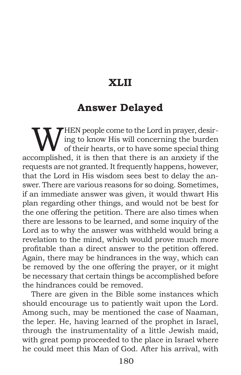## **XLII**

#### **Answer Delayed**

WHEN people come to the Lord in prayer, desir-<br>of their hearts, or to have some special thing<br>complished, it is then that there is an aprinty if the ing to know His will concerning the burden of their hearts, or to have some special thing accomplished, it is then that there is an anxiety if the requests are not granted. It frequently happens, however, that the Lord in His wisdom sees best to delay the answer. There are various reasons for so doing. Sometimes, if an immediate answer was given, it would thwart His plan regarding other things, and would not be best for the one offering the petition. There are also times when there are lessons to be learned, and some inquiry of the Lord as to why the answer was withheld would bring a revelation to the mind, which would prove much more profitable than a direct answer to the petition offered. Again, there may be hindrances in the way, which can be removed by the one offering the prayer, or it might be necessary that certain things be accomplished before the hindrances could be removed.

There are given in the Bible some instances which should encourage us to patiently wait upon the Lord. Among such, may be mentioned the case of Naaman, the leper. He, having learned of the prophet in Israel, through the instrumentality of a little Jewish maid, with great pomp proceeded to the place in Israel where he could meet this Man of God. After his arrival, with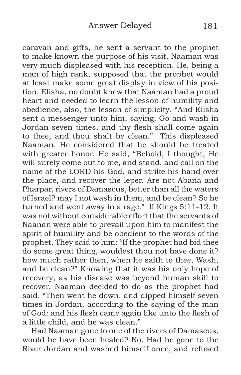caravan and gifts, he sent a servant to the prophet to make known the purpose of his visit. Naaman was very much displeased with his reception. He, being a man of high rank, supposed that the prophet would at least make some great display in view of his position. Elisha, no doubt knew that Naaman had a proud heart and needed to learn the lesson of humility and obedience, also, the lesson of simplicity. "And Elisha sent a messenger unto him, saying, Go and wash in Jordan seven times, and thy flesh shall come again to thee, and thou shalt be clean." This displeased Naaman. He considered that he should be treated with greater honor. He said, "Behold, I thought, He will surely come out to me, and stand, and call on the name of the LORD his God, and strike his hand over the place, and recover the leper. Are not Abana and Pharpar, rivers of Damascus, better than all the waters of Israel? may I not wash in them, and be clean? So he turned and went away in a rage." II Kings 5:11-12. It was not without considerable effort that the servants of Naanan were able to prevail upon him to manifest the spirit of humility and be obedient to the words of the prophet. They said to him: "If the prophet had bid thee do some great thing, wouldest thou not have done it? how much rather then, when he saith to thee, Wash, and be clean?" Knowing that it was his only hope of recovery, as his disease was beyond human skill to recover, Naaman decided to do as the prophet had said. "Then went he down, and dipped himself seven times in Jordan, according to the saying of the man of God: and his flesh came again like unto the flesh of a little child, and he was clean."

Had Naaman gone to one of the rivers of Damascus, would he have been healed? No. Had he gone to the River Jordan and washed himself once, and refused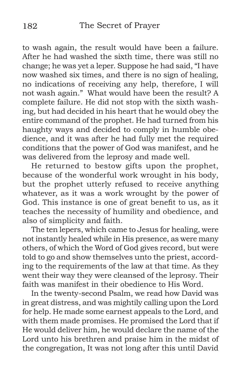to wash again, the result would have been a failure. After he had washed the sixth time, there was still no change; he was yet a leper. Suppose he had said, "I have now washed six times, and there is no sign of healing, no indications of receiving any help, therefore, I will not wash again." What would have been the result? A complete failure. He did not stop with the sixth washing, but had decided in his heart that he would obey the entire command of the prophet. He had turned from his haughty ways and decided to comply in humble obedience, and it was after he had fully met the required conditions that the power of God was manifest, and he was delivered from the leprosy and made well.

He returned to bestow gifts upon the prophet, because of the wonderful work wrought in his body, but the prophet utterly refused to receive anything whatever, as it was a work wrought by the power of God. This instance is one of great benefit to us, as it teaches the necessity of humility and obedience, and also of simplicity and faith.

The ten lepers, which came to Jesus for healing, were not instantly healed while in His presence, as were many others, of which the Word of God gives record, but were told to go and show themselves unto the priest, according to the requirements of the law at that time. As they went their way they were cleansed of the leprosy. Their faith was manifest in their obedience to His Word.

In the twenty-second Psalm, we read how David was in great distress, and was mightily calling upon the Lord for help. He made some earnest appeals to the Lord, and with them made promises. He promised the Lord that if He would deliver him, he would declare the name of the Lord unto his brethren and praise him in the midst of the congregation, It was not long after this until David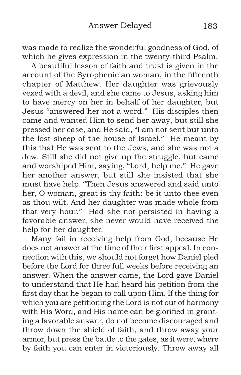was made to realize the wonderful goodness of God, of which he gives expression in the twenty-third Psalm.

A beautiful lesson of faith and trust is given in the account of the Syrophenician woman, in the fifteenth chapter of Matthew. Her daughter was grievously vexed with a devil, and she came to Jesus, asking him to have mercy on her in behalf of her daughter, but Jesus "answered her not a word." His disciples then came and wanted Him to send her away, but still she pressed her case, and He said, "I am not sent but unto the lost sheep of the house of Israel." He meant by this that He was sent to the Jews, and she was not a Jew. Still she did not give up the struggle, but came and worshiped Him, saying, "Lord, help me." He gave her another answer, but still she insisted that she must have help. "Then Jesus answered and said unto her, O woman, great is thy faith: be it unto thee even as thou wilt. And her daughter was made whole from that very hour." Had she not persisted in having a favorable answer, she never would have received the help for her daughter.

Many fail in receiving help from God, because He does not answer at the time of their first appeal. In connection with this, we should not forget how Daniel pled before the Lord for three full weeks before receiving an answer. When the answer came, the Lord gave Daniel to understand that He had heard his petition from the first day that he began to call upon Him. If the thing for which you are petitioning the Lord is not out of harmony with His Word, and His name can be glorified in granting a favorable answer, do not become discouraged and throw down the shield of faith, and throw away your armor, but press the battle to the gates, as it were, where by faith you can enter in victoriously. Throw away all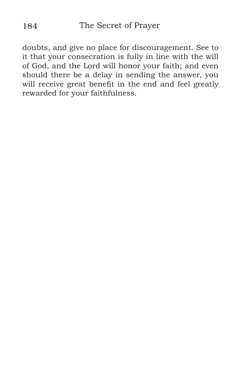doubts, and give no place for discouragement. See to it that your consecration is fully in line with the will of God, and the Lord will honor your faith; and even should there be a delay in sending the answer, you will receive great benefit in the end and feel greatly rewarded for your faithfulness.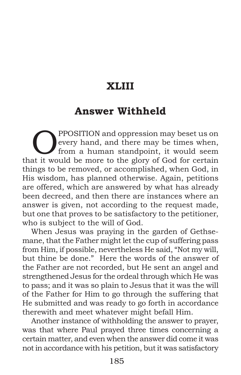# **XLIII**

## **Answer Withheld**

**OPPOSITION** and oppression may beset us on<br>
from a human standpoint, it would seem<br>
at it would be mere to the glory of God for extein every hand, and there may be times when, that it would be more to the glory of God for certain things to be removed, or accomplished, when God, in His wisdom, has planned otherwise. Again, petitions are offered, which are answered by what has already been decreed, and then there are instances where an answer is given, not according to the request made, but one that proves to be satisfactory to the petitioner, who is subject to the will of God.

When Jesus was praying in the garden of Gethsemane, that the Father might let the cup of suffering pass from Him, if possible, nevertheless He said, "Not my will, but thine be done." Here the words of the answer of the Father are not recorded, but He sent an angel and strengthened Jesus for the ordeal through which He was to pass; and it was so plain to Jesus that it was the will of the Father for Him to go through the suffering that He submitted and was ready to go forth in accordance therewith and meet whatever might befall Him.

Another instance of withholding the answer to prayer, was that where Paul prayed three times concerning a certain matter, and even when the answer did come it was not in accordance with his petition, but it was satisfactory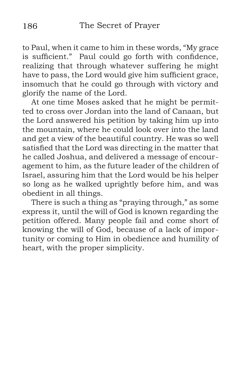to Paul, when it came to him in these words, "My grace is sufficient." Paul could go forth with confidence, realizing that through whatever suffering he might have to pass, the Lord would give him sufficient grace, insomuch that he could go through with victory and glorify the name of the Lord.

At one time Moses asked that he might be permitted to cross over Jordan into the land of Canaan, but the Lord answered his petition by taking him up into the mountain, where he could look over into the land and get a view of the beautiful country. He was so well satisfied that the Lord was directing in the matter that he called Joshua, and delivered a message of encouragement to him, as the future leader of the children of Israel, assuring him that the Lord would be his helper so long as he walked uprightly before him, and was obedient in all things.

There is such a thing as "praying through," as some express it, until the will of God is known regarding the petition offered. Many people fail and come short of knowing the will of God, because of a lack of importunity or coming to Him in obedience and humility of heart, with the proper simplicity.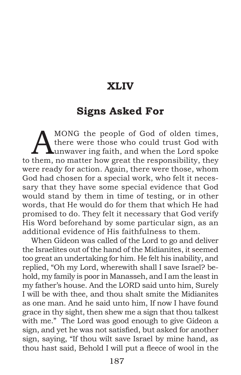#### **XLIV**

#### **Signs Asked For**

MONG the people of God of olden times,<br>there were those who could trust God with<br>unwaver ing faith, and when the Lord spoke there were those who could trust God with unwaver ing faith, and when the Lord spoke to them, no matter how great the responsibility, they were ready for action. Again, there were those, whom God had chosen for a special work, who felt it necessary that they have some special evidence that God would stand by them in time of testing, or in other words, that He would do for them that which He had promised to do. They felt it necessary that God verify His Word beforehand by some particular sign, as an additional evidence of His faithfulness to them.

When Gideon was called of the Lord to go and deliver the Israelites out of the hand of the Midianites, it seemed too great an undertaking for him. He felt his inability, and replied, "Oh my Lord, wherewith shall I save Israel? behold, my family is poor in Manasseh, and I am the least in my father's house. And the LORD said unto him, Surely I will be with thee, and thou shalt smite the Midianites as one man. And he said unto him, If now I have found grace in thy sight, then shew me a sign that thou talkest with me." The Lord was good enough to give Gideon a sign, and yet he was not satisfied, but asked for another sign, saying, "If thou wilt save Israel by mine hand, as thou hast said, Behold I will put a fleece of wool in the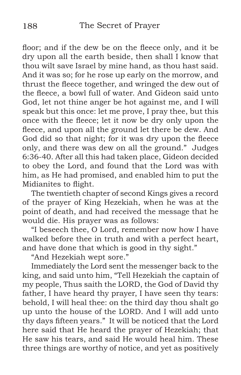floor; and if the dew be on the fleece only, and it be dry upon all the earth beside, then shall I know that thou wilt save Israel by mine hand, as thou hast said. And it was so; for he rose up early on the morrow, and thrust the fleece together, and wringed the dew out of the fleece, a bowl full of water. And Gideon said unto God, let not thine anger be hot against me, and I will speak but this once: let me prove, I pray thee, but this once with the fleece; let it now be dry only upon the fleece, and upon all the ground let there be dew. And God did so that night; for it was dry upon the fleece only, and there was dew on all the ground." Judges 6:36-40. After all this had taken place, Gideon decided to obey the Lord, and found that the Lord was with him, as He had promised, and enabled him to put the Midianites to flight.

The twentieth chapter of second Kings gives a record of the prayer of King Hezekiah, when he was at the point of death, and had received the message that he would die. His prayer was as follows:

"I beseech thee, O Lord, remember now how I have walked before thee in truth and with a perfect heart, and have done that which is good in thy sight."

"And Hezekiah wept sore."

Immediately the Lord sent the messenger back to the king, and said unto him, "Tell Hezekiah the captain of my people, Thus saith the LORD, the God of David thy father, I have heard thy prayer, I have seen thy tears: behold, I will heal thee: on the third day thou shalt go up unto the house of the LORD. And I will add unto thy days fifteen years." It will be noticed that the Lord here said that He heard the prayer of Hezekiah; that He saw his tears, and said He would heal him. These three things are worthy of notice, and yet as positively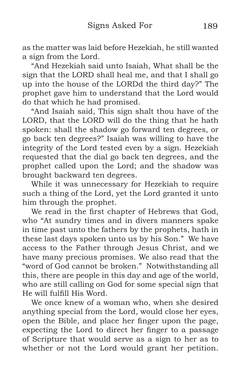as the matter was laid before Hezekiah, he still wanted a sign from the Lord.

"And Hezekiah said unto Isaiah, What shall be the sign that the LORD shall heal me, and that I shall go up into the house of the LORDd the third day?" The prophet gave him to understand that the Lord would do that which he had promised.

"And Isaiah said, This sign shalt thou have of the LORD, that the LORD will do the thing that he hath spoken: shall the shadow go forward ten degrees, or go back ten degrees?" Isaiah was willing to have the integrity of the Lord tested even by a sign. Hezekiah requested that the dial go back ten degrees, and the prophet called upon the Lord; and the shadow was brought backward ten degrees.

While it was unnecessary for Hezekiah to require such a thing of the Lord, yet the Lord granted it unto him through the prophet.

We read in the first chapter of Hebrews that God, who "At sundry times and in divers manners spake in time past unto the fathers by the prophets, hath in these last days spoken unto us by his Son." We have access to the Father through Jesus Christ, and we have many precious promises. We also read that the "word of God cannot be broken." Notwithstanding all this, there are people in this day and age of the world, who are still calling on God for some special sign that He will fulfill His Word.

We once knew of a woman who, when she desired anything special from the Lord, would close her eyes, open the Bible, and place her finger upon the page, expecting the Lord to direct her finger to a passage of Scripture that would serve as a sign to her as to whether or not the Lord would grant her petition.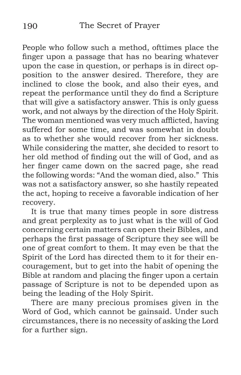People who follow such a method, ofttimes place the finger upon a passage that has no bearing whatever upon the case in question, or perhaps is in direct opposition to the answer desired. Therefore, they are inclined to close the book, and also their eyes, and repeat the performance until they do find a Scripture that will give a satisfactory answer. This is only guess work, and not always by the direction of the Holy Spirit. The woman mentioned was very much afflicted, having suffered for some time, and was somewhat in doubt as to whether she would recover from her sickness. While considering the matter, she decided to resort to her old method of finding out the will of God, and as her finger came down on the sacred page, she read the following words: "And the woman died, also." This was not a satisfactory answer, so she hastily repeated the act, hoping to receive a favorable indication of her recovery.

It is true that many times people in sore distress and great perplexity as to just what is the will of God concerning certain matters can open their Bibles, and perhaps the first passage of Scripture they see will be one of great comfort to them. It may even be that the Spirit of the Lord has directed them to it for their encouragement, but to get into the habit of opening the Bible at random and placing the finger upon a certain passage of Scripture is not to be depended upon as being the leading of the Holy Spirit.

There are many precious promises given in the Word of God, which cannot be gainsaid. Under such circumstances, there is no necessity of asking the Lord for a further sign.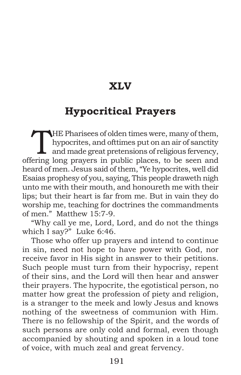## **XLV**

# **Hypocritical Prayers**

THE Pharisees of olden times were, many of them,<br>hypocrites, and offtimes put on an air of sanctity<br>and made great pretensions of religious fervency,<br>crips long prevers in public places, to be seen and hypocrites, and ofttimes put on an air of sanctity offering long prayers in public places, to be seen and heard of men. Jesus said of them, "Ye hypocrites, well did Esaias prophesy of you, saying, This people draweth nigh unto me with their mouth, and honoureth me with their lips; but their heart is far from me. But in vain they do worship me, teaching for doctrines the commandments of men." Matthew 15:7-9.

"Why call ye me, Lord, Lord, and do not the things which I say?" Luke 6:46.

Those who offer up prayers and intend to continue in sin, need not hope to have power with God, nor receive favor in His sight in answer to their petitions. Such people must turn from their hypocrisy, repent of their sins, and the Lord will then hear and answer their prayers. The hypocrite, the egotistical person, no matter how great the profession of piety and religion, is a stranger to the meek and lowly Jesus and knows nothing of the sweetness of communion with Him. There is no fellowship of the Spirit, and the words of such persons are only cold and formal, even though accompanied by shouting and spoken in a loud tone of voice, with much zeal and great fervency.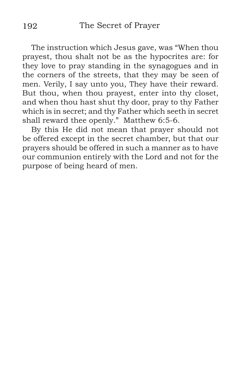The instruction which Jesus gave, was "When thou prayest, thou shalt not be as the hypocrites are: for they love to pray standing in the synagogues and in the corners of the streets, that they may be seen of men. Verily, I say unto you, They have their reward. But thou, when thou prayest, enter into thy closet, and when thou hast shut thy door, pray to thy Father which is in secret; and thy Father which seeth in secret shall reward thee openly." Matthew 6:5-6.

By this He did not mean that prayer should not be offered except in the secret chamber, but that our prayers should be offered in such a manner as to have our communion entirely with the Lord and not for the purpose of being heard of men.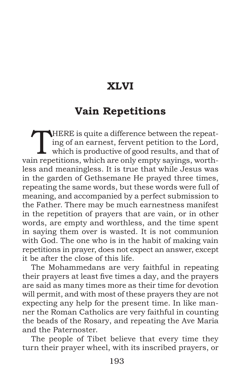# **XLVI**

# **Vain Repetitions**

HERE is quite a difference between the repeat-<br>ing of an earnest, fervent petition to the Lord,<br>which is productive of good results, and that of ing of an earnest, fervent petition to the Lord, which is productive of good results, and that of vain repetitions, which are only empty sayings, worthless and meaningless. It is true that while Jesus was in the garden of Gethsemane He prayed three times, repeating the same words, but these words were full of meaning, and accompanied by a perfect submission to the Father. There may be much earnestness manifest in the repetition of prayers that are vain, or in other words, are empty and worthless, and the time spent in saying them over is wasted. It is not communion with God. The one who is in the habit of making vain repetitions in prayer, does not expect an answer, except it be after the close of this life.

The Mohammedans are very faithful in repeating their prayers at least five times a day, and the prayers are said as many times more as their time for devotion will permit, and with most of these prayers they are not expecting any help for the present time. In like manner the Roman Catholics are very faithful in counting the beads of the Rosary, and repeating the Ave Maria and the Paternoster.

The people of Tibet believe that every time they turn their prayer wheel, with its inscribed prayers, or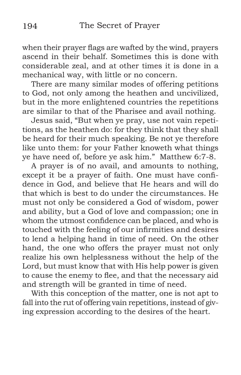when their prayer flags are wafted by the wind, prayers ascend in their behalf. Sometimes this is done with considerable zeal, and at other times it is done in a mechanical way, with little or no concern.

There are many similar modes of offering petitions to God, not only among the heathen and uncivilized, but in the more enlightened countries the repetitions are similar to that of the Pharisee and avail nothing.

Jesus said, "But when ye pray, use not vain repetitions, as the heathen do: for they think that they shall be heard for their much speaking. Be not ye therefore like unto them: for your Father knoweth what things ye have need of, before ye ask him." Matthew 6:7-8.

A prayer is of no avail, and amounts to nothing, except it be a prayer of faith. One must have confidence in God, and believe that He hears and will do that which is best to do under the circumstances. He must not only be considered a God of wisdom, power and ability, but a God of love and compassion; one in whom the utmost confidence can be placed, and who is touched with the feeling of our infirmities and desires to lend a helping hand in time of need. On the other hand, the one who offers the prayer must not only realize his own helplessness without the help of the Lord, but must know that with His help power is given to cause the enemy to flee, and that the necessary aid and strength will be granted in time of need.

With this conception of the matter, one is not apt to fall into the rut of offering vain repetitions, instead of giving expression according to the desires of the heart.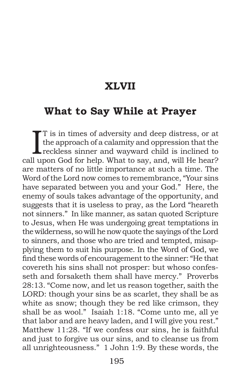#### **XLVII**

#### **What to Say While at Prayer**

T is in times of adversity and deep distress, or at<br>the approach of a calamity and oppression that the<br>reckless sinner and wayward child is inclined to<br>ll upon God for belp. What to soy, and will He been? T is in times of adversity and deep distress, or at the approach of a calamity and oppression that the call upon God for help. What to say, and, will He hear? are matters of no little importance at such a time. The Word of the Lord now comes to remembrance, "Your sins have separated between you and your God." Here, the enemy of souls takes advantage of the opportunity, and suggests that it is useless to pray, as the Lord "heareth not sinners." In like manner, as satan quoted Scripture to Jesus, when He was undergoing great temptations in the wilderness, so will he now quote the sayings of the Lord to sinners, and those who are tried and tempted, misapplying them to suit his purpose. In the Word of God, we find these words of encouragement to the sinner: "He that covereth his sins shall not prosper: but whoso confesseth and forsaketh them shall have mercy." Proverbs 28:13. "Come now, and let us reason together, saith the LORD: though your sins be as scarlet, they shall be as white as snow; though they be red like crimson, they shall be as wool." Isaiah 1:18. "Come unto me, all ye that labor and are heavy laden, and I will give you rest." Matthew 11:28. "If we confess our sins, he is faithful and just to forgive us our sins, and to cleanse us from all unrighteousness." 1 John 1:9. By these words, the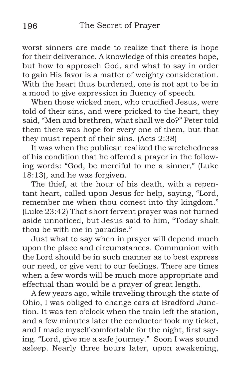worst sinners are made to realize that there is hope for their deliverance. A knowledge of this creates hope, but how to approach God, and what to say in order to gain His favor is a matter of weighty consideration. With the heart thus burdened, one is not apt to be in a mood to give expression in fluency of speech.

When those wicked men, who crucified Jesus, were told of their sins, and were pricked to the heart, they said, "Men and brethren, what shall we do?" Peter told them there was hope for every one of them, but that they must repent of their sins. (Acts 2:38)

It was when the publican realized the wretchedness of his condition that he offered a prayer in the following words: "God, be merciful to me a sinner," (Luke 18:13), and he was forgiven.

The thief, at the hour of his death, with a repentant heart, called upon Jesus for help, saying, "Lord, remember me when thou comest into thy kingdom." (Luke 23:42) That short fervent prayer was not turned aside unnoticed, but Jesus said to him, "Today shalt thou be with me in paradise."

Just what to say when in prayer will depend much upon the place and circumstances. Communion with the Lord should be in such manner as to best express our need, or give vent to our feelings. There are times when a few words will be much more appropriate and effectual than would be a prayer of great length.

A few years ago, while traveling through the state of Ohio, I was obliged to change cars at Bradford Junction. It was ten o'clock when the train left the station, and a few minutes later the conductor took my ticket, and I made myself comfortable for the night, first saying. "Lord, give me a safe journey." Soon I was sound asleep. Nearly three hours later, upon awakening,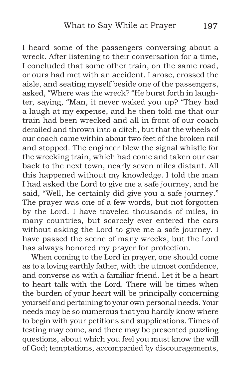I heard some of the passengers conversing about a wreck. After listening to their conversation for a time, I concluded that some other train, on the same road, or ours had met with an accident. I arose, crossed the aisle, and seating myself beside one of the passengers, asked, "Where was the wreck? "He burst forth in laughter, saying, "Man, it never waked you up? "They had a laugh at my expense, and he then told me that our train had been wrecked and all in front of our coach derailed and thrown into a ditch, but that the wheels of our coach came within about two feet of the broken rail and stopped. The engineer blew the signal whistle for the wrecking train, which had come and taken our car back to the next town, nearly seven miles distant. All this happened without my knowledge. I told the man I had asked the Lord to give me a safe journey, and he said, "Well, he certainly did give you a safe journey." The prayer was one of a few words, but not forgotten by the Lord. I have traveled thousands of miles, in many countries, but scarcely ever entered the cars without asking the Lord to give me a safe journey. I have passed the scene of many wrecks, but the Lord has always honored my prayer for protection.

When coming to the Lord in prayer, one should come as to a loving earthly father, with the utmost confidence, and converse as with a familiar friend. Let it be a heart to heart talk with the Lord. There will be times when the burden of your heart will be principally concerning yourself and pertaining to your own personal needs. Your needs may be so numerous that you hardly know where to begin with your petitions and supplications. Times of testing may come, and there may be presented puzzling questions, about which you feel you must know the will of God; temptations, accompanied by discouragements,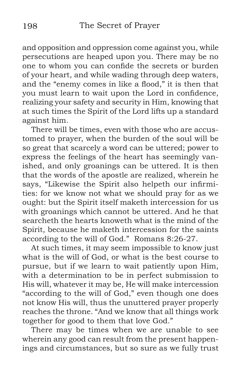and opposition and oppression come against you, while persecutions are heaped upon you. There may be no one to whom you can confide the secrets or burden of your heart, and while wading through deep waters, and the "enemy comes in like a flood," it is then that you must learn to wait upon the Lord in confidence, realizing your safety and security in Him, knowing that at such times the Spirit of the Lord lifts up a standard against him.

There will be times, even with those who are accustomed to prayer, when the burden of the soul will be so great that scarcely a word can be uttered; power to express the feelings of the heart has seemingly vanished, and only groanings can be uttered. It is then that the words of the apostle are realized, wherein he says, "Likewise the Spirit also helpeth our infirmities: for we know not what we should pray for as we ought: but the Spirit itself maketh intercession for us with groanings which cannot be uttered. And he that searcheth the hearts knoweth what is the mind of the Spirit, because he maketh intercession for the saints according to the will of God." Romans 8:26-27.

At such times, it may seem impossible to know just what is the will of God, or what is the best course to pursue, but if we learn to wait patiently upon Him, with a determination to be in perfect submission to His will, whatever it may be, He will make intercession "according to the will of God," even though one does not know His will, thus the unuttered prayer properly reaches the throne. "And we know that all things work together for good to them that love God."

There may be times when we are unable to see wherein any good can result from the present happenings and circumstances, but so sure as we fully trust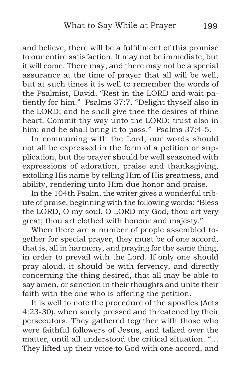and believe, there will be a fulfillment of this promise to our entire satisfaction. It may not be immediate, but it will come. There may, and there may not be a special assurance at the time of prayer that all will be well, but at such times it is well to remember the words of the Psalmist, David, "Rest in the LORD and wait patiently for him." Psalms 37:7. "Delight thyself also in the LORD; and he shall give thee the desires of thine heart. Commit thy way unto the LORD; trust also in him; and he shall bring it to pass." Psalms 37:4-5.

In communing with the Lord, our words should not all be expressed in the form of a petition or supplication, but the prayer should be well seasoned with expressions of adoration, praise and thanksgiving, extolling His name by telling Him of His greatness, and ability, rendering unto Him due honor and praise.

In the 104th Psalm, the writer gives a wonderful tribute of praise, beginning with the following words: "Bless the LORD, O my soul. O LORD my God, thou art very great; thou art clothed with honour and majesty."

When there are a number of people assembled together for special prayer, they must be of one accord, that is, all in harmony, and praying for the same thing, in order to prevail with the Lord. If only one should pray aloud, it should be with fervency, and directly concerning the thing desired, that all may be able to say amen, or sanction in their thoughts and unite their faith with the one who is offering the petition.

It is well to note the procedure of the apostles (Acts 4:23-30), when sorely pressed and threatened by their persecutors. They gathered together with those who were faithful followers of Jesus, and talked over the matter, until all understood the critical situation. "… They lifted up their voice to God with one accord, and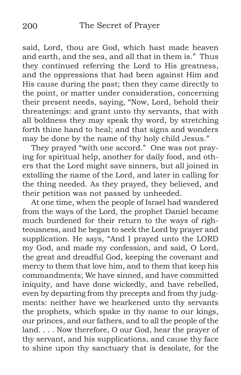said, Lord, thou are God, which hast made heaven and earth, and the sea, and all that in them is." Thus they continued referring the Lord to His greatness, and the oppressions that had been against Him and His cause during the past; then they came directly to the point, or matter under consideration, concerning their present needs, saying, "Now, Lord, behold their threatenings: and grant unto thy servants, that with all boldness they may speak thy word, by stretching forth thine hand to heal; and that signs and wonders may be done by the name of thy holy child Jesus."

They prayed "with one accord." One was not praying for spiritual help, another for daily food, and others that the Lord might save sinners, but all joined in extolling the name of the Lord, and later in calling for the thing needed. As they prayed, they believed, and their petition was not passed by unheeded.

At one time, when the people of Israel had wandered from the ways of the Lord, the prophet Daniel became much burdened for their return to the ways of righteousness, and he began to seek the Lord by prayer and supplication. He says, "And I prayed unto the LORD my God, and made my confession, and said, O Lord, the great and dreadful God, keeping the covenant and mercy to them that love him, and to them that keep his commandments; We have sinned, and have committed iniquity, and have done wickedly, and have rebelled, even by departing from thy precepts and from thy judgments: neither have we hearkened unto thy servants the prophets, which spake in thy name to our kings, our princes, and our fathers, and to all the people of the land. . . . Now therefore, O our God, hear the prayer of thy servant, and his supplications, and cause thy face to shine upon thy sanctuary that is desolate, for the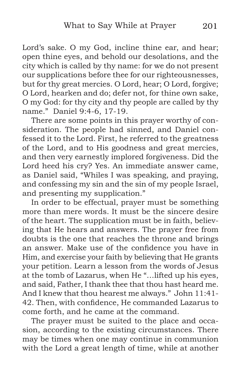Lord's sake. O my God, incline thine ear, and hear; open thine eyes, and behold our desolations, and the city which is called by thy name: for we do not present our supplications before thee for our righteousnesses, but for thy great mercies. O Lord, hear; O Lord, forgive; O Lord, hearken and do; defer not, for thine own sake, O my God: for thy city and thy people are called by thy name." Daniel 9:4-6, 17-19.

There are some points in this prayer worthy of consideration. The people had sinned, and Daniel confessed it to the Lord. First, he referred to the greatness of the Lord, and to His goodness and great mercies, and then very earnestly implored forgiveness. Did the Lord heed his cry? Yes. An immediate answer came, as Daniel said, "Whiles I was speaking, and praying, and confessing my sin and the sin of my people Israel, and presenting my supplication."

In order to be effectual, prayer must be something more than mere words. It must be the sincere desire of the heart. The supplication must be in faith, believing that He hears and answers. The prayer free from doubts is the one that reaches the throne and brings an answer. Make use of the confidence you have in Him, and exercise your faith by believing that He grants your petition. Learn a lesson from the words of Jesus at the tomb of Lazarus, when He "…lifted up his eyes, and said, Father, I thank thee that thou hast heard me. And I knew that thou hearest me always." John 11:41- 42. Then, with confidence, He commanded Lazarus to come forth, and he came at the command.

The prayer must be suited to the place and occasion, according to the existing circumstances. There may be times when one may continue in communion with the Lord a great length of time, while at another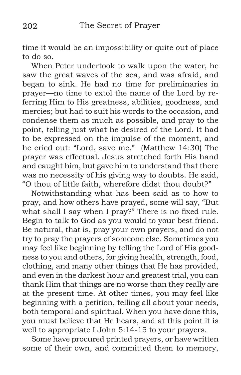time it would be an impossibility or quite out of place to do so.

When Peter undertook to walk upon the water, he saw the great waves of the sea, and was afraid, and began to sink. He had no time for preliminaries in prayer—no time to extol the name of the Lord by referring Him to His greatness, abilities, goodness, and mercies; but had to suit his words to the occasion, and condense them as much as possible, and pray to the point, telling just what he desired of the Lord. It had to be expressed on the impulse of the moment, and he cried out: "Lord, save me." (Matthew 14:30) The prayer was effectual. Jesus stretched forth His hand and caught him, but gave him to understand that there was no necessity of his giving way to doubts. He said, "O thou of little faith, wherefore didst thou doubt?"

Notwithstanding what has been said as to how to pray, and how others have prayed, some will say, "But what shall I say when I pray?" There is no fixed rule. Begin to talk to God as you would to your best friend. Be natural, that is, pray your own prayers, and do not try to pray the prayers of someone else. Sometimes you may feel like beginning by telling the Lord of His goodness to you and others, for giving health, strength, food, clothing, and many other things that He has provided, and even in the darkest hour and greatest trial, you can thank Him that things are no worse than they really are at the present time. At other times, you may feel like beginning with a petition, telling all about your needs, both temporal and spiritual. When you have done this, you must believe that He hears, and at this point it is well to appropriate I John 5:14-15 to your prayers.

Some have procured printed prayers, or have written some of their own, and committed them to memory,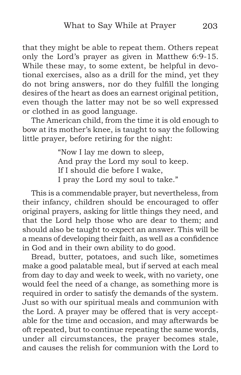that they might be able to repeat them. Others repeat only the Lord's prayer as given in Matthew 6:9-15. While these may, to some extent, be helpful in devotional exercises, also as a drill for the mind, yet they do not bring answers, nor do they fulfill the longing desires of the heart as does an earnest original petition, even though the latter may not be so well expressed or clothed in as good language.

The American child, from the time it is old enough to bow at its mother's knee, is taught to say the following little prayer, before retiring for the night:

> "Now I lay me down to sleep, And pray the Lord my soul to keep. If I should die before I wake, I pray the Lord my soul to take."

This is a commendable prayer, but nevertheless, from their infancy, children should be encouraged to offer original prayers, asking for little things they need, and that the Lord help those who are dear to them; and should also be taught to expect an answer. This will be a means of developing their faith, as well as a confidence in God and in their own ability to do good.

Bread, butter, potatoes, and such like, sometimes make a good palatable meal, but if served at each meal from day to day and week to week, with no variety, one would feel the need of a change, as something more is required in order to satisfy the demands of the system. Just so with our spiritual meals and communion with the Lord. A prayer may be offered that is very acceptable for the time and occasion, and may afterwards be oft repeated, but to continue repeating the same words, under all circumstances, the prayer becomes stale, and causes the relish for communion with the Lord to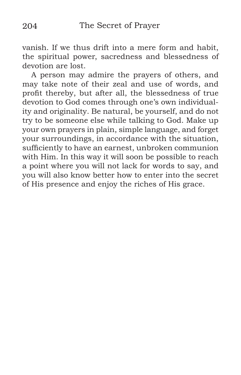vanish. If we thus drift into a mere form and habit, the spiritual power, sacredness and blessedness of devotion are lost.

A person may admire the prayers of others, and may take note of their zeal and use of words, and profit thereby, but after all, the blessedness of true devotion to God comes through one's own individuality and originality. Be natural, be yourself, and do not try to be someone else while talking to God. Make up your own prayers in plain, simple language, and forget your surroundings, in accordance with the situation, sufficiently to have an earnest, unbroken communion with Him. In this way it will soon be possible to reach a point where you will not lack for words to say, and you will also know better how to enter into the secret of His presence and enjoy the riches of His grace.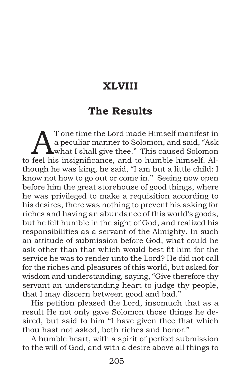# **XLVIII**

## **The Results**

T one time the Lord made Himself manifest in<br>
a peculiar manner to Solomon, and said, "Ask<br>
what I shall give thee." This caused Solomon<br>
fool bis insignificance, and to bumble bimself. 41 a peculiar manner to Solomon, and said, "Ask to feel his insignificance, and to humble himself. Although he was king, he said, "I am but a little child: I know not how to go out or come in." Seeing now open before him the great storehouse of good things, where he was privileged to make a requisition according to his desires, there was nothing to prevent his asking for riches and having an abundance of this world's goods, but he felt humble in the sight of God, and realized his responsibilities as a servant of the Almighty. In such an attitude of submission before God, what could he ask other than that which would best fit him for the service he was to render unto the Lord? He did not call for the riches and pleasures of this world, but asked for wisdom and understanding, saying, "Give therefore thy servant an understanding heart to judge thy people, that I may discern between good and bad."

His petition pleased the Lord, insomuch that as a result He not only gave Solomon those things he desired, but said to him "I have given thee that which thou hast not asked, both riches and honor."

A humble heart, with a spirit of perfect submission to the will of God, and with a desire above all things to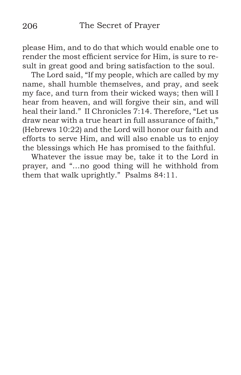please Him, and to do that which would enable one to render the most efficient service for Him, is sure to result in great good and bring satisfaction to the soul.

The Lord said, "If my people, which are called by my name, shall humble themselves, and pray, and seek my face, and turn from their wicked ways; then will I hear from heaven, and will forgive their sin, and will heal their land." II Chronicles 7:14. Therefore, "Let us draw near with a true heart in full assurance of faith," (Hebrews 10:22) and the Lord will honor our faith and efforts to serve Him, and will also enable us to enjoy the blessings which He has promised to the faithful.

Whatever the issue may be, take it to the Lord in prayer, and "…no good thing will he withhold from them that walk uprightly." Psalms 84:11.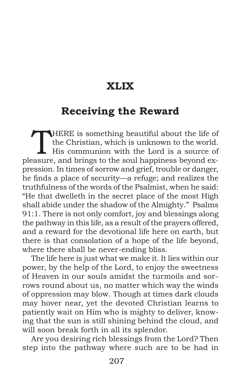## **XLIX**

#### **Receiving the Reward**

THERE is something beautiful about the life of<br>the Christian, which is unknown to the world.<br>His communion with the Lord is a source of the Christian, which is unknown to the world. pleasure, and brings to the soul happiness beyond expression. In times of sorrow and grief, trouble or danger, he finds a place of security—a refuge; and realizes the truthfulness of the words of the Psalmist, when he said: "He that dwelleth in the secret place of the most High shall abide under the shadow of the Almighty." Psalms 91:1. There is not only comfort, joy and blessings along the pathway in this life, as a result of the prayers offered, and a reward for the devotional life here on earth, but there is that consolation of a hope of the life beyond, where there shall be never-ending bliss.

The life here is just what we make it. It lies within our power, by the help of the Lord, to enjoy the sweetness of Heaven in our souls amidst the turmoils and sorrows round about us, no matter which way the winds of oppression may blow. Though at times dark clouds may hover near, yet the devoted Christian learns to patiently wait on Him who is mighty to deliver, knowing that the sun is still shining behind the cloud, and will soon break forth in all its splendor.

Are you desiring rich blessings from the Lord? Then step into the pathway where such are to be had in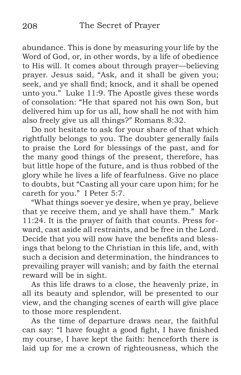abundance. This is done by measuring your life by the Word of God, or, in other words, by a life of obedience to His will. It comes about through prayer—believing prayer. Jesus said, "Ask, and it shall be given you; seek, and ye shall find; knock, and it shall be opened unto you." Luke 11:9. The Apostle gives these words of consolation: "He that spared not his own Son, but delivered him up for us all, how shall he not with him also freely give us all things?" Romans 8:32.

Do not hesitate to ask for your share of that which rightfully belongs to you. The doubter generally fails to praise the Lord for blessings of the past, and for the many good things of the present, therefore, has but little hope of the future, and is thus robbed of the glory while he lives a life of fearfulness. Give no place to doubts, but "Casting all your care upon him; for he careth for you." I Peter 5:7.

"What things soever ye desire, when ye pray, believe that ye receive them, and ye shall have them." Mark 11:24. It is the prayer of faith that counts. Press forward, cast aside all restraints, and be free in the Lord. Decide that you will now have the benefits and blessings that belong to the Christian in this life, and, with such a decision and determination, the hindrances to prevailing prayer will vanish; and by faith the eternal reward will be in sight.

As this life draws to a close, the heavenly prize, in all its beauty and splendor, will be presented to our view, and the changing scenes of earth will give place to those more resplendent.

As the time of departure draws near, the faithful can say: "I have fought a good fight, I have finished my course, I have kept the faith: henceforth there is laid up for me a crown of righteousness, which the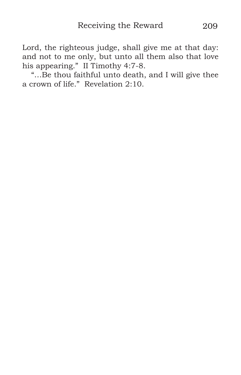Lord, the righteous judge, shall give me at that day: and not to me only, but unto all them also that love his appearing." II Timothy 4:7-8.

"…Be thou faithful unto death, and I will give thee a crown of life." Revelation 2:10.